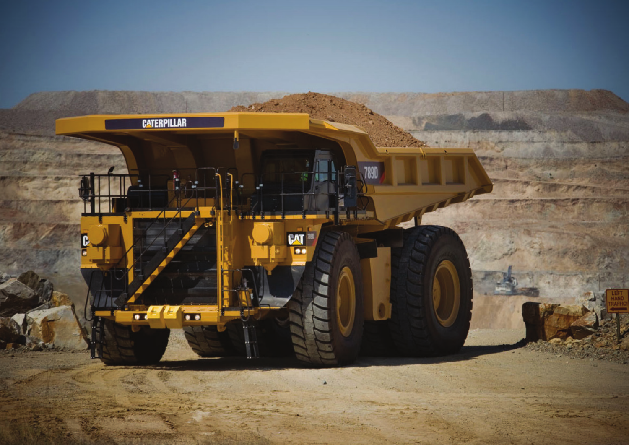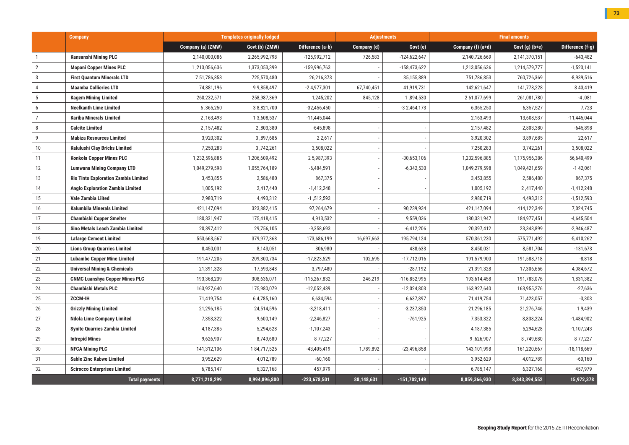|                | <b>Company</b>                              | <b>Templates originally lodged</b> |                | <b>Adjustments</b> |             |                |                   |                  |                  |
|----------------|---------------------------------------------|------------------------------------|----------------|--------------------|-------------|----------------|-------------------|------------------|------------------|
|                |                                             | Company (a) (ZMW)                  | Govt (b) (ZMW) | Difference (a-b)   | Company (d) | Govt (e)       | Company (f) (a+d) | Govt $(g)$ (b+e) | Difference (f-g) |
|                | <b>Kansanshi Mining PLC</b>                 | 2,140,000,086                      | 2,265,992,798  | $-125,992,712$     | 726,583     | $-124,622,647$ | 2,140,726,669     | 2,141,370,151    | $-643,482$       |
| 2              | <b>Mopani Copper Mines PLC</b>              | 1,213,056,636                      | 1,373,053,399  | -159,996,763       |             | $-158,473,622$ | 1,213,056,636     | 1,214,579,777    | $-1,523,141$     |
| -3             | <b>First Ouantum Minerals LTD</b>           | 7 51,786,853                       | 725,570,480    | 26,216,373         |             | 35,155,889     | 751,786,853       | 760,726,369      | $-8,939,516$     |
|                | <b>Maamba Collieries LTD</b>                | 74,881,196                         | 9 9,858,497    | $-24,977,301$      | 67,740,451  | 41,919,731     | 142,621,647       | 141,778,228      | 8 43,419         |
| 5              | <b>Kagem Mining Limited</b>                 | 260,232,571                        | 258,987,369    | 1,245,202          | 845,128     | 1,894,530      | 261,077,699       | 261,081,780      | $-4,081$         |
| 6              | <b>Neelkanth Lime Limited</b>               | 6,365,250                          | 3 8,821,700    | $-32,456,450$      |             | $-32,464,173$  | 6,365,250         | 6,357,527        | 7,723            |
| $\overline{7}$ | <b>Kariba Minerals Limited</b>              | 2, 163, 493                        | 1 3,608,537    | $-11,445,044$      |             |                | 2,163,493         | 13,608,537       | $-11,445,044$    |
| 8              | <b>Calcite Limited</b>                      | 2,157,482                          | 2,803,380      | $-645,898$         |             |                | 2,157,482         | 2,803,380        | $-645,898$       |
| q              | <b>Mabiza Resources Limited</b>             | 3,920,302                          | 3,897,685      | 2 2,617            |             |                | 3,920,302         | 3,897,685        | 22,617           |
| 10             | Kalulushi Clay Bricks Limited               | 7,250,283                          | 3,742,261      | 3,508,022          |             |                | 7,250,283         | 3,742,261        | 3,508,022        |
| 11             | <b>Konkola Copper Mines PLC</b>             | 1,232,596,885                      | 1,206,609,492  | 25,987,393         |             | $-30,653,106$  | 1,232,596,885     | 1,175,956,386    | 56,640,499       |
| 12             | <b>Lumwana Mining Company LTD</b>           | 1,049,279,598                      | 1,055,764,189  | $-6,484,591$       |             | $-6,342,530$   | 1,049,279,598     | 1,049,421,659    | $-142,061$       |
| 13             | <b>Rio Tinto Exploration Zambia Limited</b> | 3,453,855                          | 2,586,480      | 867,375            |             |                | 3,453,855         | 2,586,480        | 867,375          |
| 14             | <b>Anglo Exploration Zambia Limited</b>     | 1,005,192                          | 2,417,440      | $-1,412,248$       |             |                | 1,005,192         | 2,417,440        | $-1,412,248$     |
| 15             | <b>Vale Zambia Liited</b>                   | 2,980,719                          | 4,493,312      | $-1,512,593$       |             |                | 2,980,719         | 4,493,312        | $-1,512,593$     |
| 16             | <b>Kalumbila Minerals Limited</b>           | 421,147,094                        | 323,882,415    | 97,264,679         |             | 90,239,934     | 421,147,094       | 414,122,349      | 7,024,745        |
| 17             | <b>Chambishi Copper Smelter</b>             | 180,331,947                        | 175,418,415    | 4,913,532          |             | 9,559,036      | 180,331,947       | 184,977,451      | $-4,645,504$     |
| 18             | Sino Metals Leach Zambia Limited            | 20,397,412                         | 29,756,105     | $-9,358,693$       |             | $-6,412,206$   | 20,397,412        | 23,343,899       | $-2,946,487$     |
| 19             | <b>Lafarge Cement Limited</b>               | 553,663,567                        | 379,977,368    | 173,686,199        | 16,697,663  | 195,794,124    | 570,361,230       | 575,771,492      | $-5,410,262$     |
| 20             | <b>Lions Group Quarries Limited</b>         | 8,450,031                          | 8,143,051      | 306,980            |             | 438,633        | 8,450,031         | 8,581,704        | $-131,673$       |
| 21             | <b>Lubambe Copper Mine Limited</b>          | 191,477,205                        | 209,300,734    | $-17,823,529$      | 102,695     | $-17,712,016$  | 191,579,900       | 191,588,718      | $-8,818$         |
| 22             | <b>Universal Mining &amp; Chemicals</b>     | 21,391,328                         | 17,593,848     | 3,797,480          |             | $-287,192$     | 21,391,328        | 17,306,656       | 4,084,672        |
| 23             | <b>CNMC Luanshya Copper Mines PLC</b>       | 193,368,239                        | 308,636,071    | $-115,267,832$     | 246,219     | $-116,852,995$ | 193,614,458       | 191,783,076      | 1,831,382        |
| 24             | <b>Chambishi Metals PLC</b>                 | 163,927,640                        | 175,980,079    | $-12,052,439$      |             | $-12,024,803$  | 163,927,640       | 163,955,276      | $-27,636$        |
| 25             | <b>ZCCM-IH</b>                              | 71,419,754                         | 64,785,160     | 6,634,594          |             | 6,637,897      | 71,419,754        | 71,423,057       | $-3,303$         |
| 26             | <b>Grizzly Mining Limited</b>               | 21,296,185                         | 24,514,596     | $-3,218,411$       |             | $-3,237,850$   | 21,296,185        | 21,276,746       | 19,439           |
| 27             | <b>Ndola Lime Company Limited</b>           | 7,353,322                          | 9,600,149      | $-2,246,827$       |             | $-761,925$     | 7,353,322         | 8,838,224        | $-1,484,902$     |
| 28             | <b>Synite Quarries Zambia Limited</b>       | 4,187,385                          | 5,294,628      | $-1,107,243$       |             |                | 4,187,385         | 5,294,628        | $-1,107,243$     |
| 29             | <b>Intrepid Mines</b>                       | 9,626,907                          | 8,749,680      | 877,227            |             |                | 9,626,907         | 8,749,680        | 877,227          |
| 30             | <b>NFCA Mining PLC</b>                      | 141,312,106                        | 184,717,525    | $-43,405,419$      | 1,789,892   | $-23,496,858$  | 143,101,998       | 161,220,667      | $-18,118,669$    |
| 31             | <b>Sable Zinc Kabwe Limited</b>             | 3,952,629                          | 4,012,789      | $-60,160$          |             |                | 3,952,629         | 4,012,789        | $-60,160$        |
| 32             | <b>Scirocco Enterprises Limited</b>         | 6,785,147                          | 6,327,168      | 457,979            |             |                | 6,785,147         | 6,327,168        | 457,979          |
|                | <b>Total payments</b>                       | 8,771,218,299                      | 8,994,896,800  | $-223,678,501$     | 88,148,631  | $-151,702,149$ | 8,859,366,930     | 8,843,394,552    | 15,972,378       |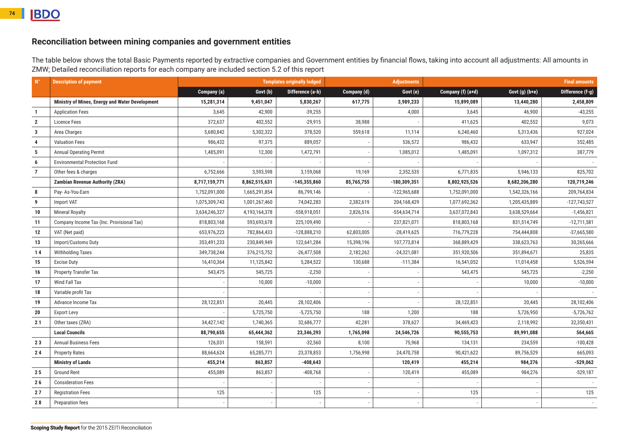### **Reconciliation between mining companies and government entities**

The table below shows the total Basic Payments reported by extractive companies and Government entities by financial flows, taking into account all adjustments: All amounts in ZMW; Detailed reconciliation reports for each company are included section 5.2 of this report

| $N^{\circ}$    | <b>Description of payment</b>                   |               |               | <b>Templates originally lodged</b> |             | <b>Adjustments</b> |                   | <b>Final amounts</b> |                  |  |
|----------------|-------------------------------------------------|---------------|---------------|------------------------------------|-------------|--------------------|-------------------|----------------------|------------------|--|
|                |                                                 | Company (a)   | Govt (b)      | Difference (a-b)                   | Company (d) | Govt (e)           | Company (f) (a+d) | Govt $(g)$ (b+e)     | Difference (f-g) |  |
|                | Ministry of Mines, Energy and Water Development | 15,281,314    | 9,451,047     | 5,830,267                          | 617,775     | 3,989,233          | 15,899,089        | 13,440,280           | 2,458,809        |  |
| -1             | <b>Application Fees</b>                         | 3,645         | 42,900        | $-39,255$                          |             | 4,000              | 3,645             | 46,900               | $-43,255$        |  |
| $\overline{2}$ | Licence Fees                                    | 372,637       | 402,552       | $-29,915$                          | 38,988      |                    | 411,625           | 402,552              | 9,073            |  |
| 3              | Area Charges                                    | 5,680,842     | 5,302,322     | 378,520                            | 559,618     | 11,114             | 6,240,460         | 5,313,436            | 927,024          |  |
| 4              | <b>Valuation Fees</b>                           | 986,432       | 97,375        | 889,057                            |             | 536,572            | 986,432           | 633,947              | 352,485          |  |
| 5              | <b>Annual Operating Permit</b>                  | 1,485,091     | 12,300        | 1,472,791                          |             | 1,085,012          | 1,485,091         | 1,097,312            | 387,779          |  |
| 6              | <b>Environmental Protection Fund</b>            |               |               |                                    |             |                    |                   |                      |                  |  |
| $\overline{7}$ | Other fees & charges                            | 6,752,666     | 3,593,598     | 3,159,068                          | 19,169      | 2,352,535          | 6,771,835         | 5,946,133            | 825,702          |  |
|                | <b>Zambian Revenue Authority (ZRA)</b>          | 8,717,159,771 | 8,862,515,631 | $-145,355,860$                     | 85,765,755  | $-180,309,351$     | 8,802,925,526     | 8,682,206,280        | 120,719,246      |  |
| 8              | Pay- As-You-Earn                                | 1,752,091,000 | 1,665,291,854 | 86,799,146                         |             | $-122,965,688$     | 1,752,091,000     | 1,542,326,166        | 209,764,834      |  |
| 9              | Import VAT                                      | 1,075,309,743 | 1,001,267,460 | 74,042,283                         | 2,382,619   | 204,168,429        | 1,077,692,362     | 1,205,435,889        | $-127,743,527$   |  |
| 10             | <b>Mineral Rovaltv</b>                          | 3,634,246,327 | 4,193,164,378 | $-558,918,051$                     | 2,826,516   | $-554,634,714$     | 3,637,072,843     | 3,638,529,664        | $-1,456,821$     |  |
| 11             | Company Income Tax (Inc. Provisional Tax)       | 818,803,168   | 593,693,678   | 225,109,490                        |             | 237,821,071        | 818,803,168       | 831,514,749          | $-12,711,581$    |  |
| 12             | VAT (Net paid)                                  | 653,976,223   | 782,864,433   | $-128,888,210$                     | 62,803,005  | $-28,419,625$      | 716,779,228       | 754,444,808          | $-37,665,580$    |  |
| 13             | Import/Customs Duty                             | 353,491,233   | 230,849,949   | 122,641,284                        | 15,398,196  | 107,773,814        | 368,889,429       | 338,623,763          | 30,265,666       |  |
| 14             | <b>Withholding Taxes</b>                        | 349,738,244   | 376,215,752   | $-26,477,508$                      | 2,182,262   | $-24,321,081$      | 351,920,506       | 351,894,671          | 25,835           |  |
| 15             | <b>Excise Duty</b>                              | 16,410,364    | 11,125,842    | 5,284,522                          | 130,688     | $-111,384$         | 16,541,052        | 11,014,458           | 5,526,594        |  |
| 16             | <b>Property Transfer Tax</b>                    | 543,475       | 545,725       | $-2,250$                           |             |                    | 543,475           | 545,725              | $-2,250$         |  |
| 17             | Wind Fall Tax                                   |               | 10,000        | $-10,000$                          |             |                    |                   | 10,000               | $-10,000$        |  |
| 18             | Variable profit Tax                             |               |               |                                    |             |                    |                   |                      |                  |  |
| 19             | Advance Income Tax                              | 28,122,851    | 20,445        | 28,102,406                         |             |                    | 28,122,851        | 20,445               | 28,102,406       |  |
| 20             | <b>Export Levy</b>                              |               | 5,725,750     | $-5,725,750$                       | 188         | 1,200              | 188               | 5,726,950            | $-5,726,762$     |  |
| 21             | Other taxes (ZRA)                               | 34,427,142    | 1,740,365     | 32,686,777                         | 42,281      | 378,627            | 34,469,423        | 2,118,992            | 32,350,431       |  |
|                | <b>Local Councils</b>                           | 88,790,655    | 65,444,362    | 23,346,293                         | 1,765,098   | 24,546,726         | 90,555,753        | 89,991,088           | 564,665          |  |
| 23             | <b>Annual Business Fees</b>                     | 126,031       | 158,591       | $-32,560$                          | 8,100       | 75,968             | 134,131           | 234,559              | $-100,428$       |  |
| 24             | <b>Property Rates</b>                           | 88,664,624    | 65,285,771    | 23,378,853                         | 1,756,998   | 24,470,758         | 90,421,622        | 89,756,529           | 665,093          |  |
|                | <b>Ministry of Lands</b>                        | 455,214       | 863,857       | $-408,643$                         |             | 120,419            | 455,214           | 984,276              | $-529,062$       |  |
| 25             | <b>Ground Rent</b>                              | 455,089       | 863,857       | $-408,768$                         |             | 120,419            | 455,089           | 984,276              | $-529,187$       |  |
| 26             | <b>Consideration Fees</b>                       |               |               |                                    |             |                    |                   |                      |                  |  |
| 27             | <b>Registration Fees</b>                        | 125           |               | 125                                |             |                    | 125               |                      | 125              |  |
| 28             | Preparation fees                                |               |               |                                    |             |                    |                   |                      |                  |  |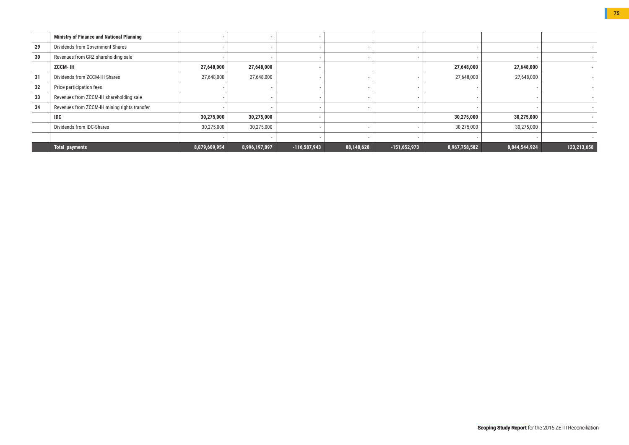|    | <b>Ministry of Finance and National Planning</b> |               |               |                |            |                |               |               |             |
|----|--------------------------------------------------|---------------|---------------|----------------|------------|----------------|---------------|---------------|-------------|
| 29 | Dividends from Government Shares                 |               |               |                |            |                |               |               |             |
| 30 | Revenues from GRZ shareholding sale              |               |               |                |            |                |               |               |             |
|    | <b>ZCCM-IH</b>                                   | 27,648,000    | 27,648,000    |                |            |                | 27,648,000    | 27,648,000    |             |
| 31 | Dividends from ZCCM-IH Shares                    | 27,648,000    | 27,648,000    |                |            |                | 27,648,000    | 27,648,000    |             |
| 32 | Price participation fees                         |               |               |                |            |                |               |               |             |
| 33 | Revenues from ZCCM-IH shareholding sale          |               |               |                |            |                |               |               |             |
| 34 | Revenues from ZCCM-IH mining rights transfer     |               |               |                |            |                |               |               | $\sim$      |
|    | <b>IDC</b>                                       | 30,275,000    | 30,275,000    |                |            |                | 30,275,000    | 30,275,000    |             |
|    | Dividends from IDC-Shares                        | 30,275,000    | 30,275,000    |                |            |                | 30,275,000    | 30,275,000    |             |
|    |                                                  |               |               |                |            |                |               |               |             |
|    | <b>Total payments</b>                            | 8,879,609,954 | 8,996,197,897 | $-116,587,943$ | 88,148,628 | $-151,652,973$ | 8,967,758,582 | 8,844,544,924 | 123,213,658 |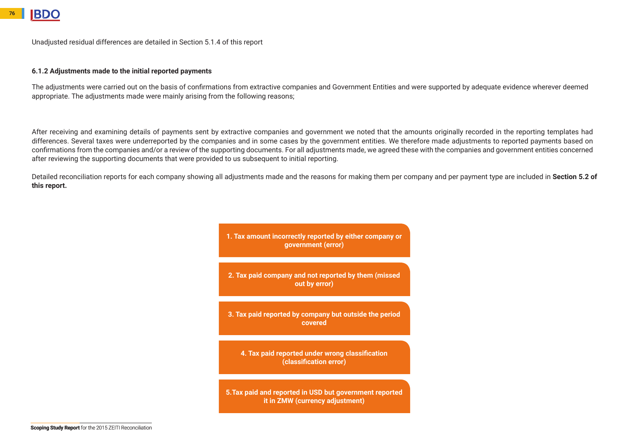

Unadjusted residual differences are detailed in Section 5.1.4 of this report

#### **6.1.2 Adjustments made to the initial reported payments**

The adjustments were carried out on the basis of confirmations from extractive companies and Government Entities and were supported by adequate evidence wherever deemed appropriate. The adjustments made were mainly arising from the following reasons;

After receiving and examining details of payments sent by extractive companies and government we noted that the amounts originally recorded in the reporting templates had differences. Several taxes were underreported by the companies and in some cases by the government entities. We therefore made adjustments to reported payments based on confirmations from the companies and/or a review of the supporting documents. For all adjustments made, we agreed these with the companies and government entities concerned after reviewing the supporting documents that were provided to us subsequent to initial reporting.

Detailed reconciliation reports for each company showing all adjustments made and the reasons for making them per company and per payment type are included in **Section 5.2 of this report.**

> **1. Tax amount incorrectly reported by either company or government (error)**

> **2. Tax paid company and not reported by them (missed out by error)**

> **3. Tax paid reported by company but outside the period covered**

**4. Tax paid reported under wrong classification (classification error)** 

**5.Tax paid and reported in USD but government reported it in ZMW (currency adjustment)**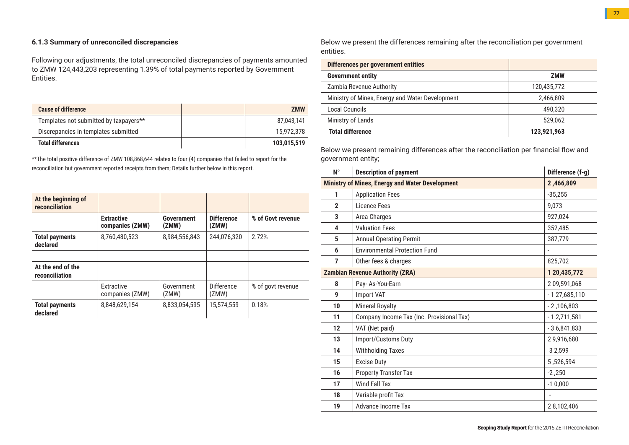### **6.1.3 Summary of unreconciled discrepancies**

Following our adjustments, the total unreconciled discrepancies of payments amounted to ZMW 124,443,203 representing 1.39% of total payments reported by Government Entities.

| <b>Cause of difference</b>             | <b>ZMW</b>  |
|----------------------------------------|-------------|
| Templates not submitted by taxpayers** | 87.043.141  |
| Discrepancies in templates submitted   | 15.972.378  |
| <b>Total differences</b>               | 103,015,519 |

\*\*The total positive difference of ZMW 108,868,644 relates to four (4) companies that failed to report for the reconciliation but government reported receipts from them; Details further below in this report.

| At the beginning of<br><b>reconciliation</b> |                                      |                     |                            |                   |
|----------------------------------------------|--------------------------------------|---------------------|----------------------------|-------------------|
|                                              | <b>Extractive</b><br>companies (ZMW) | Government<br>(ZMW) | <b>Difference</b><br>(ZMW) | % of Govt revenue |
| <b>Total payments</b><br>declared            | 8,760,480,523                        | 8,984,556,843       | 244,076,320                | 2.72%             |
|                                              |                                      |                     |                            |                   |
| At the end of the<br>reconciliation          |                                      |                     |                            |                   |
|                                              | <b>Extractive</b><br>companies (ZMW) | Government<br>(ZMW) | Difference<br>(ZMW)        | % of govt revenue |
| <b>Total payments</b><br>declared            | 8.848.629.154                        | 8.833.054.595       | 15.574.559                 | 0.18%             |

Below we present the differences remaining after the reconciliation per government entities.

| Differences per government entities             |             |
|-------------------------------------------------|-------------|
| <b>Government entity</b>                        | <b>ZMW</b>  |
| Zambia Revenue Authority                        | 120,435,772 |
| Ministry of Mines, Energy and Water Development | 2,466,809   |
| Local Councils                                  | 490.320     |
| Ministry of Lands                               | 529.062     |
| <b>Total difference</b>                         | 123,921,963 |

Below we present remaining differences after the reconciliation per financial flow and government entity;

| $N^{\circ}$       | <b>Description of payment</b>                          | Difference (f-g) |
|-------------------|--------------------------------------------------------|------------------|
|                   | <b>Ministry of Mines, Energy and Water Development</b> | 2,466,809        |
| 1                 | <b>Application Fees</b>                                | $-35,255$        |
| $\mathbf{2}$      | Licence Fees                                           | 9.073            |
| 3                 | Area Charges                                           | 927,024          |
| 4                 | <b>Valuation Fees</b>                                  | 352,485          |
| 5                 | <b>Annual Operating Permit</b>                         | 387,779          |
| 6                 | <b>Environmental Protection Fund</b>                   |                  |
| 7                 | Other fees & charges                                   | 825,702          |
|                   | <b>Zambian Revenue Authority (ZRA)</b>                 | 1 20,435,772     |
| 8                 | Pay-As-You-Earn                                        | 2 09,591,068     |
| 9                 | <b>Import VAT</b>                                      | $-127,685,110$   |
| 10                | <b>Mineral Royalty</b>                                 | $-2,106,803$     |
| 11                | Company Income Tax (Inc. Provisional Tax)              | $-12,711,581$    |
| $12 \overline{ }$ | VAT (Net paid)                                         | $-36,841,833$    |
| 13                | Import/Customs Duty                                    | 29,916,680       |
| 14                | <b>Withholding Taxes</b>                               | 3 2,599          |
| 15                | <b>Excise Duty</b>                                     | 5,526,594        |
| 16                | Property Transfer Tax                                  | $-2,250$         |
| 17                | <b>Wind Fall Tax</b>                                   | $-10,000$        |
| 18                | Variable profit Tax                                    |                  |
| 19                | Advance Income Tax                                     | 28,102,406       |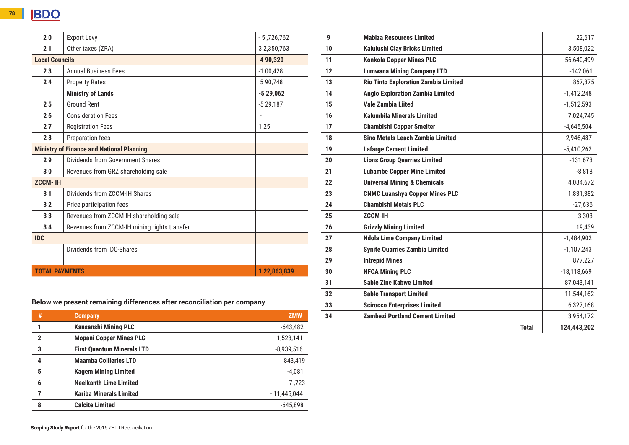| 20                    | <b>Export Levy</b>                               | $-5,726,762$ |
|-----------------------|--------------------------------------------------|--------------|
| 21                    | Other taxes (ZRA)                                | 3 2,350,763  |
| <b>Local Councils</b> |                                                  | 4 90,320     |
| 23                    | <b>Annual Business Fees</b>                      | $-100,428$   |
| 24                    | <b>Property Rates</b>                            | 5 90,748     |
|                       | <b>Ministry of Lands</b>                         | $-529,062$   |
| 25                    | <b>Ground Rent</b>                               | $-529,187$   |
| 26                    | <b>Consideration Fees</b>                        |              |
| 27                    | <b>Registration Fees</b>                         | 1 2 5        |
| 28                    | Preparation fees                                 |              |
|                       | <b>Ministry of Finance and National Planning</b> |              |
| 29                    | Dividends from Government Shares                 |              |
| 30                    | Revenues from GRZ shareholding sale              |              |
| <b>ZCCM-IH</b>        |                                                  |              |
| 31                    | Dividends from ZCCM-IH Shares                    |              |
| 32                    | Price participation fees                         |              |
| 33                    | Revenues from ZCCM-IH shareholding sale          |              |
| 34                    | Revenues from ZCCM-IH mining rights transfer     |              |
| <b>IDC</b>            |                                                  |              |
|                       | Dividends from IDC-Shares                        |              |
|                       |                                                  |              |
| <b>TOTAL PAYMENTS</b> |                                                  | 122,863,839  |

### **Below we present remaining differences after reconciliation per company**

| #            | <b>Company</b>                    | <b>ZMW</b>    |
|--------------|-----------------------------------|---------------|
|              | <b>Kansanshi Mining PLC</b>       | $-643,482$    |
| $\mathbf{2}$ | <b>Mopani Copper Mines PLC</b>    | $-1,523,141$  |
| 3            | <b>First Quantum Minerals LTD</b> | $-8,939,516$  |
| 4            | <b>Maamba Collieries LTD</b>      | 843,419       |
| 5            | <b>Kagem Mining Limited</b>       | $-4,081$      |
| 6            | <b>Neelkanth Lime Limited</b>     | 7,723         |
|              | <b>Kariba Minerals Limited</b>    | $-11,445,044$ |
| 8            | <b>Calcite Limited</b>            | $-645,898$    |

| 9  | <b>Mabiza Resources Limited</b>             | 22,617        |
|----|---------------------------------------------|---------------|
| 10 | Kalulushi Clay Bricks Limited               | 3,508,022     |
| 11 | <b>Konkola Copper Mines PLC</b>             | 56,640,499    |
| 12 | <b>Lumwana Mining Company LTD</b>           | $-142,061$    |
| 13 | <b>Rio Tinto Exploration Zambia Limited</b> | 867,375       |
| 14 | <b>Anglo Exploration Zambia Limited</b>     | $-1,412,248$  |
| 15 | <b>Vale Zambia Liited</b>                   | $-1,512,593$  |
| 16 | <b>Kalumbila Minerals Limited</b>           | 7,024,745     |
| 17 | <b>Chambishi Copper Smelter</b>             | $-4,645,504$  |
| 18 | <b>Sino Metals Leach Zambia Limited</b>     | $-2,946,487$  |
| 19 | <b>Lafarge Cement Limited</b>               | $-5,410,262$  |
| 20 | <b>Lions Group Quarries Limited</b>         | $-131,673$    |
| 21 | <b>Lubambe Copper Mine Limited</b>          | $-8,818$      |
| 22 | <b>Universal Mining &amp; Chemicals</b>     | 4,084,672     |
| 23 | <b>CNMC Luanshya Copper Mines PLC</b>       | 1,831,382     |
| 24 | <b>Chambishi Metals PLC</b>                 | $-27,636$     |
| 25 | <b>ZCCM-IH</b>                              | $-3,303$      |
| 26 | <b>Grizzly Mining Limited</b>               | 19,439        |
| 27 | <b>Ndola Lime Company Limited</b>           | $-1,484,902$  |
| 28 | <b>Synite Quarries Zambia Limited</b>       | $-1,107,243$  |
| 29 | <b>Intrepid Mines</b>                       | 877,227       |
| 30 | <b>NFCA Mining PLC</b>                      | $-18,118,669$ |
| 31 | <b>Sable Zinc Kabwe Limited</b>             | 87,043,141    |
| 32 | <b>Sable Transport Limited</b>              | 11,544,162    |
| 33 | <b>Scirocco Enterprises Limited</b>         | 6,327,168     |
| 34 | <b>Zambezi Portland Cement Limited</b>      | 3,954,172     |
|    | <b>Total</b>                                | 124,443,202   |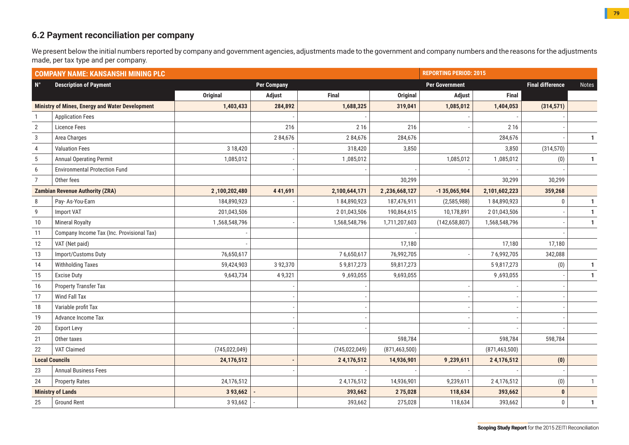### **6.2 Payment reconciliation per company**

We present below the initial numbers reported by company and government agencies, adjustments made to the government and company numbers and the reasons for the adjustments made, per tax type and per company.

|                       | <b>COMPANY NAME: KANSANSHI MINING PLC</b>              | <b>REPORTING PERIOD: 2015</b> |                    |                 |                 |                       |                 |                         |                |
|-----------------------|--------------------------------------------------------|-------------------------------|--------------------|-----------------|-----------------|-----------------------|-----------------|-------------------------|----------------|
| $N^{\circ}$           | <b>Description of Payment</b>                          |                               | <b>Per Company</b> |                 |                 | <b>Per Government</b> |                 | <b>Final difference</b> | Notes          |
|                       |                                                        | <b>Original</b>               | Adjust             | Final           | <b>Original</b> | <b>Adjust</b>         | <b>Final</b>    |                         |                |
|                       | <b>Ministry of Mines, Energy and Water Development</b> | 1,403,433                     | 284,892            | 1,688,325       | 319,041         | 1,085,012             | 1,404,053       | (314, 571)              |                |
|                       | <b>Application Fees</b>                                |                               |                    |                 |                 |                       |                 |                         |                |
| 2                     | Licence Fees                                           |                               | 216                | 2 1 6           | 216             |                       | 2 1 6           |                         |                |
| 3                     | Area Charges                                           |                               | 284,676            | 284,676         | 284,676         |                       | 284,676         |                         | $\mathbf{1}$   |
| $\overline{4}$        | <b>Valuation Fees</b>                                  | 3 18,420                      |                    | 318,420         | 3,850           |                       | 3,850           | (314, 570)              |                |
| 5                     | <b>Annual Operating Permit</b>                         | 1,085,012                     |                    | 1,085,012       |                 | 1,085,012             | 1,085,012       | (0)                     | $\mathbf{1}$   |
| 6                     | <b>Environmental Protection Fund</b>                   |                               |                    |                 |                 |                       |                 |                         |                |
| $\overline{7}$        | Other fees                                             |                               |                    |                 | 30,299          |                       | 30,299          | 30,299                  |                |
|                       | <b>Zambian Revenue Authority (ZRA)</b>                 | 2,100,202,480                 | 4 41,691           | 2,100,644,171   | 2,236,668,127   | $-135,065,904$        | 2,101,602,223   | 359,268                 |                |
| 8                     | Pay- As-You-Earn                                       | 184,890,923                   |                    | 184,890,923     | 187,476,911     | (2,585,988)           | 184,890,923     | $\mathbf{0}$            | $\mathbf{1}$   |
| 9                     | <b>Import VAT</b>                                      | 201,043,506                   |                    | 2 01,043,506    | 190,864,615     | 10,178,891            | 2 01,043,506    |                         | $\mathbf{1}$   |
| 10                    | <b>Mineral Royalty</b>                                 | 1,568,548,796                 |                    | 1,568,548,796   | 1,711,207,603   | (142, 658, 807)       | 1,568,548,796   |                         | $\mathbf{1}$   |
| 11                    | Company Income Tax (Inc. Provisional Tax)              |                               |                    |                 |                 |                       |                 |                         |                |
| 12                    | VAT (Net paid)                                         |                               |                    |                 | 17,180          |                       | 17,180          | 17,180                  |                |
| 13                    | Import/Customs Duty                                    | 76,650,617                    |                    | 76,650,617      | 76,992,705      |                       | 76,992,705      | 342,088                 |                |
| 14                    | <b>Withholding Taxes</b>                               | 59,424,903                    | 3 92,370           | 59,817,273      | 59,817,273      |                       | 59,817,273      | (0)                     | $\overline{1}$ |
| 15                    | <b>Excise Duty</b>                                     | 9,643,734                     | 49,321             | 9,693,055       | 9,693,055       |                       | 9,693,055       |                         | $\mathbf{1}$   |
| 16                    | Property Transfer Tax                                  |                               |                    |                 |                 |                       |                 |                         |                |
| 17                    | Wind Fall Tax                                          |                               |                    |                 |                 |                       |                 |                         |                |
| 18                    | Variable profit Tax                                    |                               |                    |                 |                 |                       |                 |                         |                |
| 19                    | Advance Income Tax                                     |                               |                    |                 |                 |                       |                 |                         |                |
| 20                    | <b>Export Levy</b>                                     |                               |                    |                 |                 |                       |                 |                         |                |
| 21                    | Other taxes                                            |                               |                    |                 | 598,784         |                       | 598,784         | 598,784                 |                |
| 22                    | <b>VAT Claimed</b>                                     | (745, 022, 049)               |                    | (745, 022, 049) | (871, 463, 500) |                       | (871, 463, 500) |                         |                |
| <b>Local Councils</b> |                                                        | 24,176,512                    |                    | 24,176,512      | 14,936,901      | 9,239,611             | 24,176,512      | (0)                     |                |
| 23                    | <b>Annual Business Fees</b>                            |                               |                    |                 |                 |                       |                 |                         |                |
| 24                    | <b>Property Rates</b>                                  | 24,176,512                    |                    | 24,176,512      | 14,936,901      | 9,239,611             | 24,176,512      | (0)                     | $\mathbf{1}$   |
|                       | <b>Ministry of Lands</b>                               | 3 93,662                      |                    | 393,662         | 275,028         | 118,634               | 393,662         | $\mathbf{0}$            |                |
| 25                    | <b>Ground Rent</b>                                     | 3 93,662                      |                    | 393,662         | 275,028         | 118,634               | 393,662         | $\mathbf 0$             | $\mathbf{1}$   |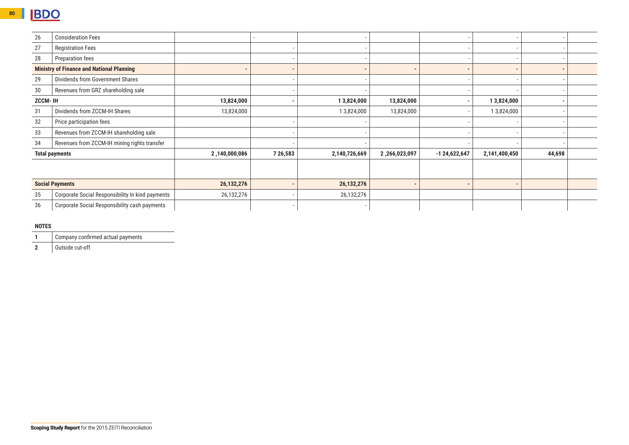| 26                                               | <b>Consideration Fees</b>                        |               |          |               |               |                |               |        |  |
|--------------------------------------------------|--------------------------------------------------|---------------|----------|---------------|---------------|----------------|---------------|--------|--|
| 27                                               | <b>Registration Fees</b>                         |               |          |               |               |                |               |        |  |
| 28                                               | Preparation fees                                 |               |          |               |               |                |               |        |  |
| <b>Ministry of Finance and National Planning</b> |                                                  |               |          |               |               |                |               |        |  |
| 29                                               | Dividends from Government Shares                 |               |          |               |               |                |               |        |  |
| 30                                               | Revenues from GRZ shareholding sale              |               |          |               |               |                |               |        |  |
| <b>ZCCM-IH</b>                                   |                                                  | 13,824,000    |          | 13,824,000    | 13,824,000    |                | 13,824,000    |        |  |
| 31                                               | Dividends from ZCCM-IH Shares                    | 13,824,000    |          | 1 3,824,000   | 13,824,000    |                | 1 3,824,000   |        |  |
| 32                                               | Price participation fees                         |               |          |               |               |                |               |        |  |
| 33                                               | Revenues from ZCCM-IH shareholding sale          |               |          |               |               |                |               |        |  |
| 34                                               | Revenues from ZCCM-IH mining rights transfer     |               |          |               |               |                |               |        |  |
|                                                  | <b>Total payments</b>                            | 2,140,000,086 | 7 26,583 | 2,140,726,669 | 2,266,023,097 | $-124,622,647$ | 2,141,400,450 | 44,698 |  |
|                                                  |                                                  |               |          |               |               |                |               |        |  |
|                                                  | <b>Social Payments</b>                           | 26,132,276    |          | 26,132,276    |               |                |               |        |  |
| 35                                               | Corporate Social Responsibility In kind payments | 26,132,276    |          | 26,132,276    |               |                |               |        |  |
| 36                                               | Corporate Social Responsibility cash payments    |               |          |               |               |                |               |        |  |

**1** Company confirmed actual payments<br>**2** Outside cut-off

Outside cut-off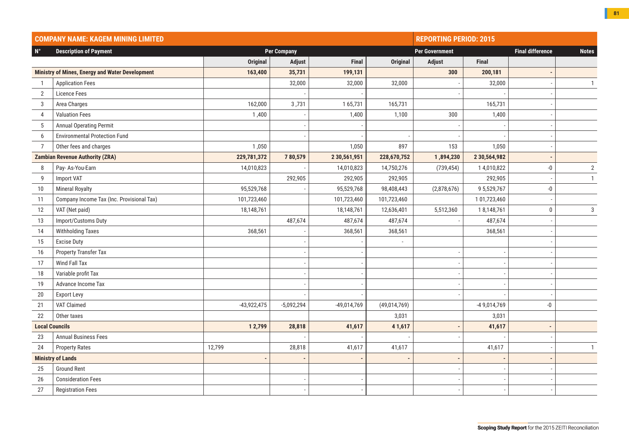|                | <b>COMPANY NAME: KAGEM MINING LIMITED</b>              |                 |                    |              |                 | <b>REPORTING PERIOD: 2015</b> |              |                         |                |
|----------------|--------------------------------------------------------|-----------------|--------------------|--------------|-----------------|-------------------------------|--------------|-------------------------|----------------|
| $N^{\circ}$    | <b>Description of Payment</b>                          |                 | <b>Per Company</b> |              |                 | <b>Per Government</b>         |              | <b>Final difference</b> | <b>Notes</b>   |
|                |                                                        | <b>Original</b> | <b>Adjust</b>      | <b>Final</b> | <b>Original</b> | <b>Adjust</b>                 | <b>Final</b> |                         |                |
|                | <b>Ministry of Mines, Energy and Water Development</b> | 163,400         | 35,731             | 199,131      |                 | 300                           | 200,181      |                         |                |
| -1             | <b>Application Fees</b>                                |                 | 32,000             | 32,000       | 32,000          |                               | 32,000       |                         | $\mathbf{1}$   |
| $\mathbf{2}$   | <b>Licence Fees</b>                                    |                 |                    |              |                 |                               |              |                         |                |
| 3              | Area Charges                                           | 162,000         | 3,731              | 165,731      | 165,731         |                               | 165,731      |                         |                |
| $\overline{4}$ | <b>Valuation Fees</b>                                  | 1,400           |                    | 1,400        | 1,100           | 300                           | 1,400        |                         |                |
| $\,$ 5 $\,$    | <b>Annual Operating Permit</b>                         |                 |                    |              |                 |                               |              |                         |                |
| 6              | <b>Environmental Protection Fund</b>                   |                 |                    |              |                 |                               |              |                         |                |
| $\overline{7}$ | Other fees and charges                                 | 1,050           |                    | 1,050        | 897             | 153                           | 1,050        |                         |                |
|                | <b>Zambian Revenue Authority (ZRA)</b>                 | 229,781,372     | 780,579            | 2 30,561,951 | 228,670,752     | 1,894,230                     | 2 30,564,982 |                         |                |
| 8              | Pay- As-You-Earn                                       | 14,010,823      |                    | 14,010,823   | 14,750,276      | (739, 454)                    | 14,010,822   | -0                      | $\overline{2}$ |
| 9              | <b>Import VAT</b>                                      |                 | 292,905            | 292,905      | 292,905         |                               | 292,905      |                         | $\mathbf{1}$   |
| 10             | <b>Mineral Royalty</b>                                 | 95,529,768      |                    | 95,529,768   | 98,408,443      | (2,878,676)                   | 9 5,529,767  | -0                      |                |
| 11             | Company Income Tax (Inc. Provisional Tax)              | 101,723,460     |                    | 101,723,460  | 101,723,460     |                               | 1 01,723,460 |                         |                |
| 12             | VAT (Net paid)                                         | 18,148,761      |                    | 18,148,761   | 12,636,401      | 5,512,360                     | 18,148,761   | $\mathbf 0$             | $\mathbf{3}$   |
| 13             | Import/Customs Duty                                    |                 | 487,674            | 487,674      | 487,674         |                               | 487,674      |                         |                |
| 14             | <b>Withholding Taxes</b>                               | 368,561         |                    | 368,561      | 368,561         |                               | 368,561      |                         |                |
| 15             | <b>Excise Duty</b>                                     |                 |                    |              | $\sim$          |                               |              |                         |                |
| 16             | Property Transfer Tax                                  |                 |                    |              |                 |                               |              |                         |                |
| 17             | Wind Fall Tax                                          |                 |                    |              |                 |                               |              |                         |                |
| 18             | Variable profit Tax                                    |                 |                    |              |                 |                               |              |                         |                |
| 19             | Advance Income Tax                                     |                 |                    |              |                 |                               |              |                         |                |
| 20             | <b>Export Levy</b>                                     |                 |                    |              |                 |                               |              |                         |                |
| 21             | <b>VAT Claimed</b>                                     | $-43,922,475$   | $-5,092,294$       | -49,014,769  | (49,014,769)    |                               | -4 9,014,769 | -0                      |                |
| 22             | Other taxes                                            |                 |                    |              | 3,031           |                               | 3,031        |                         |                |
|                | <b>Local Councils</b>                                  | 12,799          | 28,818             | 41,617       | 4 1,617         | ×,                            | 41,617       |                         |                |
| 23             | <b>Annual Business Fees</b>                            |                 |                    |              |                 |                               |              |                         |                |
| 24             | <b>Property Rates</b>                                  | 12,799          | 28,818             | 41,617       | 41,617          |                               | 41,617       |                         | $\mathbf{1}$   |
|                | <b>Ministry of Lands</b>                               |                 |                    |              |                 | ×,                            |              |                         |                |
| 25             | <b>Ground Rent</b>                                     |                 |                    |              |                 |                               |              |                         |                |
| $26\,$         | <b>Consideration Fees</b>                              |                 |                    |              |                 |                               |              |                         |                |
| 27             | <b>Registration Fees</b>                               |                 |                    |              |                 |                               |              |                         |                |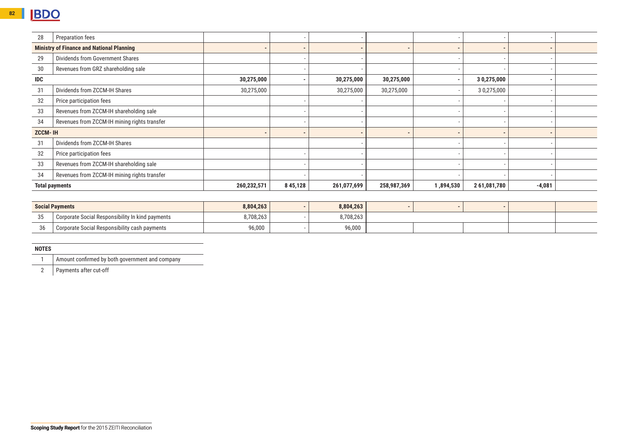| 28             | Preparation fees                                 |             |                |             |             |           |             |          |  |
|----------------|--------------------------------------------------|-------------|----------------|-------------|-------------|-----------|-------------|----------|--|
|                | <b>Ministry of Finance and National Planning</b> |             | $\blacksquare$ |             |             |           |             |          |  |
| 29             | Dividends from Government Shares                 |             |                |             |             |           |             |          |  |
| 30             | Revenues from GRZ shareholding sale              |             |                |             |             |           |             |          |  |
| <b>IDC</b>     |                                                  | 30,275,000  |                | 30,275,000  | 30,275,000  |           | 3 0,275,000 |          |  |
| 31             | Dividends from ZCCM-IH Shares                    | 30,275,000  |                | 30,275,000  | 30,275,000  |           | 3 0,275,000 |          |  |
| 32             | Price participation fees                         |             |                |             |             |           |             |          |  |
| 33             | Revenues from ZCCM-IH shareholding sale          |             |                |             |             |           |             |          |  |
| 34             | Revenues from ZCCM-IH mining rights transfer     |             |                |             |             |           |             |          |  |
| <b>ZCCM-IH</b> |                                                  |             |                |             |             |           |             |          |  |
| 31             | Dividends from ZCCM-IH Shares                    |             |                |             |             |           |             |          |  |
| 32             | Price participation fees                         |             |                |             |             |           |             |          |  |
| 33             | Revenues from ZCCM-IH shareholding sale          |             |                |             |             |           |             |          |  |
| 34             | Revenues from ZCCM-IH mining rights transfer     |             |                |             |             |           |             |          |  |
|                | <b>Total payments</b>                            | 260,232,571 | 8 45,128       | 261,077,699 | 258,987,369 | 1,894,530 | 261,081,780 | $-4,081$ |  |

|    | <b>Social Payments</b>                           | 8,804,263        | 8.804.263 |  |  |  |
|----|--------------------------------------------------|------------------|-----------|--|--|--|
| 35 | Corporate Social Responsibility In kind payments | <u>3,708,263</u> | 8,708,263 |  |  |  |
| 36 | Corporate Social Responsibility cash payments    | 96,000           | 96,000    |  |  |  |

1 Amount confirmed by both government and company

2 Payments after cut-off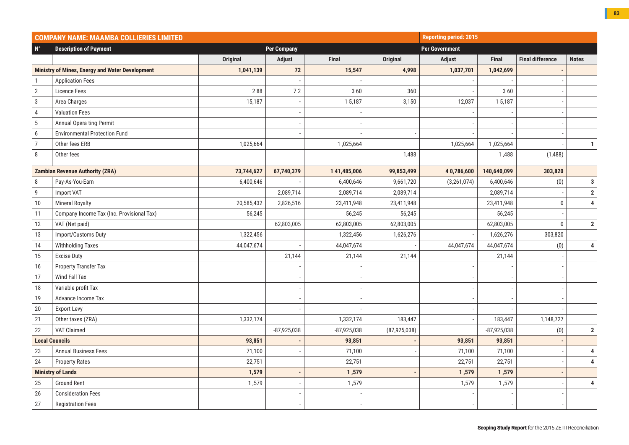|                | <b>Reporting period: 2015</b><br><b>COMPANY NAME: MAAMBA COLLIERIES LIMITED</b> |                 |                          |                          |                 |                       |                          |                         |                         |  |
|----------------|---------------------------------------------------------------------------------|-----------------|--------------------------|--------------------------|-----------------|-----------------------|--------------------------|-------------------------|-------------------------|--|
| $N^{\circ}$    | <b>Description of Payment</b>                                                   |                 | <b>Per Company</b>       |                          |                 | <b>Per Government</b> |                          |                         |                         |  |
|                |                                                                                 | <b>Original</b> | <b>Adjust</b>            | Final                    | <b>Original</b> | <b>Adjust</b>         | Final                    | <b>Final difference</b> | <b>Notes</b>            |  |
|                | <b>Ministry of Mines, Energy and Water Development</b>                          | 1,041,139       | 72                       | 15,547                   | 4,998           | 1,037,701             | 1,042,699                |                         |                         |  |
|                | <b>Application Fees</b>                                                         |                 |                          |                          |                 |                       |                          |                         |                         |  |
| $\sqrt{2}$     | Licence Fees                                                                    | 288             | 72                       | 360                      | 360             |                       | 360                      |                         |                         |  |
| 3              | Area Charges                                                                    | 15,187          |                          | 15,187                   | 3,150           | 12,037                | 15,187                   |                         |                         |  |
| 4              | <b>Valuation Fees</b>                                                           |                 |                          |                          |                 |                       |                          |                         |                         |  |
| 5              | Annual Opera ting Permit                                                        |                 |                          |                          |                 |                       |                          |                         |                         |  |
| 6              | <b>Environmental Protection Fund</b>                                            |                 |                          |                          |                 |                       |                          |                         |                         |  |
| $\overline{7}$ | Other fees ERB                                                                  | 1,025,664       |                          | 1,025,664                |                 | 1,025,664             | 1,025,664                |                         | $\mathbf{1}$            |  |
| 8              | Other fees                                                                      |                 |                          |                          | 1,488           |                       | 1,488                    | (1, 488)                |                         |  |
|                | <b>Zambian Revenue Authority (ZRA)</b>                                          | 73,744,627      | 67,740,379               | 141,485,006              | 99,853,499      | 40,786,600            | 140,640,099              | 303,820                 |                         |  |
| 8              | Pay-As-You-Earn                                                                 | 6,400,646       |                          | 6,400,646                | 9,661,720       | (3,261,074)           | 6,400,646                | (0)                     | $\mathbf 3$             |  |
| 9              | <b>Import VAT</b>                                                               |                 | 2,089,714                | 2,089,714                | 2,089,714       |                       | 2,089,714                |                         | $\mathbf{2}$            |  |
| 10             | <b>Mineral Royalty</b>                                                          | 20,585,432      | 2,826,516                | 23,411,948               | 23,411,948      |                       | 23,411,948               | 0                       | $\overline{\mathbf{4}}$ |  |
| 11             | Company Income Tax (Inc. Provisional Tax)                                       | 56,245          |                          | 56,245                   | 56,245          |                       | 56,245                   |                         |                         |  |
| 12             | VAT (Net paid)                                                                  |                 | 62,803,005               | 62,803,005               | 62,803,005      |                       | 62,803,005               | 0                       | $\mathbf{2}$            |  |
| 13             | Import/Customs Duty                                                             | 1,322,456       |                          | 1,322,456                | 1,626,276       |                       | 1,626,276                | 303,820                 |                         |  |
| 14             | <b>Withholding Taxes</b>                                                        | 44,047,674      |                          | 44,047,674               |                 | 44,047,674            | 44,047,674               | (0)                     | 4                       |  |
| 15             | <b>Excise Duty</b>                                                              |                 | 21,144                   | 21,144                   | 21,144          |                       | 21,144                   |                         |                         |  |
| 16             | <b>Property Transfer Tax</b>                                                    |                 |                          |                          |                 |                       |                          |                         |                         |  |
| 17             | Wind Fall Tax                                                                   |                 |                          |                          |                 |                       |                          |                         |                         |  |
| 18             | Variable profit Tax                                                             |                 |                          |                          |                 |                       |                          |                         |                         |  |
| 19             | Advance Income Tax                                                              |                 |                          |                          |                 |                       |                          |                         |                         |  |
| 20             | <b>Export Levy</b>                                                              |                 |                          |                          |                 |                       |                          |                         |                         |  |
| 21             | Other taxes (ZRA)                                                               | 1,332,174       |                          | 1,332,174                | 183,447         |                       | 183,447                  | 1,148,727               |                         |  |
| 22             | <b>VAT Claimed</b>                                                              |                 | $-87,925,038$            | $-87,925,038$            | (87,925,038)    |                       | $-87,925,038$            | (0)                     | $\mathbf{2}$            |  |
|                | <b>Local Councils</b>                                                           | 93,851          |                          | 93,851                   |                 | 93,851                | 93,851                   |                         |                         |  |
| 23             | <b>Annual Business Fees</b>                                                     | 71,100          |                          | 71,100                   |                 | 71,100                | 71,100                   |                         | 4                       |  |
| 24             | <b>Property Rates</b>                                                           | 22,751          |                          | 22,751                   |                 | 22,751                | 22,751                   |                         | 4                       |  |
|                | <b>Ministry of Lands</b>                                                        | 1,579           |                          | 1,579                    |                 | 1,579                 | 1,579                    |                         |                         |  |
| 25             | <b>Ground Rent</b>                                                              | 1,579           |                          | 1,579                    |                 | 1,579                 | 1,579                    |                         | 4                       |  |
| 26             | <b>Consideration Fees</b>                                                       |                 |                          |                          |                 |                       |                          |                         |                         |  |
| 27             | <b>Registration Fees</b>                                                        |                 | $\overline{\phantom{a}}$ | $\overline{\phantom{a}}$ |                 |                       | $\overline{\phantom{a}}$ |                         |                         |  |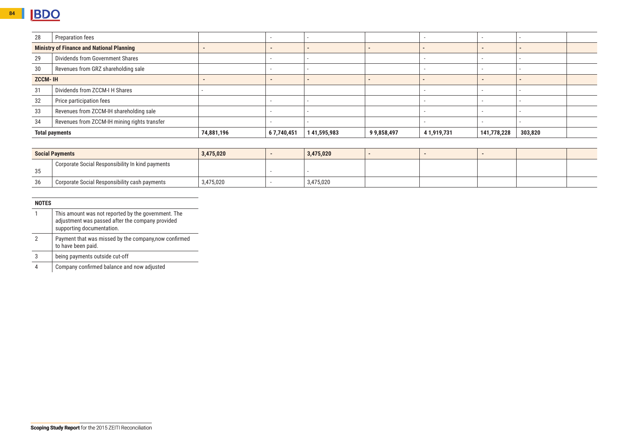| 28             | Preparation fees                                 |            |                          |             |             |            | $\sim$                   |         |  |
|----------------|--------------------------------------------------|------------|--------------------------|-------------|-------------|------------|--------------------------|---------|--|
|                | <b>Ministry of Finance and National Planning</b> |            | $\overline{a}$           |             |             |            | $\overline{\phantom{a}}$ |         |  |
| 29             | Dividends from Government Shares                 |            | $\overline{\phantom{a}}$ |             |             |            | $\overline{\phantom{a}}$ |         |  |
| 30             | Revenues from GRZ shareholding sale              |            | $\overline{\phantom{a}}$ |             |             |            | $\sim$                   |         |  |
| <b>ZCCM-IH</b> |                                                  |            |                          |             |             |            | $\sim$                   |         |  |
| 31             | Dividends from ZCCM-I H Shares                   |            |                          |             |             |            | $\sim$                   |         |  |
| 32             | Price participation fees                         |            |                          |             |             |            |                          |         |  |
| 33             | Revenues from ZCCM-IH shareholding sale          |            | $\overline{\phantom{a}}$ |             |             |            | $\overline{\phantom{a}}$ |         |  |
| 34             | Revenues from ZCCM-IH mining rights transfer     |            | $\overline{\phantom{a}}$ |             |             |            | $\overline{\phantom{a}}$ |         |  |
|                | <b>Total payments</b>                            | 74,881,196 | 67,740,451               | 141,595,983 | 9 9,858,497 | 41,919,731 | 141,778,228              | 303,820 |  |

| <b>Social Payments</b> |                                                  | 3,475,020 | 3,475,020 |  |  |  |
|------------------------|--------------------------------------------------|-----------|-----------|--|--|--|
| 35                     | Corporate Social Responsibility In kind payments |           |           |  |  |  |
| 36                     | Corporate Social Responsibility cash payments    | 3,475,020 | 3,475,020 |  |  |  |

| <b>NOTES</b> |                                                                                                                                      |
|--------------|--------------------------------------------------------------------------------------------------------------------------------------|
|              | This amount was not reported by the government. The<br>adjustment was passed after the company provided<br>supporting documentation. |
|              | Payment that was missed by the company, now confirmed<br>to have been paid.                                                          |
| 3            | being payments outside cut-off                                                                                                       |
| 4            | Company confirmed balance and now adjusted                                                                                           |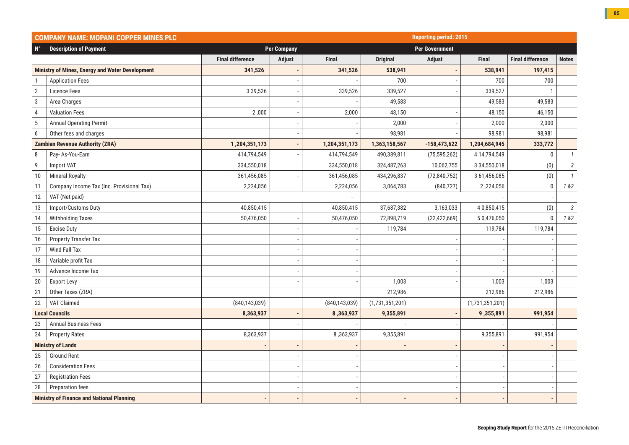|                | <b>Reporting period: 2015</b><br><b>COMPANY NAME: MOPANI COPPER MINES PLC</b> |                         |                          |                 |                 |                       |                 |                         |               |
|----------------|-------------------------------------------------------------------------------|-------------------------|--------------------------|-----------------|-----------------|-----------------------|-----------------|-------------------------|---------------|
| $N^{\circ}$    | <b>Description of Payment</b>                                                 |                         | <b>Per Company</b>       |                 |                 | <b>Per Government</b> |                 |                         |               |
|                |                                                                               | <b>Final difference</b> | Adjust                   | <b>Final</b>    | <b>Original</b> | <b>Adjust</b>         | <b>Final</b>    | <b>Final difference</b> | <b>Notes</b>  |
|                | <b>Ministry of Mines, Energy and Water Development</b>                        | 341,526                 |                          | 341,526         | 538,941         |                       | 538,941         | 197,415                 |               |
| -1             | <b>Application Fees</b>                                                       |                         |                          |                 | 700             |                       | 700             | 700                     |               |
| $\overline{2}$ | Licence Fees                                                                  | 3 39,526                |                          | 339,526         | 339,527         |                       | 339,527         |                         |               |
| $\mathbf{3}$   | Area Charges                                                                  |                         |                          |                 | 49,583          |                       | 49,583          | 49,583                  |               |
| 4              | <b>Valuation Fees</b>                                                         | 2,000                   | $\overline{\phantom{a}}$ | 2,000           | 48,150          |                       | 48,150          | 46,150                  |               |
| 5              | <b>Annual Operating Permit</b>                                                |                         | $\overline{\phantom{a}}$ |                 | 2,000           |                       | 2,000           | 2,000                   |               |
| 6              | Other fees and charges                                                        |                         |                          |                 | 98,981          |                       | 98,981          | 98,981                  |               |
|                | <b>Zambian Revenue Authority (ZRA)</b>                                        | 1,204,351,173           | ÷                        | 1,204,351,173   | 1,363,158,567   | $-158,473,622$        | 1,204,684,945   | 333,772                 |               |
| 8              | Pay- As-You-Earn                                                              | 414,794,549             |                          | 414,794,549     | 490,389,811     | (75, 595, 262)        | 4 14,794,549    | $\mathbf{0}$            | $\mathcal{I}$ |
| 9              | <b>Import VAT</b>                                                             | 334,550,018             |                          | 334,550,018     | 324,487,263     | 10,062,755            | 3 34,550,018    | (0)                     | $\sqrt{3}$    |
| 10             | <b>Mineral Royalty</b>                                                        | 361,456,085             |                          | 361,456,085     | 434,296,837     | (72,840,752)          | 3 61,456,085    | (0)                     | $\mathcal{I}$ |
| 11             | Company Income Tax (Inc. Provisional Tax)                                     | 2,224,056               |                          | 2,224,056       | 3,064,783       | (840, 727)            | 2,224,056       | 0                       | 1 & 2         |
| 12             | VAT (Net paid)                                                                |                         |                          |                 |                 |                       |                 |                         |               |
| 13             | Import/Customs Duty                                                           | 40,850,415              |                          | 40,850,415      | 37,687,382      | 3,163,033             | 4 0,850,415     | (0)                     | $\sqrt{3}$    |
| 14             | <b>Withholding Taxes</b>                                                      | 50,476,050              | $\overline{\phantom{a}}$ | 50,476,050      | 72,898,719      | (22, 422, 669)        | 50,476,050      | $\mathbf{0}$            | 1 & 2         |
| 15             | <b>Excise Duty</b>                                                            |                         |                          |                 | 119,784         |                       | 119,784         | 119,784                 |               |
| 16             | Property Transfer Tax                                                         |                         | $\overline{\phantom{a}}$ |                 |                 |                       |                 |                         |               |
| 17             | Wind Fall Tax                                                                 |                         | $\overline{\phantom{a}}$ |                 |                 |                       |                 |                         |               |
| 18             | Variable profit Tax                                                           |                         |                          |                 |                 |                       |                 |                         |               |
| 19             | Advance Income Tax                                                            |                         |                          |                 |                 |                       |                 |                         |               |
| 20             | <b>Export Levy</b>                                                            |                         |                          |                 | 1,003           |                       | 1,003           | 1,003                   |               |
| 21             | Other Taxes (ZRA)                                                             |                         |                          |                 | 212,986         |                       | 212,986         | 212,986                 |               |
| 22             | <b>VAT Claimed</b>                                                            | (840, 143, 039)         |                          | (840, 143, 039) | (1,731,351,201) |                       | (1,731,351,201) |                         |               |
|                | <b>Local Councils</b>                                                         | 8,363,937               | $\overline{a}$           | 8,363,937       | 9,355,891       |                       | 9,355,891       | 991,954                 |               |
| 23             | <b>Annual Business Fees</b>                                                   |                         |                          |                 |                 |                       |                 |                         |               |
| 24             | <b>Property Rates</b>                                                         | 8,363,937               |                          | 8,363,937       | 9,355,891       |                       | 9,355,891       | 991,954                 |               |
|                | <b>Ministry of Lands</b>                                                      |                         | $\overline{\phantom{a}}$ |                 |                 |                       |                 |                         |               |
| 25             | <b>Ground Rent</b>                                                            |                         |                          |                 |                 |                       |                 |                         |               |
| 26             | <b>Consideration Fees</b>                                                     |                         |                          |                 |                 |                       |                 |                         |               |
| 27             | <b>Registration Fees</b>                                                      |                         | $\overline{\phantom{a}}$ |                 |                 |                       |                 |                         |               |
| 28             | Preparation fees                                                              |                         |                          |                 |                 |                       |                 |                         |               |
|                | <b>Ministry of Finance and National Planning</b>                              |                         | $\overline{\phantom{a}}$ |                 |                 |                       |                 |                         |               |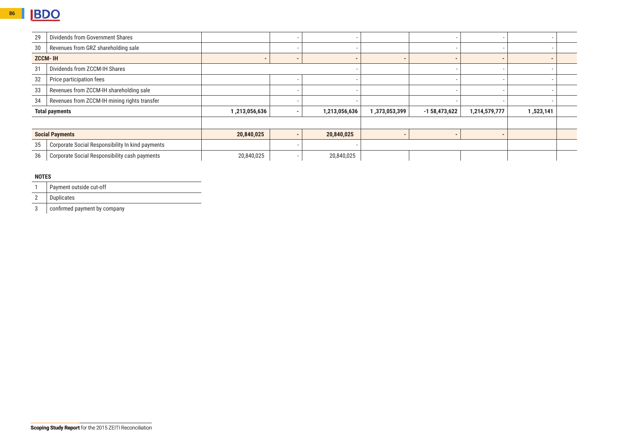| 29 | Dividends from Government Shares                 |               |                          |               |                |                |               |           |  |
|----|--------------------------------------------------|---------------|--------------------------|---------------|----------------|----------------|---------------|-----------|--|
| 30 | Revenues from GRZ shareholding sale              |               |                          |               |                |                |               |           |  |
|    | <b>ZCCM-IH</b>                                   |               |                          |               |                |                |               |           |  |
| 31 | Dividends from ZCCM-IH Shares                    |               |                          |               |                |                |               |           |  |
| 32 | Price participation fees                         |               |                          |               |                |                |               |           |  |
| 33 | Revenues from ZCCM-IH shareholding sale          |               |                          |               |                |                |               |           |  |
| 34 | Revenues from ZCCM-IH mining rights transfer     |               |                          |               |                |                |               |           |  |
|    | <b>Total payments</b>                            | 1,213,056,636 | ۰                        | 1,213,056,636 | 373,053,399, ا | $-158,473,622$ | 1,214,579,777 | 1,523,141 |  |
|    |                                                  |               |                          |               |                |                |               |           |  |
|    | <b>Social Payments</b>                           | 20,840,025    | $\overline{a}$           | 20,840,025    |                |                |               |           |  |
| 35 | Corporate Social Responsibility In kind payments |               |                          |               |                |                |               |           |  |
| 36 | Corporate Social Responsibility cash payments    | 20,840,025    | $\overline{\phantom{a}}$ | 20,840,025    |                |                |               |           |  |

 $\begin{array}{c|c}\n\textbf{NOTES} \\
\hline\n1 & P \\
\hline\n2 & D \\
\hline\n3 & c\n\end{array}$ Payment outside cut-off

**Duplicates** 

 $\vert$  confirmed payment by company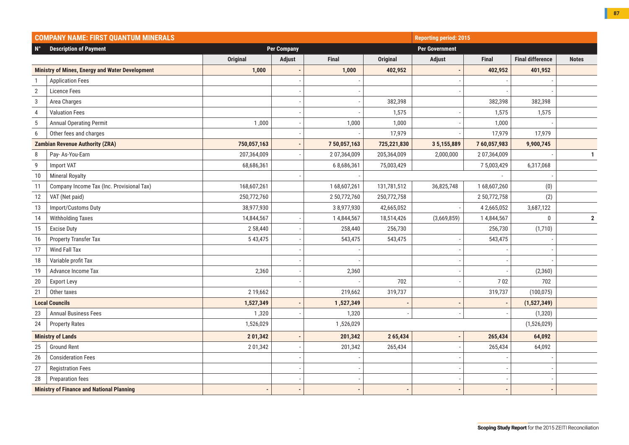|                | <b>COMPANY NAME: FIRST QUANTUM MINERALS</b>            | <b>Reporting period: 2015</b> |                    |              |                 |                       |              |                         |              |
|----------------|--------------------------------------------------------|-------------------------------|--------------------|--------------|-----------------|-----------------------|--------------|-------------------------|--------------|
| $N^{\circ}$    | <b>Description of Payment</b>                          |                               | <b>Per Company</b> |              |                 | <b>Per Government</b> |              |                         |              |
|                |                                                        | <b>Original</b>               | <b>Adjust</b>      | Final        | <b>Original</b> | <b>Adjust</b>         | <b>Final</b> | <b>Final difference</b> | <b>Notes</b> |
|                | <b>Ministry of Mines, Energy and Water Development</b> | 1,000                         |                    | 1,000        | 402,952         |                       | 402,952      | 401,952                 |              |
| -1             | <b>Application Fees</b>                                |                               |                    |              |                 |                       |              |                         |              |
| $\overline{2}$ | <b>Licence Fees</b>                                    |                               |                    |              |                 |                       |              |                         |              |
| 3              | Area Charges                                           |                               |                    |              | 382,398         |                       | 382,398      | 382,398                 |              |
| $\overline{4}$ | <b>Valuation Fees</b>                                  |                               |                    |              | 1,575           |                       | 1,575        | 1,575                   |              |
| 5              | <b>Annual Operating Permit</b>                         | 1,000                         |                    | 1,000        | 1,000           |                       | 1,000        |                         |              |
| 6              | Other fees and charges                                 |                               |                    |              | 17,979          |                       | 17,979       | 17,979                  |              |
|                | <b>Zambian Revenue Authority (ZRA)</b>                 | 750,057,163                   |                    | 7 50,057,163 | 725,221,830     | 35,155,889            | 7 60,057,983 | 9,900,745               |              |
| 8              | Pay- As-You-Earn                                       | 207,364,009                   |                    | 2 07,364,009 | 205,364,009     | 2,000,000             | 207,364,009  |                         | $\mathbf{1}$ |
| 9              | <b>Import VAT</b>                                      | 68,686,361                    |                    | 6 8,686,361  | 75,003,429      |                       | 7 5,003,429  | 6,317,068               |              |
| 10             | <b>Mineral Royalty</b>                                 |                               |                    |              |                 |                       |              |                         |              |
| 11             | Company Income Tax (Inc. Provisional Tax)              | 168,607,261                   |                    | 168,607,261  | 131,781,512     | 36,825,748            | 168,607,260  | (0)                     |              |
| 12             | VAT (Net paid)                                         | 250,772,760                   |                    | 2 50,772,760 | 250,772,758     |                       | 2 50,772,758 | (2)                     |              |
| 13             | Import/Customs Duty                                    | 38,977,930                    |                    | 3 8,977,930  | 42,665,052      |                       | 4 2,665,052  | 3,687,122               |              |
| 14             | <b>Withholding Taxes</b>                               | 14,844,567                    |                    | 14,844,567   | 18,514,426      | (3,669,859)           | 14,844,567   | $\mathbf 0$             | $\mathbf{2}$ |
| 15             | <b>Excise Duty</b>                                     | 2 58,440                      |                    | 258,440      | 256,730         |                       | 256,730      | (1,710)                 |              |
| 16             | <b>Property Transfer Tax</b>                           | 5 43,475                      |                    | 543,475      | 543,475         |                       | 543,475      |                         |              |
| 17             | Wind Fall Tax                                          |                               |                    |              |                 |                       |              |                         |              |
| 18             | Variable profit Tax                                    |                               |                    |              |                 |                       |              |                         |              |
| 19             | Advance Income Tax                                     | 2,360                         |                    | 2,360        |                 |                       |              | (2,360)                 |              |
| 20             | <b>Export Levy</b>                                     |                               |                    |              | 702             |                       | 702          | 702                     |              |
| 21             | Other taxes                                            | 2 19,662                      |                    | 219,662      | 319,737         |                       | 319,737      | (100, 075)              |              |
|                | <b>Local Councils</b>                                  | 1,527,349                     |                    | 1,527,349    |                 |                       |              | (1,527,349)             |              |
| 23             | <b>Annual Business Fees</b>                            | 1,320                         |                    | 1,320        |                 |                       |              | (1, 320)                |              |
| 24             | <b>Property Rates</b>                                  | 1,526,029                     |                    | 1,526,029    |                 |                       |              | (1,526,029)             |              |
|                | <b>Ministry of Lands</b>                               | 201,342                       |                    | 201,342      | 2 65,434        |                       | 265,434      | 64,092                  |              |
| 25             | <b>Ground Rent</b>                                     | 201,342                       |                    | 201,342      | 265,434         |                       | 265,434      | 64,092                  |              |
| 26             | <b>Consideration Fees</b>                              |                               |                    |              |                 |                       |              |                         |              |
| 27             | <b>Registration Fees</b>                               |                               |                    |              |                 |                       |              |                         |              |
| 28             | <b>Preparation fees</b>                                |                               |                    |              |                 |                       |              |                         |              |
|                | <b>Ministry of Finance and National Planning</b>       |                               | ٠                  |              |                 |                       |              |                         |              |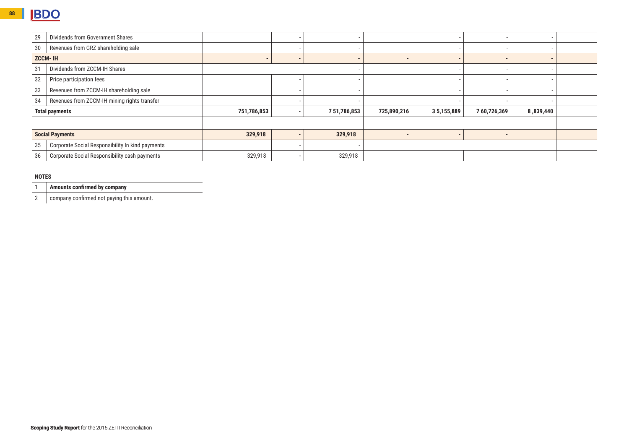| 29 | Dividends from Government Shares                 |             |                |              |             |            |              |           |  |
|----|--------------------------------------------------|-------------|----------------|--------------|-------------|------------|--------------|-----------|--|
| 30 | Revenues from GRZ shareholding sale              |             |                |              |             |            |              |           |  |
|    | <b>ZCCM-IH</b>                                   |             | $\overline{a}$ |              |             |            |              |           |  |
| 31 | Dividends from ZCCM-IH Shares                    |             |                |              |             |            |              |           |  |
| 32 | Price participation fees                         |             |                |              |             |            |              |           |  |
| 33 | Revenues from ZCCM-IH shareholding sale          |             |                |              |             |            |              |           |  |
| 34 | Revenues from ZCCM-IH mining rights transfer     |             |                |              |             |            |              |           |  |
|    | <b>Total payments</b>                            | 751,786,853 | $\overline{a}$ | 7 51,786,853 | 725,890,216 | 35,155,889 | 7 60,726,369 | 8,839,440 |  |
|    |                                                  |             |                |              |             |            |              |           |  |
|    | <b>Social Payments</b>                           | 329,918     |                | 329,918      |             |            |              |           |  |
| 35 | Corporate Social Responsibility In kind payments |             |                |              |             |            |              |           |  |
| 36 | Corporate Social Responsibility cash payments    | 329,918     |                | 329,918      |             |            |              |           |  |

|  | <b>Amounts confirmed by company</b> |  |
|--|-------------------------------------|--|
|--|-------------------------------------|--|

2 company confirmed not paying this amount.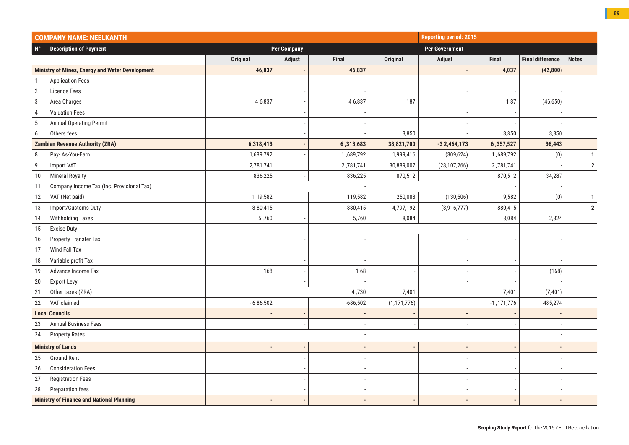|                | <b>COMPANY NAME: NEELKANTH</b>                         |                 | <b>Reporting period: 2015</b> |                          |                          |                       |              |                         |              |
|----------------|--------------------------------------------------------|-----------------|-------------------------------|--------------------------|--------------------------|-----------------------|--------------|-------------------------|--------------|
| $N^{\circ}$    | <b>Description of Payment</b>                          |                 | <b>Per Company</b>            |                          |                          | <b>Per Government</b> |              |                         |              |
|                |                                                        | <b>Original</b> | Adjust                        | <b>Final</b>             | <b>Original</b>          | <b>Adjust</b>         | Final        | <b>Final difference</b> | <b>Notes</b> |
|                | <b>Ministry of Mines, Energy and Water Development</b> | 46,837          |                               | 46,837                   |                          |                       | 4,037        | (42, 800)               |              |
| $\overline{1}$ | <b>Application Fees</b>                                |                 |                               |                          |                          |                       |              |                         |              |
| $\overline{2}$ | <b>Licence Fees</b>                                    |                 |                               |                          |                          |                       |              |                         |              |
| 3              | Area Charges                                           | 46,837          |                               | 46,837                   | 187                      |                       | 187          | (46, 650)               |              |
| $\overline{4}$ | <b>Valuation Fees</b>                                  |                 |                               |                          |                          |                       |              |                         |              |
| 5              | <b>Annual Operating Permit</b>                         |                 |                               |                          |                          |                       |              |                         |              |
| 6              | Others fees                                            |                 |                               |                          | 3,850                    |                       | 3,850        | 3,850                   |              |
|                | <b>Zambian Revenue Authority (ZRA)</b>                 | 6,318,413       |                               | 6,313,683                | 38,821,700               | $-32,464,173$         | 6,357,527    | 36,443                  |              |
| 8              | Pay- As-You-Earn                                       | 1,689,792       |                               | 1,689,792                | 1,999,416                | (309, 624)            | 1,689,792    | (0)                     | $\mathbf{1}$ |
| 9              | <b>Import VAT</b>                                      | 2,781,741       |                               | 2,781,741                | 30,889,007               | (28, 107, 266)        | 2,781,741    |                         | $\mathbf{2}$ |
| 10             | <b>Mineral Royalty</b>                                 | 836,225         |                               | 836,225                  | 870,512                  |                       | 870,512      | 34,287                  |              |
| 11             | Company Income Tax (Inc. Provisional Tax)              |                 |                               |                          |                          |                       |              |                         |              |
| 12             | VAT (Net paid)                                         | 1 19,582        |                               | 119,582                  | 250,088                  | (130, 506)            | 119,582      | (0)                     | $\mathbf{1}$ |
| 13             | Import/Customs Duty                                    | 8 80,415        |                               | 880,415                  | 4,797,192                | (3,916,777)           | 880,415      |                         | $\mathbf{2}$ |
| 14             | <b>Withholding Taxes</b>                               | 5,760           |                               | 5,760                    | 8,084                    |                       | 8,084        | 2,324                   |              |
| 15             | <b>Excise Duty</b>                                     |                 |                               |                          |                          |                       |              |                         |              |
| 16             | <b>Property Transfer Tax</b>                           |                 |                               |                          |                          |                       |              |                         |              |
| 17             | <b>Wind Fall Tax</b>                                   |                 |                               |                          |                          |                       |              |                         |              |
| 18             | Variable profit Tax                                    |                 |                               |                          |                          |                       |              |                         |              |
| 19             | <b>Advance Income Tax</b>                              | 168             |                               | 168                      |                          |                       |              | (168)                   |              |
| 20             | <b>Export Levy</b>                                     |                 |                               |                          |                          |                       |              |                         |              |
| 21             | Other taxes (ZRA)                                      |                 |                               | 4,730                    | 7,401                    |                       | 7,401        | (7, 401)                |              |
| 22             | VAT claimed                                            | $-686,502$      |                               | $-686,502$               | (1, 171, 776)            |                       | $-1,171,776$ | 485,274                 |              |
|                | <b>Local Councils</b>                                  |                 |                               |                          |                          |                       |              |                         |              |
| 23             | <b>Annual Business Fees</b>                            |                 |                               |                          |                          |                       |              |                         |              |
| 24             | <b>Property Rates</b>                                  |                 |                               |                          |                          |                       |              |                         |              |
|                | <b>Ministry of Lands</b>                               |                 |                               | $\overline{\phantom{a}}$ |                          |                       |              |                         |              |
| 25             | <b>Ground Rent</b>                                     |                 |                               |                          |                          |                       |              |                         |              |
| 26             | <b>Consideration Fees</b>                              |                 |                               |                          |                          |                       |              |                         |              |
| 27             | <b>Registration Fees</b>                               |                 |                               |                          |                          |                       |              |                         |              |
| 28             | Preparation fees                                       |                 |                               |                          |                          |                       |              |                         |              |
|                | <b>Ministry of Finance and National Planning</b>       |                 | $\sim$                        | $\sim$                   | $\overline{\phantom{a}}$ | ٠                     |              | ٠                       |              |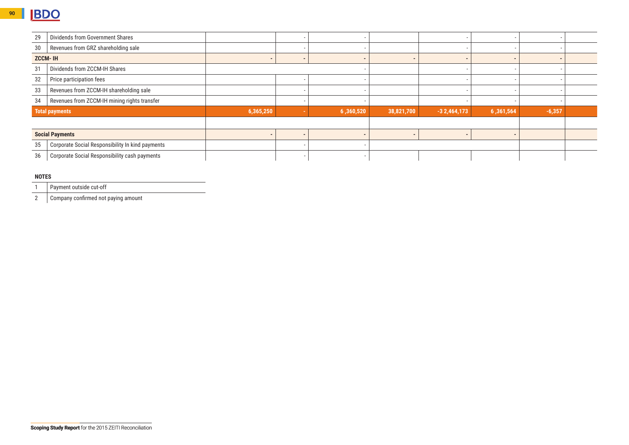| 29             | Dividends from Government Shares                 |           |                          |                          |            |               |                          |                          |  |
|----------------|--------------------------------------------------|-----------|--------------------------|--------------------------|------------|---------------|--------------------------|--------------------------|--|
| 30             | Revenues from GRZ shareholding sale              |           |                          |                          |            |               | $\overline{\phantom{a}}$ |                          |  |
| <b>ZCCM-IH</b> |                                                  |           | $\overline{\phantom{a}}$ | $\overline{\phantom{a}}$ |            |               |                          |                          |  |
| 31             | Dividends from ZCCM-IH Shares                    |           |                          |                          |            |               |                          |                          |  |
| 32             | Price participation fees                         |           |                          |                          |            |               |                          |                          |  |
| 33             | Revenues from ZCCM-IH shareholding sale          |           |                          |                          |            |               | $\overline{\phantom{a}}$ |                          |  |
| 34             | Revenues from ZCCM-IH mining rights transfer     |           |                          |                          |            |               |                          | $\overline{\phantom{0}}$ |  |
|                | <b>Total payments</b>                            | 6,365,250 |                          | 6,360,520                | 38,821,700 | $-32,464,173$ | 6,361,564                | $-6,357$                 |  |
|                |                                                  |           |                          |                          |            |               |                          |                          |  |
|                | <b>Social Payments</b>                           |           |                          |                          |            |               |                          |                          |  |
| 35             | Corporate Social Responsibility In kind payments |           |                          |                          |            |               |                          |                          |  |
| 36             | Corporate Social Responsibility cash payments    |           |                          |                          |            |               |                          |                          |  |

1 Payment outside cut-off<br>2 Company confirmed not

Company confirmed not paying amount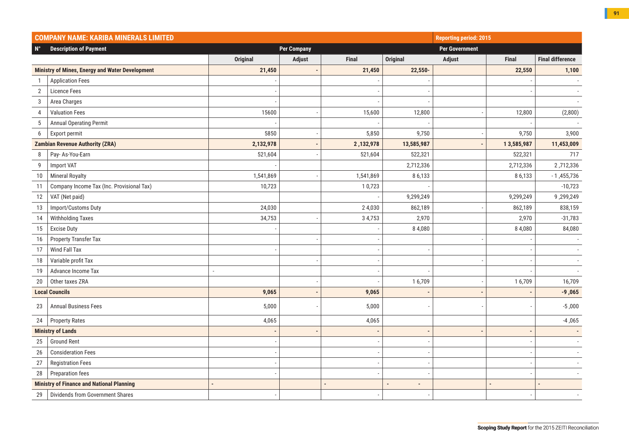|                | <b>COMPANY NAME: KARIBA MINERALS LIMITED</b>           |                 | <b>Reporting period: 2015</b> |           |                      |                       |            |                          |
|----------------|--------------------------------------------------------|-----------------|-------------------------------|-----------|----------------------|-----------------------|------------|--------------------------|
| $N^{\circ}$    | <b>Description of Payment</b>                          |                 | <b>Per Company</b>            |           |                      | <b>Per Government</b> |            |                          |
|                |                                                        | <b>Original</b> | Adjust                        | Final     | <b>Original</b>      | Adjust                | Final      | <b>Final difference</b>  |
|                | <b>Ministry of Mines, Energy and Water Development</b> | 21,450          |                               | 21,450    | 22,550-              |                       | 22,550     | 1,100                    |
| $\mathbf{1}$   | <b>Application Fees</b>                                |                 |                               |           |                      |                       |            |                          |
| $\overline{2}$ | <b>Licence Fees</b>                                    |                 |                               |           |                      |                       |            |                          |
| $\mathbf{3}$   | Area Charges                                           |                 |                               |           |                      |                       |            |                          |
| 4              | <b>Valuation Fees</b>                                  | 15600           |                               | 15,600    | 12,800               |                       | 12,800     | (2,800)                  |
| 5              | <b>Annual Operating Permit</b>                         |                 |                               |           |                      |                       |            |                          |
| 6              | Export permit                                          | 5850            |                               | 5,850     | 9,750                |                       | 9,750      | 3,900                    |
|                | <b>Zambian Revenue Authority (ZRA)</b>                 | 2,132,978       |                               | 2,132,978 | 13,585,987           |                       | 13,585,987 | 11,453,009               |
| 8              | Pay- As-You-Earn                                       | 521,604         |                               | 521,604   | 522,321              |                       | 522,321    | 717                      |
| 9              | <b>Import VAT</b>                                      |                 |                               |           | 2,712,336            |                       | 2,712,336  | 2,712,336                |
| 10             | <b>Mineral Royalty</b>                                 | 1,541,869       |                               | 1,541,869 | 8 6,133              |                       | 86,133     | $-1,455,736$             |
| 11             | Company Income Tax (Inc. Provisional Tax)              | 10,723          |                               | 10,723    |                      |                       |            | $-10,723$                |
| 12             | VAT (Net paid)                                         |                 |                               |           | 9,299,249            |                       | 9,299,249  | 9,299,249                |
| 13             | Import/Customs Duty                                    | 24,030          |                               | 24,030    | 862,189              |                       | 862,189    | 838,159                  |
| 14             | <b>Withholding Taxes</b>                               | 34,753          |                               | 3 4,753   | 2,970                |                       | 2,970      | $-31,783$                |
| 15             | <b>Excise Duty</b>                                     |                 |                               |           | 8 4,080              |                       | 8 4,080    | 84,080                   |
| 16             | <b>Property Transfer Tax</b>                           |                 |                               |           |                      |                       |            |                          |
| 17             | Wind Fall Tax                                          |                 |                               |           |                      |                       |            | $\sim$                   |
| 18             | Variable profit Tax                                    |                 |                               |           |                      |                       |            | $\sim$                   |
| 19             | Advance Income Tax                                     | $\sim$          |                               |           |                      |                       |            |                          |
| 20             | Other taxes ZRA                                        |                 |                               |           | 16,709               |                       | 16,709     | 16,709                   |
|                | <b>Local Councils</b>                                  | 9,065           |                               | 9,065     |                      |                       |            | $-9,065$                 |
| 23             | <b>Annual Business Fees</b>                            | 5,000           |                               | 5,000     |                      |                       |            | $-5,000$                 |
| 24             | <b>Property Rates</b>                                  | 4,065           |                               | 4,065     |                      |                       |            | $-4,065$                 |
|                | <b>Ministry of Lands</b>                               |                 |                               |           |                      |                       |            |                          |
| 25             | <b>Ground Rent</b>                                     |                 |                               |           |                      |                       |            | $\overline{\phantom{a}}$ |
| 26             | <b>Consideration Fees</b>                              |                 |                               |           |                      |                       |            | $\overline{a}$           |
| 27             | <b>Registration Fees</b>                               |                 |                               |           |                      |                       |            |                          |
| 28             | Preparation fees                                       |                 |                               |           |                      |                       |            | $\sim$                   |
|                | <b>Ministry of Finance and National Planning</b>       |                 |                               |           | ÷.<br>$\blacksquare$ |                       |            |                          |
| 29             | Dividends from Government Shares                       |                 |                               |           |                      |                       |            | $\overline{\phantom{a}}$ |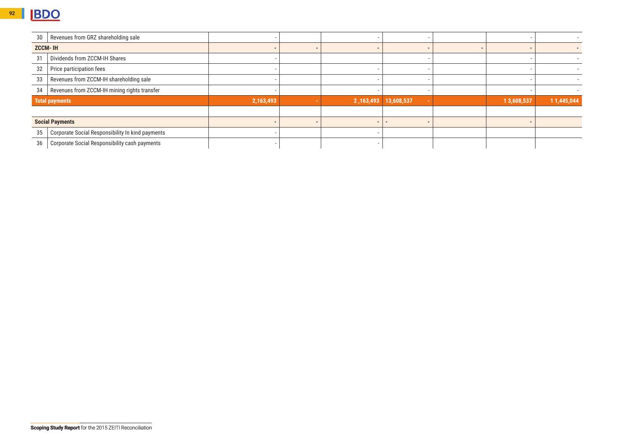| 30             | Revenues from GRZ shareholding sale              |           |  |                           |            |            |
|----------------|--------------------------------------------------|-----------|--|---------------------------|------------|------------|
| <b>ZCCM-IH</b> |                                                  |           |  |                           |            |            |
| 31             | Dividends from ZCCM-IH Shares                    |           |  |                           |            |            |
| 32             | Price participation fees                         |           |  |                           |            |            |
| 33             | Revenues from ZCCM-IH shareholding sale          |           |  |                           |            |            |
| 34             | Revenues from ZCCM-IH mining rights transfer     |           |  |                           |            |            |
|                | <b>Total payments</b>                            | 2,163,493 |  | $12,163,493$ $13,608,537$ | 13,608,537 | 11,445,044 |
|                |                                                  |           |  |                           |            |            |
|                | <b>Social Payments</b>                           |           |  |                           |            |            |
| 35             | Corporate Social Responsibility In kind payments |           |  |                           |            |            |
| 36             | Corporate Social Responsibility cash payments    |           |  |                           |            |            |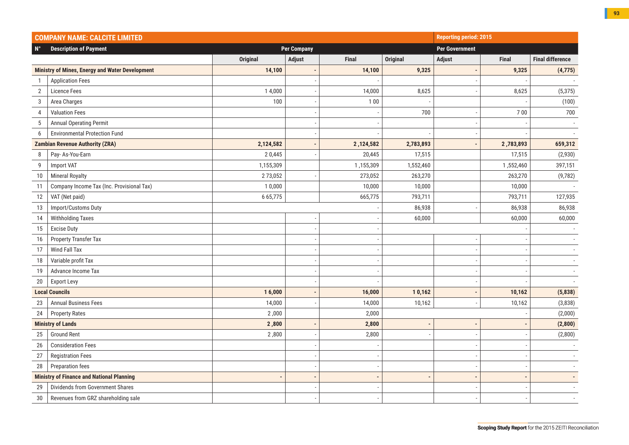|                | <b>COMPANY NAME: CALCITE LIMITED</b>                   |                 |                          |              |                 | <b>Reporting period: 2015</b> |              |                          |  |
|----------------|--------------------------------------------------------|-----------------|--------------------------|--------------|-----------------|-------------------------------|--------------|--------------------------|--|
| $N^{\circ}$    | <b>Description of Payment</b>                          |                 | <b>Per Company</b>       |              |                 | <b>Per Government</b>         |              |                          |  |
|                |                                                        | <b>Original</b> | Adjust                   | <b>Final</b> | <b>Original</b> | Adjust                        | <b>Final</b> | <b>Final difference</b>  |  |
|                | <b>Ministry of Mines, Energy and Water Development</b> | 14,100          |                          | 14,100       | 9,325           |                               | 9,325        | (4,775)                  |  |
|                | <b>Application Fees</b>                                |                 |                          |              |                 |                               |              |                          |  |
| $\overline{2}$ | <b>Licence Fees</b>                                    | 14,000          |                          | 14,000       | 8,625           |                               | 8,625        | (5, 375)                 |  |
| 3              | Area Charges                                           | 100             |                          | 100          |                 |                               |              | (100)                    |  |
| 4              | <b>Valuation Fees</b>                                  |                 |                          |              | 700             |                               | 700          | 700                      |  |
| $5\,$          | <b>Annual Operating Permit</b>                         |                 | $\overline{\phantom{a}}$ |              |                 |                               |              | $\overline{\phantom{a}}$ |  |
| 6              | <b>Environmental Protection Fund</b>                   |                 |                          |              |                 |                               |              |                          |  |
|                | <b>Zambian Revenue Authority (ZRA)</b>                 | 2,124,582       |                          | 2,124,582    | 2,783,893       |                               | 2,783,893    | 659,312                  |  |
| 8              | Pay- As-You-Earn                                       | 20,445          |                          | 20,445       | 17,515          |                               | 17,515       | (2,930)                  |  |
| 9              | <b>Import VAT</b>                                      | 1,155,309       |                          | 1,155,309    | 1,552,460       |                               | 1,552,460    | 397,151                  |  |
| 10             | <b>Mineral Royalty</b>                                 | 273,052         |                          | 273,052      | 263,270         |                               | 263,270      | (9, 782)                 |  |
| 11             | Company Income Tax (Inc. Provisional Tax)              | 10,000          |                          | 10,000       | 10,000          |                               | 10,000       |                          |  |
| 12             | VAT (Net paid)                                         | 6 65,775        |                          | 665,775      | 793,711         |                               | 793,711      | 127,935                  |  |
| 13             | Import/Customs Duty                                    |                 |                          |              | 86,938          |                               | 86,938       | 86,938                   |  |
| 14             | <b>Withholding Taxes</b>                               |                 |                          |              | 60,000          |                               | 60,000       | 60,000                   |  |
| 15             | <b>Excise Duty</b>                                     |                 |                          |              |                 |                               |              |                          |  |
| 16             | Property Transfer Tax                                  |                 |                          |              |                 |                               |              |                          |  |
| 17             | Wind Fall Tax                                          |                 |                          |              |                 |                               |              |                          |  |
| 18             | Variable profit Tax                                    |                 |                          |              |                 |                               |              |                          |  |
| 19             | Advance Income Tax                                     |                 |                          |              |                 |                               |              |                          |  |
| $20\,$         | <b>Export Levy</b>                                     |                 |                          |              |                 |                               |              |                          |  |
|                | <b>Local Councils</b>                                  | 16,000          | $\overline{\phantom{a}}$ | 16,000       | 10,162          |                               | 10,162       | (5,838)                  |  |
| 23             | <b>Annual Business Fees</b>                            | 14,000          |                          | 14,000       | 10,162          |                               | 10,162       | (3,838)                  |  |
| 24             | <b>Property Rates</b>                                  | 2,000           |                          | 2,000        |                 |                               |              | (2,000)                  |  |
|                | <b>Ministry of Lands</b>                               | 2,800           |                          | 2,800        |                 |                               |              | (2,800)                  |  |
| 25             | <b>Ground Rent</b>                                     | 2,800           |                          | 2,800        |                 |                               |              | (2,800)                  |  |
| 26             | <b>Consideration Fees</b>                              |                 |                          |              |                 |                               |              |                          |  |
| 27             | <b>Registration Fees</b>                               |                 |                          |              |                 |                               |              |                          |  |
| 28             | Preparation fees                                       |                 |                          |              |                 |                               |              |                          |  |
|                | <b>Ministry of Finance and National Planning</b>       |                 |                          |              |                 |                               |              |                          |  |
| 29             | Dividends from Government Shares                       |                 |                          |              |                 |                               |              |                          |  |
| $30\,$         | Revenues from GRZ shareholding sale                    |                 |                          |              |                 |                               |              |                          |  |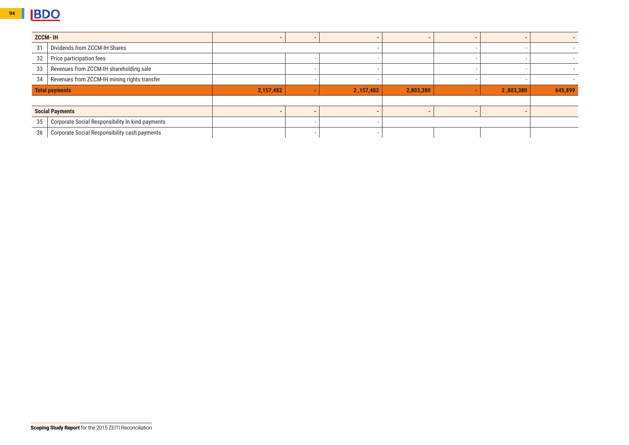| <b>ZCCM-IH</b> |                                                  |           |           |           |  |           |         |
|----------------|--------------------------------------------------|-----------|-----------|-----------|--|-----------|---------|
| 31             | Dividends from ZCCM-IH Shares                    |           |           |           |  |           |         |
| 32             | Price participation fees                         |           |           |           |  |           |         |
| 33             | Revenues from ZCCM-IH shareholding sale          |           |           |           |  |           |         |
| 34             | Revenues from ZCCM-IH mining rights transfer     |           |           |           |  |           |         |
|                | <b>Total payments</b>                            | 2,157,482 | 2,157,482 | 2,803,380 |  | 2,803,380 | 645,899 |
|                |                                                  |           |           |           |  |           |         |
|                | <b>Social Payments</b>                           |           |           |           |  |           |         |
| 35             | Corporate Social Responsibility In kind payments |           |           |           |  |           |         |
| 36             | Corporate Social Responsibility cash payments    |           |           |           |  |           |         |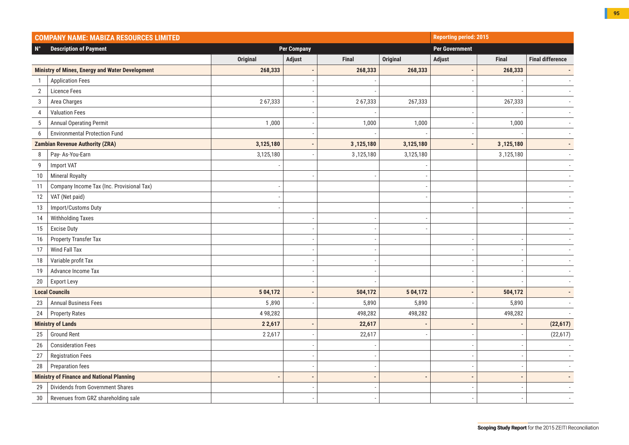|                    | <b>COMPANY NAME: MABIZA RESOURCES LIMITED</b>          | <b>Reporting period: 2015</b> |                          |              |                 |                          |           |                          |
|--------------------|--------------------------------------------------------|-------------------------------|--------------------------|--------------|-----------------|--------------------------|-----------|--------------------------|
| $\mathsf{N}^\circ$ | <b>Description of Payment</b>                          |                               | <b>Per Company</b>       |              |                 | <b>Per Government</b>    |           |                          |
|                    |                                                        | <b>Original</b>               | Adjust                   | <b>Final</b> | <b>Original</b> | Adjust                   | Final     | <b>Final difference</b>  |
|                    | <b>Ministry of Mines, Energy and Water Development</b> | 268,333                       |                          | 268,333      | 268,333         |                          | 268,333   |                          |
| 1                  | <b>Application Fees</b>                                |                               |                          |              |                 |                          |           | $\overline{\phantom{a}}$ |
| $\overline{2}$     | <b>Licence Fees</b>                                    |                               |                          |              |                 |                          |           | $\overline{\phantom{a}}$ |
| $\mathbf{3}$       | Area Charges                                           | 267,333                       |                          | 267,333      | 267,333         |                          | 267,333   |                          |
| $\overline{4}$     | <b>Valuation Fees</b>                                  |                               |                          |              |                 |                          |           |                          |
| $5\,$              | <b>Annual Operating Permit</b>                         | 1,000                         | $\overline{\phantom{a}}$ | 1,000        | 1,000           |                          | 1,000     | $\sim$                   |
| 6                  | <b>Environmental Protection Fund</b>                   |                               |                          |              |                 |                          |           | $\overline{\phantom{a}}$ |
|                    | <b>Zambian Revenue Authority (ZRA)</b>                 | 3,125,180                     |                          | 3,125,180    | 3,125,180       |                          | 3,125,180 | $\sim$                   |
| 8                  | Pay- As-You-Earn                                       | 3,125,180                     |                          | 3,125,180    | 3,125,180       |                          | 3,125,180 |                          |
| 9                  | <b>Import VAT</b>                                      |                               |                          |              |                 |                          |           | $\overline{\phantom{a}}$ |
| 10                 | <b>Mineral Royalty</b>                                 |                               |                          |              |                 |                          |           |                          |
| 11                 | Company Income Tax (Inc. Provisional Tax)              |                               |                          |              |                 |                          |           |                          |
| 12                 | VAT (Net paid)                                         |                               |                          |              |                 |                          |           |                          |
| 13                 | Import/Customs Duty                                    |                               |                          |              |                 |                          |           | $\overline{\phantom{a}}$ |
| 14                 | <b>Withholding Taxes</b>                               |                               | $\overline{\phantom{a}}$ |              |                 |                          |           | $\overline{\phantom{a}}$ |
| 15                 | <b>Excise Duty</b>                                     |                               |                          |              |                 |                          |           |                          |
| 16                 | Property Transfer Tax                                  |                               |                          |              |                 |                          |           |                          |
| 17                 | Wind Fall Tax                                          |                               |                          |              |                 |                          |           | $\overline{\phantom{a}}$ |
| 18                 | Variable profit Tax                                    |                               |                          |              |                 |                          |           |                          |
| 19                 | Advance Income Tax                                     |                               |                          |              |                 |                          |           |                          |
| $20\,$             | <b>Export Levy</b>                                     |                               |                          |              |                 |                          |           |                          |
|                    | <b>Local Councils</b>                                  | 5 04,172                      | ł,                       | 504,172      | 5 04,172        |                          | 504,172   | ۰                        |
| 23                 | <b>Annual Business Fees</b>                            | 5,890                         | $\overline{\phantom{a}}$ | 5,890        | 5,890           | $\overline{\phantom{a}}$ | 5,890     | $\overline{\phantom{a}}$ |
| 24                 | <b>Property Rates</b>                                  | 498,282                       |                          | 498,282      | 498,282         |                          | 498,282   |                          |
|                    | <b>Ministry of Lands</b>                               | 2 2,617                       |                          | 22,617       |                 |                          |           | (22, 617)                |
| 25                 | <b>Ground Rent</b>                                     | 2 2,617                       |                          | 22,617       |                 |                          |           | (22, 617)                |
| 26                 | <b>Consideration Fees</b>                              |                               |                          |              |                 |                          |           | $\sim$                   |
| 27                 | <b>Registration Fees</b>                               |                               |                          |              |                 |                          |           | $\overline{a}$           |
| 28                 | Preparation fees                                       |                               |                          |              |                 |                          |           |                          |
|                    | <b>Ministry of Finance and National Planning</b>       |                               |                          |              |                 |                          |           |                          |
| 29                 | Dividends from Government Shares                       |                               | $\overline{\phantom{a}}$ |              |                 | ÷,                       |           |                          |
| 30                 | Revenues from GRZ shareholding sale                    |                               |                          |              |                 |                          |           |                          |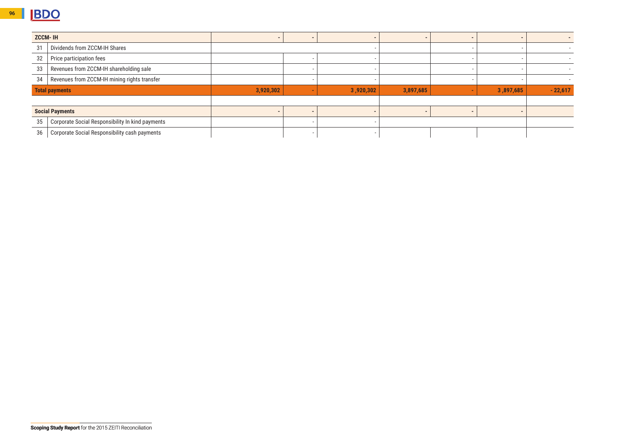| <b>ZCCM-IH</b> |                                                  |           |           |           |  |           |           |
|----------------|--------------------------------------------------|-----------|-----------|-----------|--|-----------|-----------|
| -31            | Dividends from ZCCM-IH Shares                    |           |           |           |  |           |           |
| 32             | Price participation fees                         |           |           |           |  |           |           |
| 33             | Revenues from ZCCM-IH shareholding sale          |           |           |           |  |           |           |
| 34             | Revenues from ZCCM-IH mining rights transfer     |           |           |           |  |           |           |
|                | <b>Total payments</b>                            | 3,920,302 | 3,920,302 | 3,897,685 |  | 3,897,685 | $-22,617$ |
|                |                                                  |           |           |           |  |           |           |
|                | <b>Social Payments</b>                           |           |           |           |  |           |           |
| 35             | Corporate Social Responsibility In kind payments |           |           |           |  |           |           |
| 36             | Corporate Social Responsibility cash payments    |           |           |           |  |           |           |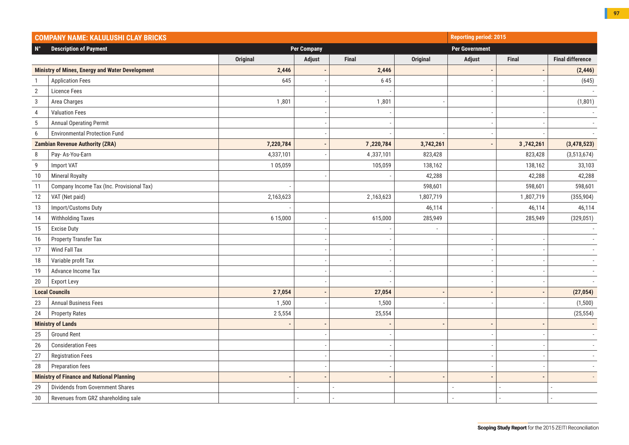|                | <b>COMPANY NAME: KALULUSHI CLAY BRICKS</b>             |                 |                    |                |                 | <b>Reporting period: 2015</b> |           |                          |
|----------------|--------------------------------------------------------|-----------------|--------------------|----------------|-----------------|-------------------------------|-----------|--------------------------|
| $N^{\circ}$    | <b>Description of Payment</b>                          |                 | <b>Per Company</b> |                |                 | <b>Per Government</b>         |           |                          |
|                |                                                        | <b>Original</b> | Adjust             | <b>Final</b>   | <b>Original</b> | Adjust                        | Final     | <b>Final difference</b>  |
|                | <b>Ministry of Mines, Energy and Water Development</b> | 2,446           |                    | 2,446          |                 |                               |           | (2, 446)                 |
| $\mathbf{1}$   | <b>Application Fees</b>                                | 645             |                    | 645            |                 |                               |           | (645)                    |
| $\overline{2}$ | <b>Licence Fees</b>                                    |                 |                    |                |                 |                               |           |                          |
| $\mathbf{3}$   | Area Charges                                           | 1,801           |                    | 1,801          |                 |                               |           | (1,801)                  |
| $\overline{4}$ | <b>Valuation Fees</b>                                  |                 |                    |                |                 |                               |           | $\overline{\phantom{a}}$ |
| 5              | <b>Annual Operating Permit</b>                         |                 |                    |                |                 |                               |           | $\sim$                   |
| $6\,$          | <b>Environmental Protection Fund</b>                   |                 |                    |                |                 |                               |           |                          |
|                | <b>Zambian Revenue Authority (ZRA)</b>                 | 7,220,784       |                    | 7,220,784      | 3,742,261       |                               | 3,742,261 | (3, 478, 523)            |
| 8              | Pay- As-You-Earn                                       | 4,337,101       |                    | 4,337,101      | 823,428         |                               | 823,428   | (3,513,674)              |
| $\overline{9}$ | <b>Import VAT</b>                                      | 105,059         |                    | 105,059        | 138,162         |                               | 138,162   | 33,103                   |
| 10             | <b>Mineral Royalty</b>                                 |                 |                    |                | 42,288          |                               | 42,288    | 42,288                   |
| 11             | Company Income Tax (Inc. Provisional Tax)              |                 |                    |                | 598,601         |                               | 598,601   | 598,601                  |
| 12             | VAT (Net paid)                                         | 2,163,623       |                    | 2, 163, 623    | 1,807,719       |                               | 1,807,719 | (355, 904)               |
| 13             | Import/Customs Duty                                    |                 |                    |                | 46,114          |                               | 46,114    | 46,114                   |
| 14             | <b>Withholding Taxes</b>                               | 6 15,000        |                    | 615,000        | 285,949         |                               | 285,949   | (329, 051)               |
| 15             | <b>Excise Duty</b>                                     |                 |                    |                |                 |                               |           | $\overline{a}$           |
| 16             | Property Transfer Tax                                  |                 |                    |                |                 |                               |           | $\overline{a}$           |
| 17             | Wind Fall Tax                                          |                 |                    |                |                 |                               |           | $\overline{\phantom{a}}$ |
| 18             | Variable profit Tax                                    |                 |                    |                |                 |                               |           | $\overline{\phantom{a}}$ |
| 19             | Advance Income Tax                                     |                 |                    |                |                 |                               |           | $\overline{\phantom{a}}$ |
| $20\,$         | <b>Export Levy</b>                                     |                 |                    |                |                 |                               |           |                          |
|                | <b>Local Councils</b>                                  | 27,054          |                    | 27,054         | ٠               |                               |           | (27, 054)                |
| 23             | <b>Annual Business Fees</b>                            | 1,500           |                    | 1,500          |                 |                               |           | (1,500)                  |
| 24             | <b>Property Rates</b>                                  | 2 5,554         |                    | 25,554         |                 |                               |           | (25, 554)                |
|                | <b>Ministry of Lands</b>                               |                 |                    |                |                 |                               |           |                          |
| 25             | <b>Ground Rent</b>                                     |                 |                    |                |                 |                               |           | $\overline{\phantom{a}}$ |
| 26             | <b>Consideration Fees</b>                              |                 |                    |                |                 |                               |           | $\sim$                   |
| 27             | <b>Registration Fees</b>                               |                 |                    |                |                 |                               |           |                          |
| 28             | Preparation fees                                       |                 |                    |                |                 |                               |           |                          |
|                | <b>Ministry of Finance and National Planning</b>       |                 |                    |                |                 |                               |           | $\overline{\phantom{a}}$ |
| 29             | Dividends from Government Shares                       |                 |                    |                |                 |                               |           |                          |
| 30             | Revenues from GRZ shareholding sale                    |                 |                    | $\overline{a}$ |                 | $\overline{a}$                | ÷         |                          |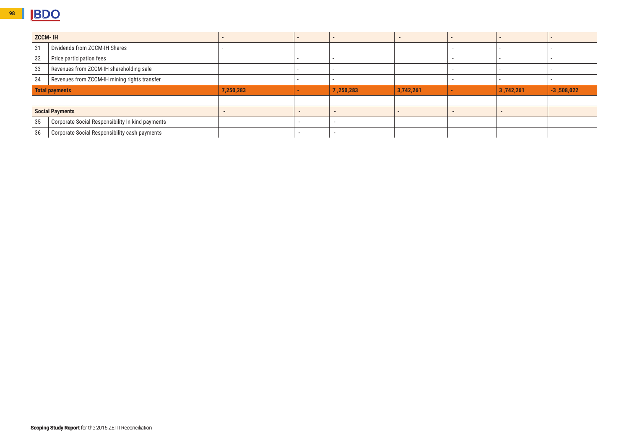| <b>ZCCM-IH</b>        |                                                  |                          |                          |                          | $\overline{\phantom{a}}$ | $\blacksquare$           |                          |                          |
|-----------------------|--------------------------------------------------|--------------------------|--------------------------|--------------------------|--------------------------|--------------------------|--------------------------|--------------------------|
| 31                    | Dividends from ZCCM-IH Shares                    | $\overline{\phantom{a}}$ |                          |                          |                          | $\overline{\phantom{a}}$ |                          |                          |
| 32                    | Price participation fees                         |                          | $\overline{\phantom{0}}$ | $\overline{\phantom{a}}$ |                          | $\overline{\phantom{a}}$ | $\overline{\phantom{a}}$ |                          |
| 33                    | Revenues from ZCCM-IH shareholding sale          |                          | $\overline{\phantom{a}}$ | $\overline{\phantom{a}}$ |                          | $\overline{\phantom{a}}$ | $\overline{\phantom{a}}$ | $\overline{\phantom{0}}$ |
| 34                    | Revenues from ZCCM-IH mining rights transfer     |                          | $\overline{\phantom{0}}$ | $\overline{\phantom{a}}$ |                          | $\overline{\phantom{a}}$ | $\overline{\phantom{a}}$ |                          |
| <b>Total payments</b> |                                                  | 7,250,283                |                          | 7,250,283                | 3,742,261                |                          | 3,742,261                | $-3,508,022$             |
|                       |                                                  |                          |                          |                          |                          |                          |                          |                          |
|                       | <b>Social Payments</b>                           | $\overline{\phantom{a}}$ | $\overline{\phantom{a}}$ |                          |                          | $\overline{\phantom{a}}$ | $\sim$                   |                          |
| 35                    | Corporate Social Responsibility In kind payments |                          | $\sim$                   | $\overline{\phantom{a}}$ |                          |                          |                          |                          |
| 36                    | Corporate Social Responsibility cash payments    |                          | $\overline{\phantom{a}}$ | $\overline{\phantom{a}}$ |                          |                          |                          |                          |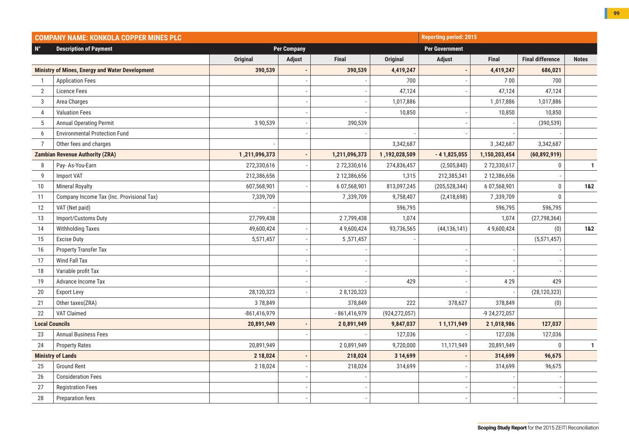|                       | <b>COMPANY NAME: KONKOLA COPPER MINES PLC</b>          |                 |                          |                |                 | <b>Reporting period: 2015</b> |               |                         |              |
|-----------------------|--------------------------------------------------------|-----------------|--------------------------|----------------|-----------------|-------------------------------|---------------|-------------------------|--------------|
| $\mathsf{N}^\circ$    | <b>Description of Payment</b>                          |                 | <b>Per Company</b>       |                |                 | <b>Per Government</b>         |               |                         |              |
|                       |                                                        | <b>Original</b> | Adjust                   | <b>Final</b>   | <b>Original</b> | <b>Adjust</b>                 | <b>Final</b>  | <b>Final difference</b> | <b>Notes</b> |
|                       | <b>Ministry of Mines, Energy and Water Development</b> | 390,539         |                          | 390,539        | 4,419,247       |                               | 4,419,247     | 686,021                 |              |
| $\mathbf{1}$          | <b>Application Fees</b>                                |                 |                          |                | 700             |                               | 700           | 700                     |              |
| $\overline{2}$        | Licence Fees                                           |                 |                          |                | 47,124          |                               | 47,124        | 47,124                  |              |
| 3                     | Area Charges                                           |                 |                          |                | 1,017,886       |                               | 1,017,886     | 1,017,886               |              |
| $\overline{4}$        | <b>Valuation Fees</b>                                  |                 |                          |                | 10,850          |                               | 10,850        | 10,850                  |              |
| 5                     | <b>Annual Operating Permit</b>                         | 3 90,539        | $\overline{\phantom{a}}$ | 390,539        |                 |                               |               | (390, 539)              |              |
| 6                     | <b>Environmental Protection Fund</b>                   |                 |                          |                |                 |                               |               |                         |              |
| $\overline{7}$        | Other fees and charges                                 |                 |                          |                | 3,342,687       |                               | 3,342,687     | 3,342,687               |              |
|                       | <b>Zambian Revenue Authority (ZRA)</b>                 | 1,211,096,373   | $\overline{\phantom{a}}$ | 1,211,096,373  | 1,192,028,509   | $-41,825,055$                 | 1,150,203,454 | (60, 892, 919)          |              |
| 8                     | Pay-As-You-Earn                                        | 272,330,616     |                          | 272,330,616    | 274,836,457     | (2,505,840)                   | 272,330,617   | 0                       | $\mathbf{1}$ |
| 9                     | <b>Import VAT</b>                                      | 212,386,656     |                          | 2 12,386,656   | 1,315           | 212,385,341                   | 2 12,386,656  |                         |              |
| 10                    | <b>Mineral Royalty</b>                                 | 607,568,901     |                          | 6 07,568,901   | 813,097,245     | (205, 528, 344)               | 6 07,568,901  | $\mathbf 0$             | 1&2          |
| 11                    | Company Income Tax (Inc. Provisional Tax)              | 7,339,709       |                          | 7,339,709      | 9,758,407       | (2,418,698)                   | 7,339,709     | $\mathbf{0}$            |              |
| 12                    | VAT (Net paid)                                         |                 |                          |                | 596,795         |                               | 596,795       | 596,795                 |              |
| 13                    | <b>Import/Customs Duty</b>                             | 27,799,438      |                          | 27,799,438     | 1,074           |                               | 1,074         | (27, 798, 364)          |              |
| 14                    | <b>Withholding Taxes</b>                               | 49,600,424      |                          | 49,600,424     | 93,736,565      | (44, 136, 141)                | 4 9,600,424   | (0)                     | 1&2          |
| 15                    | <b>Excise Duty</b>                                     | 5,571,457       | $\overline{\phantom{a}}$ | 5,571,457      |                 |                               |               | (5,571,457)             |              |
| 16                    | <b>Property Transfer Tax</b>                           |                 |                          |                |                 |                               |               |                         |              |
| 17                    | Wind Fall Tax                                          |                 |                          |                |                 |                               |               |                         |              |
| 18                    | Variable profit Tax                                    |                 |                          |                |                 |                               |               |                         |              |
| 19                    | Advance Income Tax                                     |                 |                          |                | 429             |                               | 4 2 9         | 429                     |              |
| 20                    | <b>Export Levy</b>                                     | 28,120,323      | $\overline{\phantom{a}}$ | 28,120,323     |                 |                               |               | (28, 120, 323)          |              |
| 21                    | Other taxes(ZRA)                                       | 378,849         |                          | 378,849        | 222             | 378,627                       | 378,849       | (0)                     |              |
| 22                    | VAT Claimed                                            | $-861,416,979$  |                          | $-861,416,979$ | (924, 272, 057) |                               | -9 24,272,057 |                         |              |
| <b>Local Councils</b> |                                                        | 20,891,949      |                          | 20,891,949     | 9,847,037       | 11,171,949                    | 21,018,986    | 127,037                 |              |
| 23                    | <b>Annual Business Fees</b>                            |                 |                          |                | 127,036         |                               | 127,036       | 127,036                 |              |
| 24                    | <b>Property Rates</b>                                  | 20,891,949      |                          | 20,891,949     | 9,720,000       | 11,171,949                    | 20,891,949    | $\mathbf{0}$            | $\mathbf{1}$ |
|                       | <b>Ministry of Lands</b>                               | 2 18,024        |                          | 218,024        | 3 14,699        |                               | 314,699       | 96,675                  |              |
| 25                    | <b>Ground Rent</b>                                     | 2 18,024        | $\overline{\phantom{a}}$ | 218,024        | 314,699         |                               | 314,699       | 96,675                  |              |
| 26                    | <b>Consideration Fees</b>                              |                 |                          |                |                 |                               |               |                         |              |
| 27                    | <b>Registration Fees</b>                               |                 |                          |                |                 |                               |               |                         |              |
| 28                    | Preparation fees                                       |                 |                          |                |                 |                               |               |                         |              |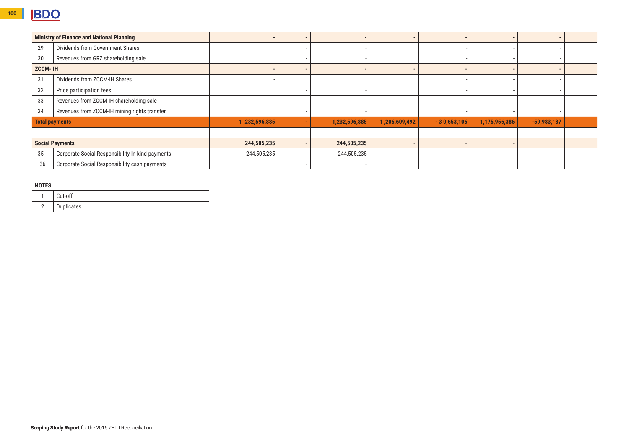|                | <b>Ministry of Finance and National Planning</b> |               |               |               |               |               |               |  |
|----------------|--------------------------------------------------|---------------|---------------|---------------|---------------|---------------|---------------|--|
| 29             | Dividends from Government Shares                 |               |               |               |               |               |               |  |
| 30             | Revenues from GRZ shareholding sale              |               |               |               |               |               |               |  |
| <b>ZCCM-IH</b> |                                                  |               |               |               |               |               |               |  |
| 31             | Dividends from ZCCM-IH Shares                    |               |               |               |               |               |               |  |
| 32             | Price participation fees                         |               |               |               |               |               |               |  |
| 33             | Revenues from ZCCM-IH shareholding sale          |               |               |               |               |               |               |  |
| 34             | Revenues from ZCCM-IH mining rights transfer     |               |               |               |               |               |               |  |
|                | <b>Total payments</b>                            | 1,232,596,885 | 1,232,596,885 | 1,206,609,492 | $-30,653,106$ | 1,175,956,386 | $-59,983,187$ |  |
|                |                                                  |               |               |               |               |               |               |  |
|                | <b>Social Payments</b>                           | 244,505,235   | 244,505,235   |               |               |               |               |  |
| 35             | Corporate Social Responsibility In kind payments | 244,505,235   | 244,505,235   |               |               |               |               |  |
| 36             | Corporate Social Responsibility cash payments    |               |               |               |               |               |               |  |

1 Cut-off

2 Duplicates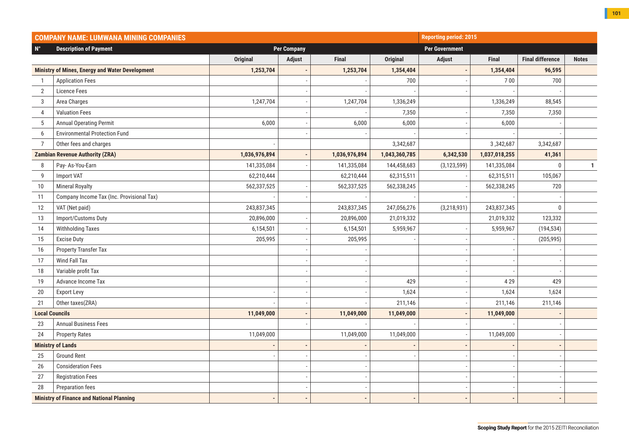|                       | <b>Reporting period: 2015</b><br><b>COMPANY NAME: LUMWANA MINING COMPANIES</b> |                 |                          |               |                 |                       |               |                         |              |  |
|-----------------------|--------------------------------------------------------------------------------|-----------------|--------------------------|---------------|-----------------|-----------------------|---------------|-------------------------|--------------|--|
| $N^{\circ}$           | <b>Description of Payment</b>                                                  |                 | <b>Per Company</b>       |               |                 | <b>Per Government</b> |               |                         |              |  |
|                       |                                                                                | <b>Original</b> | Adjust                   | <b>Final</b>  | <b>Original</b> | <b>Adjust</b>         | <b>Final</b>  | <b>Final difference</b> | <b>Notes</b> |  |
|                       | <b>Ministry of Mines, Energy and Water Development</b>                         | 1,253,704       |                          | 1,253,704     | 1,354,404       |                       | 1,354,404     | 96,595                  |              |  |
| -1                    | <b>Application Fees</b>                                                        |                 |                          |               | 700             |                       | 700           | 700                     |              |  |
| $\overline{2}$        | Licence Fees                                                                   |                 |                          |               |                 |                       |               |                         |              |  |
| 3                     | Area Charges                                                                   | 1,247,704       | $\overline{\phantom{a}}$ | 1,247,704     | 1,336,249       |                       | 1,336,249     | 88,545                  |              |  |
| $\overline{4}$        | <b>Valuation Fees</b>                                                          |                 |                          |               | 7,350           |                       | 7,350         | 7,350                   |              |  |
| 5                     | <b>Annual Operating Permit</b>                                                 | 6,000           | $\overline{a}$           | 6,000         | 6,000           |                       | 6,000         |                         |              |  |
| 6                     | <b>Environmental Protection Fund</b>                                           |                 |                          |               |                 |                       |               |                         |              |  |
| $\overline{7}$        | Other fees and charges                                                         |                 |                          |               | 3,342,687       |                       | 3,342,687     | 3,342,687               |              |  |
|                       | <b>Zambian Revenue Authority (ZRA)</b>                                         | 1,036,976,894   | $\blacksquare$           | 1,036,976,894 | 1,043,360,785   | 6,342,530             | 1,037,018,255 | 41,361                  |              |  |
| 8                     | Pay-As-You-Earn                                                                | 141,335,084     |                          | 141,335,084   | 144,458,683     | (3, 123, 599)         | 141,335,084   | $\theta$                | $\mathbf{1}$ |  |
| 9                     | <b>Import VAT</b>                                                              | 62,210,444      |                          | 62,210,444    | 62,315,511      |                       | 62,315,511    | 105,067                 |              |  |
| 10                    | <b>Mineral Royalty</b>                                                         | 562,337,525     |                          | 562,337,525   | 562,338,245     |                       | 562,338,245   | 720                     |              |  |
| 11                    | Company Income Tax (Inc. Provisional Tax)                                      |                 |                          |               |                 |                       |               |                         |              |  |
| 12                    | VAT (Net paid)                                                                 | 243,837,345     |                          | 243,837,345   | 247,056,276     | (3,218,931)           | 243,837,345   | $\mathbf{0}$            |              |  |
| 13                    | Import/Customs Duty                                                            | 20,896,000      |                          | 20,896,000    | 21,019,332      |                       | 21,019,332    | 123,332                 |              |  |
| 14                    | <b>Withholding Taxes</b>                                                       | 6,154,501       |                          | 6,154,501     | 5,959,967       |                       | 5,959,967     | (194, 534)              |              |  |
| 15                    | <b>Excise Duty</b>                                                             | 205,995         |                          | 205,995       |                 |                       |               | (205, 995)              |              |  |
| 16                    | <b>Property Transfer Tax</b>                                                   |                 |                          |               |                 |                       |               |                         |              |  |
| 17                    | Wind Fall Tax                                                                  |                 |                          |               |                 |                       |               |                         |              |  |
| 18                    | Variable profit Tax                                                            |                 |                          |               |                 |                       |               |                         |              |  |
| 19                    | Advance Income Tax                                                             |                 |                          |               | 429             |                       | 4 2 9         | 429                     |              |  |
| 20                    | <b>Export Levy</b>                                                             |                 |                          |               | 1,624           |                       | 1,624         | 1,624                   |              |  |
| 21                    | Other taxes(ZRA)                                                               |                 |                          |               | 211,146         |                       | 211,146       | 211,146                 |              |  |
| <b>Local Councils</b> |                                                                                | 11,049,000      | $\overline{\phantom{a}}$ | 11,049,000    | 11,049,000      |                       | 11,049,000    |                         |              |  |
| 23                    | <b>Annual Business Fees</b>                                                    |                 |                          |               |                 |                       |               |                         |              |  |
| 24                    | <b>Property Rates</b>                                                          | 11,049,000      |                          | 11,049,000    | 11,049,000      |                       | 11,049,000    |                         |              |  |
|                       | <b>Ministry of Lands</b>                                                       |                 |                          |               |                 |                       |               |                         |              |  |
| 25                    | <b>Ground Rent</b>                                                             |                 |                          |               |                 |                       |               |                         |              |  |
| 26                    | <b>Consideration Fees</b>                                                      |                 |                          |               |                 |                       |               |                         |              |  |
| 27                    | <b>Registration Fees</b>                                                       |                 |                          |               |                 |                       |               |                         |              |  |
| 28                    | <b>Preparation fees</b>                                                        |                 |                          |               |                 |                       |               |                         |              |  |
|                       | <b>Ministry of Finance and National Planning</b>                               |                 |                          |               |                 |                       |               |                         |              |  |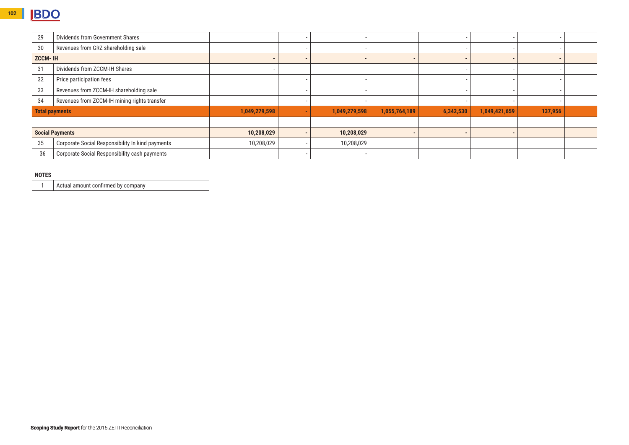| 29                     | Dividends from Government Shares                 |               |               |               |           |               |         |  |
|------------------------|--------------------------------------------------|---------------|---------------|---------------|-----------|---------------|---------|--|
| 30                     | Revenues from GRZ shareholding sale              |               |               |               |           |               |         |  |
| <b>ZCCM-IH</b>         |                                                  |               |               |               |           |               |         |  |
| 31                     | Dividends from ZCCM-IH Shares                    |               |               |               |           |               |         |  |
| 32                     | Price participation fees                         |               |               |               |           |               |         |  |
| 33                     | Revenues from ZCCM-IH shareholding sale          |               |               |               |           |               |         |  |
| 34                     | Revenues from ZCCM-IH mining rights transfer     |               |               |               |           |               |         |  |
| <b>Total payments</b>  |                                                  | 1,049,279,598 | 1,049,279,598 | 1,055,764,189 | 6,342,530 | 1,049,421,659 | 137,956 |  |
|                        |                                                  |               |               |               |           |               |         |  |
| <b>Social Payments</b> |                                                  | 10,208,029    | 10,208,029    |               |           |               |         |  |
| 35                     | Corporate Social Responsibility In kind payments | 10,208,029    | 10,208,029    |               |           |               |         |  |
| 36                     | Corporate Social Responsibility cash payments    |               |               |               |           |               |         |  |

1 Actual amount confirmed by company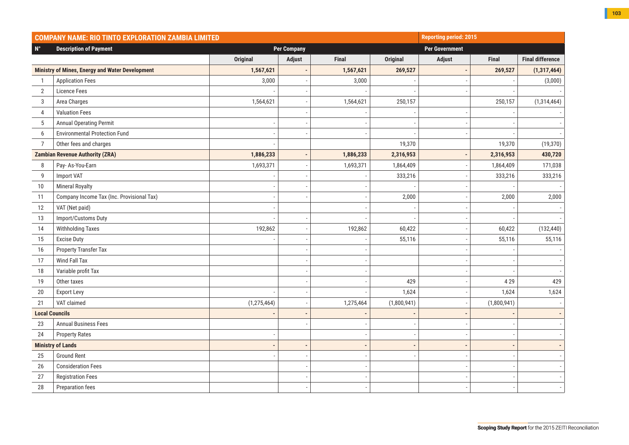|                | <b>COMPANY NAME: RIO TINTO EXPLORATION ZAMBIA LIMITED</b> |                 |                          |           |                 | <b>Reporting period: 2015</b> |              |                         |
|----------------|-----------------------------------------------------------|-----------------|--------------------------|-----------|-----------------|-------------------------------|--------------|-------------------------|
| $N^{\circ}$    | <b>Description of Payment</b>                             |                 | <b>Per Company</b>       |           |                 | <b>Per Government</b>         |              |                         |
|                |                                                           | <b>Original</b> | Adjust                   | Final     | <b>Original</b> | Adjust                        | <b>Final</b> | <b>Final difference</b> |
|                | <b>Ministry of Mines, Energy and Water Development</b>    | 1,567,621       |                          | 1,567,621 | 269,527         |                               | 269,527      | (1, 317, 464)           |
| $\mathbf{1}$   | <b>Application Fees</b>                                   | 3,000           |                          | 3,000     |                 |                               |              | (3,000)                 |
| $\overline{2}$ | Licence Fees                                              |                 |                          |           |                 |                               |              |                         |
| 3              | Area Charges                                              | 1,564,621       | $\overline{\phantom{a}}$ | 1,564,621 | 250,157         |                               | 250,157      | (1,314,464)             |
| 4              | <b>Valuation Fees</b>                                     |                 |                          |           |                 |                               |              |                         |
| 5              | <b>Annual Operating Permit</b>                            |                 | ٠.                       |           |                 |                               |              |                         |
| 6              | <b>Environmental Protection Fund</b>                      |                 |                          |           |                 |                               |              |                         |
| $\overline{7}$ | Other fees and charges                                    |                 |                          |           | 19,370          |                               | 19,370       | (19, 370)               |
|                | <b>Zambian Revenue Authority (ZRA)</b>                    | 1,886,233       | ÷                        | 1,886,233 | 2,316,953       |                               | 2,316,953    | 430,720                 |
| 8              | Pay-As-You-Earn                                           | 1,693,371       | $\overline{\phantom{a}}$ | 1,693,371 | 1,864,409       |                               | 1,864,409    | 171,038                 |
| 9              | <b>Import VAT</b>                                         |                 | $\overline{\phantom{a}}$ |           | 333,216         |                               | 333,216      | 333,216                 |
| 10             | <b>Mineral Royalty</b>                                    |                 |                          |           |                 |                               |              |                         |
| 11             | Company Income Tax (Inc. Provisional Tax)                 |                 |                          |           | 2,000           |                               | 2,000        | 2,000                   |
| 12             | VAT (Net paid)                                            |                 |                          |           |                 |                               |              |                         |
| 13             | Import/Customs Duty                                       |                 |                          |           |                 |                               |              |                         |
| 14             | <b>Withholding Taxes</b>                                  | 192,862         | $\overline{\phantom{a}}$ | 192,862   | 60,422          |                               | 60,422       | (132, 440)              |
| 15             | <b>Excise Duty</b>                                        |                 | ٠.                       |           | 55,116          |                               | 55,116       | 55,116                  |
| 16             | Property Transfer Tax                                     |                 |                          |           |                 |                               |              |                         |
| 17             | Wind Fall Tax                                             |                 | $\overline{\phantom{a}}$ |           |                 |                               |              |                         |
| 18             | Variable profit Tax                                       |                 |                          |           |                 |                               |              |                         |
| 19             | Other taxes                                               |                 |                          |           | 429             |                               | 4 2 9        | 429                     |
| 20             | <b>Export Levy</b>                                        |                 | $\overline{\phantom{a}}$ |           | 1,624           |                               | 1,624        | 1,624                   |
| 21             | VAT claimed                                               | (1, 275, 464)   |                          | 1,275,464 | (1,800,941)     |                               | (1,800,941)  |                         |
|                | <b>Local Councils</b>                                     |                 | ٠                        |           |                 |                               |              |                         |
| 23             | <b>Annual Business Fees</b>                               |                 |                          |           |                 |                               |              |                         |
| 24             | <b>Property Rates</b>                                     |                 |                          |           |                 |                               |              |                         |
|                | <b>Ministry of Lands</b>                                  |                 | $\overline{\phantom{a}}$ |           |                 |                               |              |                         |
| 25             | <b>Ground Rent</b>                                        |                 |                          |           |                 |                               |              |                         |
| $26\,$         | <b>Consideration Fees</b>                                 |                 |                          |           |                 |                               |              |                         |
| 27             | <b>Registration Fees</b>                                  |                 | $\overline{\phantom{a}}$ |           |                 |                               |              |                         |
| 28             | <b>Preparation fees</b>                                   |                 |                          |           |                 |                               |              |                         |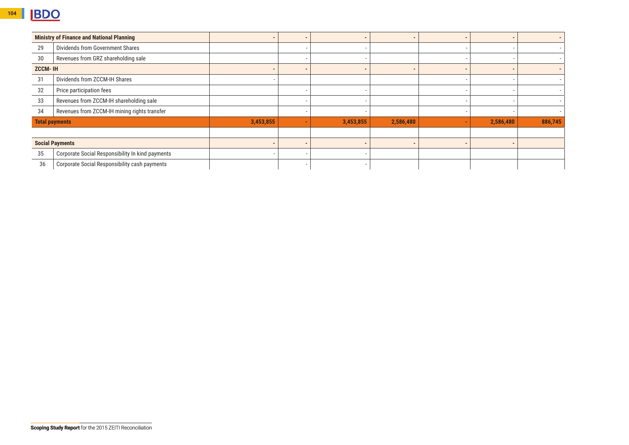|                        | <b>Ministry of Finance and National Planning</b> |           | $\blacksquare$           |           |           |           |         |
|------------------------|--------------------------------------------------|-----------|--------------------------|-----------|-----------|-----------|---------|
| 29                     | Dividends from Government Shares                 |           | $\overline{\phantom{a}}$ |           |           |           |         |
| 30                     | Revenues from GRZ shareholding sale              |           | $\overline{\phantom{a}}$ |           |           |           |         |
| <b>ZCCM-IH</b>         |                                                  |           |                          |           |           |           |         |
| 31                     | Dividends from ZCCM-IH Shares                    |           |                          |           |           |           |         |
| 32                     | Price participation fees                         |           |                          |           |           |           |         |
| 33                     | Revenues from ZCCM-IH shareholding sale          |           | $\overline{\phantom{a}}$ |           |           |           |         |
| 34                     | Revenues from ZCCM-IH mining rights transfer     |           | $\overline{\phantom{a}}$ |           |           |           |         |
| <b>Total payments</b>  |                                                  | 3,453,855 |                          | 3,453,855 | 2,586,480 | 2,586,480 | 886,745 |
|                        |                                                  |           |                          |           |           |           |         |
| <b>Social Payments</b> |                                                  |           |                          |           |           |           |         |
| 35                     | Corporate Social Responsibility In kind payments |           | $\overline{\phantom{a}}$ |           |           |           |         |
| 36                     | Corporate Social Responsibility cash payments    |           |                          |           |           |           |         |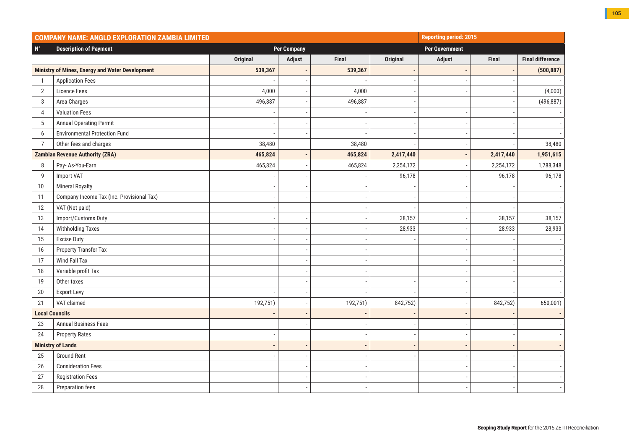|                | <b>COMPANY NAME: ANGLO EXPLORATION ZAMBIA LIMITED</b>  | <b>Reporting period: 2015</b> |                          |          |                 |                       |              |                         |
|----------------|--------------------------------------------------------|-------------------------------|--------------------------|----------|-----------------|-----------------------|--------------|-------------------------|
| $N^{\circ}$    | <b>Description of Payment</b>                          |                               | <b>Per Company</b>       |          |                 | <b>Per Government</b> |              |                         |
|                |                                                        | <b>Original</b>               | Adjust                   | Final    | <b>Original</b> | Adjust                | <b>Final</b> | <b>Final difference</b> |
|                | <b>Ministry of Mines, Energy and Water Development</b> | 539,367                       |                          | 539,367  |                 |                       | r.           | (500, 887)              |
| $\mathbf{1}$   | <b>Application Fees</b>                                |                               |                          |          |                 |                       |              |                         |
| $\overline{2}$ | <b>Licence Fees</b>                                    | 4,000                         | $\overline{\phantom{a}}$ | 4,000    |                 |                       |              | (4,000)                 |
| 3              | Area Charges                                           | 496,887                       |                          | 496,887  |                 |                       |              | (496, 887)              |
| $\overline{4}$ | <b>Valuation Fees</b>                                  |                               |                          |          |                 |                       |              |                         |
| 5              | <b>Annual Operating Permit</b>                         |                               | ٠.                       |          |                 |                       |              |                         |
| 6              | <b>Environmental Protection Fund</b>                   |                               |                          |          |                 |                       |              |                         |
| $\overline{7}$ | Other fees and charges                                 | 38,480                        |                          | 38,480   |                 |                       |              | 38,480                  |
|                | <b>Zambian Revenue Authority (ZRA)</b>                 | 465,824                       | $\overline{\phantom{a}}$ | 465,824  | 2,417,440       |                       | 2,417,440    | 1,951,615               |
| 8              | Pay- As-You-Earn                                       | 465,824                       | $\overline{\phantom{a}}$ | 465,824  | 2,254,172       |                       | 2,254,172    | 1,788,348               |
| 9              | <b>Import VAT</b>                                      |                               | $\overline{\phantom{a}}$ |          | 96,178          |                       | 96,178       | 96,178                  |
| 10             | <b>Mineral Royalty</b>                                 |                               |                          |          |                 |                       |              |                         |
| 11             | Company Income Tax (Inc. Provisional Tax)              |                               |                          |          |                 |                       |              |                         |
| 12             | VAT (Net paid)                                         |                               |                          |          |                 |                       |              |                         |
| 13             | Import/Customs Duty                                    |                               |                          |          | 38,157          |                       | 38,157       | 38,157                  |
| 14             | <b>Withholding Taxes</b>                               |                               |                          |          | 28,933          |                       | 28,933       | 28,933                  |
| 15             | <b>Excise Duty</b>                                     |                               | $\overline{\phantom{a}}$ |          |                 |                       |              |                         |
| 16             | <b>Property Transfer Tax</b>                           |                               |                          |          |                 |                       |              |                         |
| 17             | Wind Fall Tax                                          |                               | $\overline{\phantom{a}}$ |          |                 |                       |              |                         |
| 18             | Variable profit Tax                                    |                               |                          |          |                 |                       |              |                         |
| 19             | Other taxes                                            |                               |                          |          |                 |                       |              |                         |
| 20             | <b>Export Levy</b>                                     |                               | $\overline{\phantom{a}}$ |          |                 |                       |              |                         |
| 21             | VAT claimed                                            | 192,751)                      | $\overline{\phantom{a}}$ | 192,751) | 842,752)        |                       | 842,752)     | 650,001)                |
|                | <b>Local Councils</b>                                  |                               | ٠                        |          |                 |                       |              |                         |
| 23             | <b>Annual Business Fees</b>                            |                               |                          |          |                 |                       |              |                         |
| 24             | <b>Property Rates</b>                                  |                               |                          |          |                 |                       |              |                         |
|                | <b>Ministry of Lands</b>                               |                               | $\overline{\phantom{a}}$ |          |                 |                       |              |                         |
| 25             | <b>Ground Rent</b>                                     |                               |                          |          |                 |                       |              |                         |
| 26             | <b>Consideration Fees</b>                              |                               |                          |          |                 |                       |              |                         |
| 27             | <b>Registration Fees</b>                               |                               |                          |          |                 |                       |              |                         |
| 28             | Preparation fees                                       |                               |                          |          |                 |                       |              |                         |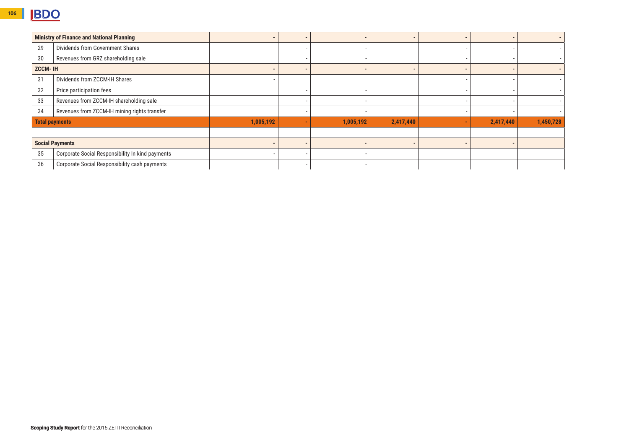|                        | <b>Ministry of Finance and National Planning</b> |           |           |           |           |           |
|------------------------|--------------------------------------------------|-----------|-----------|-----------|-----------|-----------|
| 29                     | Dividends from Government Shares                 |           |           |           |           |           |
| 30                     | Revenues from GRZ shareholding sale              |           |           |           |           |           |
| <b>ZCCM-IH</b>         |                                                  |           |           |           |           |           |
| 31                     | Dividends from ZCCM-IH Shares                    |           |           |           |           |           |
| 32                     | Price participation fees                         |           |           |           |           |           |
| 33                     | Revenues from ZCCM-IH shareholding sale          |           |           |           |           |           |
| 34                     | Revenues from ZCCM-IH mining rights transfer     |           |           |           |           |           |
|                        | <b>Total payments</b>                            | 1,005,192 | 1,005,192 | 2,417,440 | 2,417,440 | 1,450,728 |
|                        |                                                  |           |           |           |           |           |
| <b>Social Payments</b> |                                                  |           |           |           |           |           |
| 35                     | Corporate Social Responsibility In kind payments |           |           |           |           |           |
| 36                     | Corporate Social Responsibility cash payments    |           |           |           |           |           |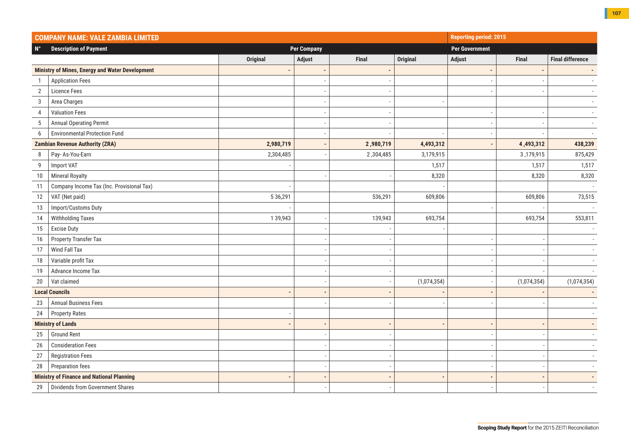|                    | <b>Reporting period: 2015</b><br><b>COMPANY NAME: VALE ZAMBIA LIMITED</b> |                 |                    |           |                          |                       |             |                          |  |  |
|--------------------|---------------------------------------------------------------------------|-----------------|--------------------|-----------|--------------------------|-----------------------|-------------|--------------------------|--|--|
| $\mathsf{N}^\circ$ | <b>Description of Payment</b>                                             |                 | <b>Per Company</b> |           |                          | <b>Per Government</b> |             |                          |  |  |
|                    |                                                                           | <b>Original</b> | Adjust             | Final     | <b>Original</b>          | Adjust                | Final       | <b>Final difference</b>  |  |  |
|                    | <b>Ministry of Mines, Energy and Water Development</b>                    |                 |                    |           |                          |                       |             |                          |  |  |
| $\overline{1}$     | <b>Application Fees</b>                                                   |                 |                    |           |                          |                       |             |                          |  |  |
| $\overline{2}$     | Licence Fees                                                              |                 |                    |           |                          |                       |             | $\overline{\phantom{a}}$ |  |  |
| $\mathbf{3}$       | Area Charges                                                              |                 |                    |           | $\overline{\phantom{a}}$ |                       |             |                          |  |  |
| $\overline{4}$     | <b>Valuation Fees</b>                                                     |                 |                    |           |                          |                       |             |                          |  |  |
| 5                  | <b>Annual Operating Permit</b>                                            |                 |                    |           |                          |                       |             | $\overline{\phantom{a}}$ |  |  |
| 6                  | <b>Environmental Protection Fund</b>                                      |                 |                    |           |                          |                       |             |                          |  |  |
|                    | <b>Zambian Revenue Authority (ZRA)</b>                                    | 2,980,719       |                    | 2,980,719 | 4,493,312                |                       | 4,493,312   | 438,239                  |  |  |
| 8                  | Pay- As-You-Earn                                                          | 2,304,485       |                    | 2,304,485 | 3,179,915                |                       | 3,179,915   | 875,429                  |  |  |
| 9                  | <b>Import VAT</b>                                                         |                 |                    |           | 1,517                    |                       | 1,517       | 1,517                    |  |  |
| 10                 | <b>Mineral Royalty</b>                                                    |                 |                    |           | 8,320                    |                       | 8,320       | 8,320                    |  |  |
| 11                 | Company Income Tax (Inc. Provisional Tax)                                 |                 |                    |           |                          |                       |             |                          |  |  |
| 12                 | VAT (Net paid)                                                            | 5 36,291        |                    | 536,291   | 609,806                  |                       | 609,806     | 73,515                   |  |  |
| 13                 | Import/Customs Duty                                                       |                 |                    |           |                          |                       |             | $\sim$                   |  |  |
| 14                 | <b>Withholding Taxes</b>                                                  | 1 39,943        |                    | 139,943   | 693,754                  |                       | 693,754     | 553,811                  |  |  |
| 15                 | <b>Excise Duty</b>                                                        |                 |                    |           |                          |                       |             |                          |  |  |
| 16                 | Property Transfer Tax                                                     |                 |                    |           |                          |                       |             |                          |  |  |
| 17                 | Wind Fall Tax                                                             |                 |                    |           |                          |                       |             |                          |  |  |
| 18                 | Variable profit Tax                                                       |                 |                    |           |                          |                       |             |                          |  |  |
| 19                 | Advance Income Tax                                                        |                 |                    |           |                          |                       |             |                          |  |  |
| 20                 | Vat claimed                                                               |                 |                    |           | (1,074,354)              |                       | (1,074,354) | (1,074,354)              |  |  |
|                    | <b>Local Councils</b>                                                     |                 |                    |           |                          |                       |             | $\overline{\phantom{a}}$ |  |  |
| 23                 | <b>Annual Business Fees</b>                                               |                 |                    |           |                          |                       |             |                          |  |  |
| 24                 | <b>Property Rates</b>                                                     |                 |                    |           |                          |                       |             |                          |  |  |
|                    | <b>Ministry of Lands</b>                                                  |                 |                    |           |                          |                       |             | ٠                        |  |  |
| 25                 | <b>Ground Rent</b>                                                        |                 |                    |           |                          |                       |             |                          |  |  |
| 26                 | <b>Consideration Fees</b>                                                 |                 |                    |           |                          |                       |             |                          |  |  |
| 27                 | <b>Registration Fees</b>                                                  |                 |                    |           |                          |                       |             | $\overline{a}$           |  |  |
| 28                 | Preparation fees                                                          |                 |                    |           |                          |                       |             |                          |  |  |
|                    | <b>Ministry of Finance and National Planning</b>                          |                 |                    |           | ٠                        |                       |             | $\blacksquare$           |  |  |
| 29                 | Dividends from Government Shares                                          |                 |                    |           |                          |                       |             |                          |  |  |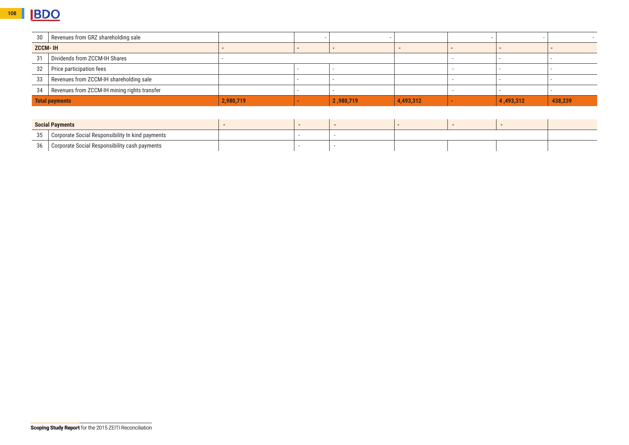

| 30             | Revenues from GRZ shareholding sale          |           |           |           |           |         |
|----------------|----------------------------------------------|-----------|-----------|-----------|-----------|---------|
| <b>ZCCM-IH</b> |                                              |           |           |           |           |         |
| 31             | Dividends from ZCCM-IH Shares                |           |           |           |           |         |
| 32             | Price participation fees                     |           |           |           |           |         |
| 33             | Revenues from ZCCM-IH shareholding sale      |           |           |           |           |         |
| 34             | Revenues from ZCCM-IH mining rights transfer |           |           |           |           |         |
|                | <b>Total payments</b>                        | 2,980,719 | 2.980.719 | 4,493,312 | 4,493,312 | 438,239 |

| <b>Social Payments</b>                              |  |  |  |  |
|-----------------------------------------------------|--|--|--|--|
| 35 Corporate Social Responsibility In kind payments |  |  |  |  |
| 36 Corporate Social Responsibility cash payments    |  |  |  |  |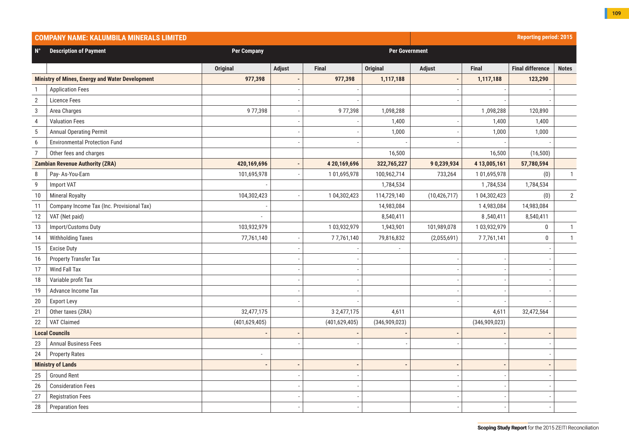|                | <b>COMPANY NAME: KALUMBILA MINERALS LIMITED</b>        |                          |                          |                 | <b>Reporting period: 2015</b> |                |               |                         |                |
|----------------|--------------------------------------------------------|--------------------------|--------------------------|-----------------|-------------------------------|----------------|---------------|-------------------------|----------------|
| $N^{\circ}$    | <b>Description of Payment</b>                          | <b>Per Company</b>       |                          |                 | <b>Per Government</b>         |                |               |                         |                |
|                |                                                        | <b>Original</b>          | Adjust                   | <b>Final</b>    | <b>Original</b>               | Adjust         | <b>Final</b>  | <b>Final difference</b> | <b>Notes</b>   |
|                | <b>Ministry of Mines, Energy and Water Development</b> | 977,398                  | $\overline{\phantom{a}}$ | 977,398         | 1,117,188                     | $\blacksquare$ | 1,117,188     | 123,290                 |                |
| -1             | <b>Application Fees</b>                                |                          |                          |                 |                               |                |               |                         |                |
| $\overline{2}$ | Licence Fees                                           |                          |                          |                 |                               |                |               |                         |                |
| $\mathbf{3}$   | Area Charges                                           | 977,398                  | $\overline{\phantom{a}}$ | 977,398         | 1,098,288                     |                | 1,098,288     | 120,890                 |                |
| 4              | <b>Valuation Fees</b>                                  |                          |                          |                 | 1,400                         |                | 1,400         | 1,400                   |                |
| 5              | <b>Annual Operating Permit</b>                         |                          |                          |                 | 1,000                         |                | 1,000         | 1,000                   |                |
| 6              | <b>Environmental Protection Fund</b>                   |                          |                          |                 |                               |                |               |                         |                |
| $\overline{7}$ | Other fees and charges                                 |                          |                          |                 | 16,500                        |                | 16,500        | (16, 500)               |                |
|                | <b>Zambian Revenue Authority (ZRA)</b>                 | 420,169,696              | $\blacksquare$           | 4 20,169,696    | 322,765,227                   | 90,239,934     | 4 13,005,161  | 57,780,594              |                |
| 8              | Pay- As-You-Earn                                       | 101,695,978              |                          | 1 01,695,978    | 100,962,714                   | 733,264        | 101,695,978   | (0)                     | $\mathbf{1}$   |
| 9              | <b>Import VAT</b>                                      |                          |                          |                 | 1,784,534                     |                | 1,784,534     | 1,784,534               |                |
| 10             | <b>Mineral Royalty</b>                                 | 104,302,423              |                          | 1 04,302,423    | 114,729,140                   | (10, 426, 717) | 1 04,302,423  | (0)                     | $\overline{2}$ |
| 11             | Company Income Tax (Inc. Provisional Tax)              |                          |                          |                 | 14,983,084                    |                | 14,983,084    | 14,983,084              |                |
| 12             | VAT (Net paid)                                         | $\overline{\phantom{a}}$ |                          |                 | 8,540,411                     |                | 8,540,411     | 8,540,411               |                |
| 13             | Import/Customs Duty                                    | 103,932,979              |                          | 1 03,932,979    | 1,943,901                     | 101,989,078    | 1 03,932,979  | $\pmb{0}$               | $\mathbf{1}$   |
| 14             | <b>Withholding Taxes</b>                               | 77,761,140               | $\overline{\phantom{a}}$ | 77,761,140      | 79,816,832                    | (2,055,691)    | 77,761,141    | $\mathbf 0$             | $\mathbf{1}$   |
| 15             | <b>Excise Duty</b>                                     |                          |                          |                 |                               |                |               |                         |                |
| 16             | Property Transfer Tax                                  |                          |                          |                 |                               |                |               |                         |                |
| 17             | Wind Fall Tax                                          |                          |                          |                 |                               |                |               |                         |                |
| 18             | Variable profit Tax                                    |                          |                          |                 |                               |                |               |                         |                |
| 19             | Advance Income Tax                                     |                          |                          |                 |                               |                |               |                         |                |
| 20             | <b>Export Levy</b>                                     |                          |                          |                 |                               |                |               |                         |                |
| 21             | Other taxes (ZRA)                                      | 32,477,175               |                          | 3 2,477,175     | 4,611                         |                | 4,611         | 32,472,564              |                |
| 22             | VAT Claimed                                            | (401, 629, 405)          |                          | (401, 629, 405) | (346,909,023)                 |                | (346,909,023) |                         |                |
|                | <b>Local Councils</b>                                  |                          |                          |                 |                               |                |               |                         |                |
| 23             | <b>Annual Business Fees</b>                            |                          |                          |                 |                               |                |               |                         |                |
| 24             | <b>Property Rates</b>                                  |                          |                          |                 |                               |                |               |                         |                |
|                | <b>Ministry of Lands</b>                               |                          | ÷                        |                 |                               |                |               |                         |                |
| 25             | <b>Ground Rent</b>                                     |                          | $\overline{\phantom{a}}$ |                 |                               |                |               |                         |                |
| 26             | <b>Consideration Fees</b>                              |                          |                          |                 |                               |                |               |                         |                |
| 27             | <b>Registration Fees</b>                               |                          |                          |                 |                               |                |               |                         |                |
| 28             | Preparation fees                                       |                          |                          |                 |                               |                |               |                         |                |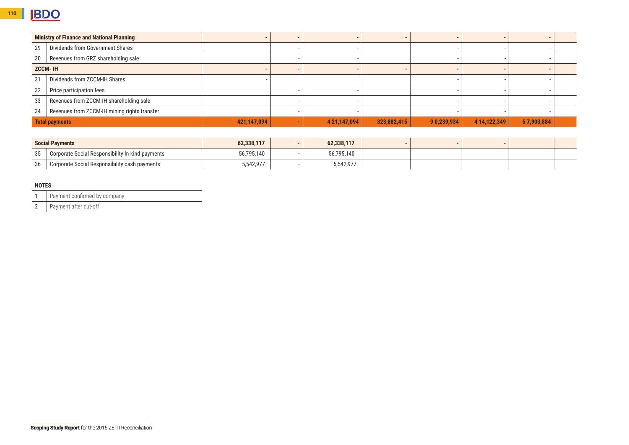|    | <b>Ministry of Finance and National Planning</b> |             |              |             |             |              |            |  |
|----|--------------------------------------------------|-------------|--------------|-------------|-------------|--------------|------------|--|
| 29 | Dividends from Government Shares                 |             |              |             |             |              |            |  |
| 30 | Revenues from GRZ shareholding sale              |             |              |             |             |              |            |  |
|    | <b>ZCCM-IH</b>                                   |             |              |             |             |              |            |  |
| 31 | Dividends from ZCCM-IH Shares                    |             |              |             |             |              |            |  |
| 32 | Price participation fees                         |             |              |             |             |              |            |  |
| 33 | Revenues from ZCCM-IH shareholding sale          |             |              |             |             |              |            |  |
| 34 | Revenues from ZCCM-IH mining rights transfer     |             |              |             |             |              |            |  |
|    | <b>Total payments</b>                            | 421,147,094 | 4 21,147,094 | 323,882,415 | 9 0,239,934 | 4 14,122,349 | 57,903,884 |  |

| <b>Social Payments</b> |                                                  | 62,338,117 | 62,338,117 |  |  |  |
|------------------------|--------------------------------------------------|------------|------------|--|--|--|
| 35                     | Corporate Social Responsibility In kind payments | 56.795.140 | 56,795,140 |  |  |  |
| 36                     | Corporate Social Responsibility cash payments    | 5,542,977  | 5,542,977  |  |  |  |

1 Payment confirmed by company<br>2 Payment after cut-off

Payment after cut-off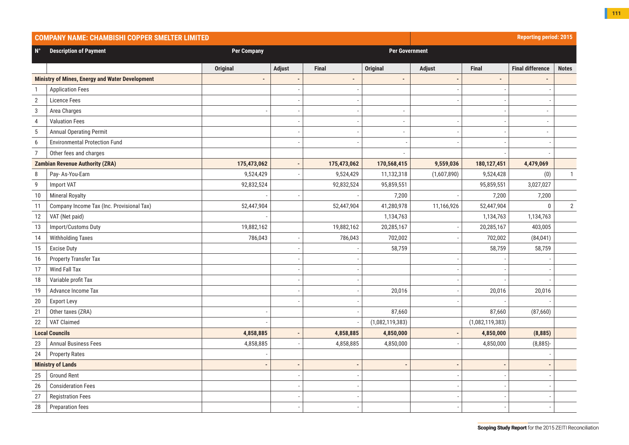|                | <b>COMPANY NAME: CHAMBISHI COPPER SMELTER LIMITED</b>  | <b>Reporting period: 2015</b> |                          |                          |                          |                          |                 |                          |                |
|----------------|--------------------------------------------------------|-------------------------------|--------------------------|--------------------------|--------------------------|--------------------------|-----------------|--------------------------|----------------|
| $N^{\circ}$    | <b>Description of Payment</b>                          | <b>Per Company</b>            |                          |                          | <b>Per Government</b>    |                          |                 |                          |                |
|                |                                                        | <b>Original</b>               | <b>Adjust</b>            | <b>Final</b>             | <b>Original</b>          | Adjust                   | Final           | <b>Final difference</b>  | <b>Notes</b>   |
|                | <b>Ministry of Mines, Energy and Water Development</b> |                               | ×,                       | $\overline{\phantom{a}}$ | $\overline{\phantom{a}}$ | $\overline{\phantom{a}}$ | $\blacksquare$  | ÷                        |                |
| $\mathbf{1}$   | <b>Application Fees</b>                                |                               | $\overline{\phantom{a}}$ |                          |                          | $\overline{\phantom{a}}$ |                 |                          |                |
| $\overline{2}$ | Licence Fees                                           |                               | $\overline{\phantom{a}}$ |                          |                          | $\overline{\phantom{a}}$ |                 |                          |                |
| $\mathbf{3}$   | Area Charges                                           |                               | . .                      |                          | $\centerdot$             |                          |                 | $\overline{\phantom{a}}$ |                |
| $\overline{4}$ | <b>Valuation Fees</b>                                  |                               |                          |                          | $\overline{a}$           |                          |                 |                          |                |
| 5              | <b>Annual Operating Permit</b>                         |                               |                          |                          |                          |                          |                 |                          |                |
| 6              | <b>Environmental Protection Fund</b>                   |                               |                          |                          |                          |                          |                 |                          |                |
| $\overline{7}$ | Other fees and charges                                 |                               |                          |                          |                          |                          |                 |                          |                |
|                | <b>Zambian Revenue Authority (ZRA)</b>                 | 175,473,062                   | $\overline{\phantom{a}}$ | 175,473,062              | 170,568,415              | 9,559,036                | 180,127,451     | 4,479,069                |                |
| 8              | Pay-As-You-Earn                                        | 9,524,429                     | $\overline{\phantom{a}}$ | 9,524,429                | 11,132,318               | (1,607,890)              | 9,524,428       | (0)                      | $\mathbf{1}$   |
| 9              | <b>Import VAT</b>                                      | 92,832,524                    |                          | 92,832,524               | 95,859,551               |                          | 95,859,551      | 3,027,027                |                |
| 10             | <b>Mineral Royalty</b>                                 |                               |                          |                          | 7,200                    |                          | 7,200           | 7,200                    |                |
| 11             | Company Income Tax (Inc. Provisional Tax)              | 52,447,904                    |                          | 52,447,904               | 41,280,978               | 11,166,926               | 52,447,904      | $\mathbf 0$              | $\overline{2}$ |
| 12             | VAT (Net paid)                                         |                               |                          |                          | 1,134,763                |                          | 1,134,763       | 1,134,763                |                |
| 13             | Import/Customs Duty                                    | 19,882,162                    |                          | 19,882,162               | 20,285,167               | $\overline{\phantom{a}}$ | 20,285,167      | 403,005                  |                |
| 14             | <b>Withholding Taxes</b>                               | 786,043                       | $\overline{\phantom{a}}$ | 786,043                  | 702,002                  |                          | 702,002         | (84, 041)                |                |
| 15             | <b>Excise Duty</b>                                     |                               | $\overline{\phantom{a}}$ |                          | 58,759                   |                          | 58,759          | 58,759                   |                |
| 16             | Property Transfer Tax                                  |                               |                          |                          |                          |                          |                 |                          |                |
| 17             | Wind Fall Tax                                          |                               |                          |                          |                          |                          |                 |                          |                |
| 18             | Variable profit Tax                                    |                               |                          |                          |                          |                          |                 |                          |                |
| 19             | Advance Income Tax                                     |                               | $\overline{\phantom{a}}$ |                          | 20,016                   | $\overline{\phantom{a}}$ | 20,016          | 20,016                   |                |
| 20             | <b>Export Levy</b>                                     |                               |                          |                          |                          |                          |                 |                          |                |
| 21             | Other taxes (ZRA)                                      |                               |                          |                          | 87,660                   |                          | 87,660          | (87,660)                 |                |
| 22             | VAT Claimed                                            |                               |                          |                          | (1,082,119,383)          |                          | (1,082,119,383) |                          |                |
|                | <b>Local Councils</b>                                  | 4,858,885                     | $\overline{\phantom{a}}$ | 4,858,885                | 4,850,000                |                          | 4,850,000       | (8, 885)                 |                |
| 23             | <b>Annual Business Fees</b>                            | 4,858,885                     |                          | 4,858,885                | 4,850,000                |                          | 4,850,000       | $(8,885)$ -              |                |
| 24             | <b>Property Rates</b>                                  |                               |                          |                          |                          |                          |                 |                          |                |
|                | <b>Ministry of Lands</b>                               |                               | ÷                        |                          |                          | ×,                       |                 |                          |                |
| 25             | <b>Ground Rent</b>                                     |                               | $\overline{\phantom{a}}$ |                          |                          | $\overline{\phantom{a}}$ |                 |                          |                |
| 26             | <b>Consideration Fees</b>                              |                               | $\overline{\phantom{a}}$ |                          |                          | $\overline{\phantom{a}}$ |                 |                          |                |
| 27             | <b>Registration Fees</b>                               |                               |                          |                          |                          |                          |                 |                          |                |
| 28             | Preparation fees                                       |                               |                          |                          |                          |                          |                 |                          |                |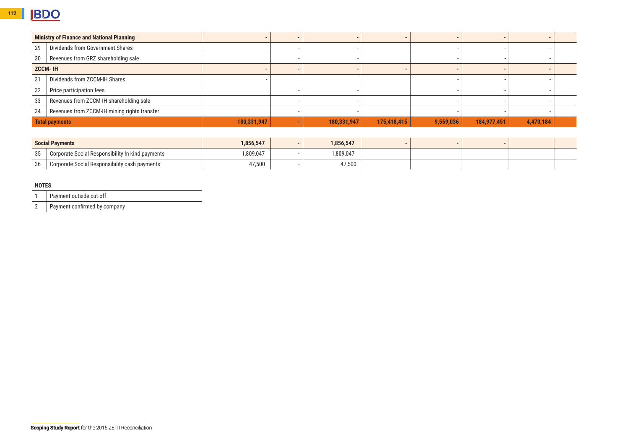|    | <b>Ministry of Finance and National Planning</b> |             |             |             |           |             |           |  |
|----|--------------------------------------------------|-------------|-------------|-------------|-----------|-------------|-----------|--|
| 29 | Dividends from Government Shares                 |             |             |             |           |             |           |  |
| 30 | Revenues from GRZ shareholding sale              |             |             |             |           |             |           |  |
|    | <b>ZCCM-IH</b>                                   |             |             |             |           |             |           |  |
| 31 | Dividends from ZCCM-IH Shares                    |             |             |             |           |             |           |  |
| 32 | Price participation fees                         |             |             |             |           |             |           |  |
| 33 | Revenues from ZCCM-IH shareholding sale          |             |             |             |           |             |           |  |
| 34 | Revenues from ZCCM-IH mining rights transfer     |             |             |             |           |             |           |  |
|    | <b>Total payments</b>                            | 180,331,947 | 180,331,947 | 175,418,415 | 9,559,036 | 184,977,451 | 4,470,184 |  |

| <b>Social Payments</b> |                                                  | 1,856,547 | 1,856,547 |  |  |  |
|------------------------|--------------------------------------------------|-----------|-----------|--|--|--|
| 35                     | Corporate Social Responsibility In kind payments | 1,809,047 | 809,047.ا |  |  |  |
| 36                     | Corporate Social Responsibility cash payments    | 17,500    | 47,500    |  |  |  |

1 Payment outside cut-off<br>2 Payment confirmed by co

Payment confirmed by company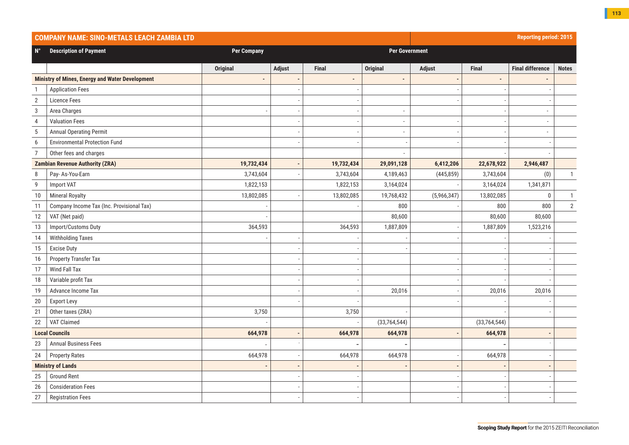|                | <b>COMPANY NAME: SINO-METALS LEACH ZAMBIA LTD</b>      |                    |                          |              |                          | <b>Reporting period: 2015</b> |                |                         |              |  |  |
|----------------|--------------------------------------------------------|--------------------|--------------------------|--------------|--------------------------|-------------------------------|----------------|-------------------------|--------------|--|--|
| $N^{\circ}$    | <b>Description of Payment</b>                          | <b>Per Company</b> |                          |              | <b>Per Government</b>    |                               |                |                         |              |  |  |
|                |                                                        | <b>Original</b>    | <b>Adjust</b>            | <b>Final</b> | <b>Original</b>          | Adjust                        | <b>Final</b>   | <b>Final difference</b> | <b>Notes</b> |  |  |
|                | <b>Ministry of Mines, Energy and Water Development</b> |                    | ÷                        |              | ÷.                       |                               | $\blacksquare$ |                         |              |  |  |
| $\overline{1}$ | <b>Application Fees</b>                                |                    |                          |              |                          |                               |                |                         |              |  |  |
| $\overline{2}$ | <b>Licence Fees</b>                                    |                    |                          |              |                          |                               |                |                         |              |  |  |
| $\sqrt{3}$     | Area Charges                                           |                    | $\overline{\phantom{a}}$ |              | $\overline{\phantom{a}}$ |                               |                |                         |              |  |  |
| $\overline{4}$ | <b>Valuation Fees</b>                                  |                    | $\overline{\phantom{a}}$ |              | $\overline{a}$           |                               |                |                         |              |  |  |
| $\sqrt{5}$     | <b>Annual Operating Permit</b>                         |                    | ÷,                       |              |                          |                               |                |                         |              |  |  |
| 6              | <b>Environmental Protection Fund</b>                   |                    | $\overline{\phantom{a}}$ |              |                          |                               |                |                         |              |  |  |
| $\overline{7}$ | Other fees and charges                                 |                    |                          |              | $\overline{\phantom{a}}$ |                               |                |                         |              |  |  |
|                | <b>Zambian Revenue Authority (ZRA)</b>                 | 19,732,434         | $\overline{\phantom{a}}$ | 19,732,434   | 29,091,128               | 6,412,206                     | 22,678,922     | 2,946,487               |              |  |  |
| 8              | Pay- As-You-Earn                                       | 3,743,604          | $\overline{\phantom{a}}$ | 3,743,604    | 4,189,463                | (445, 859)                    | 3,743,604      | (0)                     | $\mathbf{1}$ |  |  |
| 9              | <b>Import VAT</b>                                      | 1,822,153          |                          | 1,822,153    | 3,164,024                |                               | 3,164,024      | 1,341,871               |              |  |  |
| 10             | <b>Mineral Royalty</b>                                 | 13,802,085         |                          | 13,802,085   | 19,768,432               | (5,966,347)                   | 13,802,085     | $\mathbf 0$             | $\mathbf{1}$ |  |  |
| 11             | Company Income Tax (Inc. Provisional Tax)              |                    |                          |              | 800                      |                               | 800            | 800                     | $\mathbf{2}$ |  |  |
| 12             | VAT (Net paid)                                         |                    |                          |              | 80,600                   |                               | 80,600         | 80,600                  |              |  |  |
| 13             | Import/Customs Duty                                    | 364,593            |                          | 364,593      | 1,887,809                |                               | 1,887,809      | 1,523,216               |              |  |  |
| 14             | <b>Withholding Taxes</b>                               |                    |                          |              |                          |                               |                |                         |              |  |  |
| 15             | <b>Excise Duty</b>                                     |                    |                          |              |                          |                               |                |                         |              |  |  |
| 16             | Property Transfer Tax                                  |                    |                          |              |                          |                               |                |                         |              |  |  |
| 17             | Wind Fall Tax                                          |                    | $\overline{\phantom{a}}$ |              |                          |                               |                |                         |              |  |  |
| 18             | Variable profit Tax                                    |                    |                          |              |                          |                               |                |                         |              |  |  |
| 19             | Advance Income Tax                                     |                    |                          |              | 20,016                   |                               | 20,016         | 20,016                  |              |  |  |
| $20\,$         | <b>Export Levy</b>                                     |                    |                          |              |                          |                               |                |                         |              |  |  |
| 21             | Other taxes (ZRA)                                      | 3,750              |                          | 3,750        |                          |                               |                |                         |              |  |  |
| 22             | <b>VAT Claimed</b>                                     |                    |                          |              | (33, 764, 544)           |                               | (33,764,544)   |                         |              |  |  |
|                | <b>Local Councils</b>                                  | 664,978            | $\overline{\phantom{a}}$ | 664,978      | 664,978                  |                               | 664,978        |                         |              |  |  |
| 23             | <b>Annual Business Fees</b>                            |                    | $\sim$                   |              |                          |                               |                |                         |              |  |  |
| 24             | <b>Property Rates</b>                                  | 664,978            | ÷,                       | 664,978      | 664,978                  |                               | 664,978        |                         |              |  |  |
|                | <b>Ministry of Lands</b>                               |                    | ٠                        |              |                          |                               |                |                         |              |  |  |
| 25             | <b>Ground Rent</b>                                     |                    | $\overline{\phantom{a}}$ |              |                          |                               |                |                         |              |  |  |
| 26             | <b>Consideration Fees</b>                              |                    |                          |              |                          |                               |                |                         |              |  |  |
| 27             | <b>Registration Fees</b>                               |                    |                          |              |                          |                               |                |                         |              |  |  |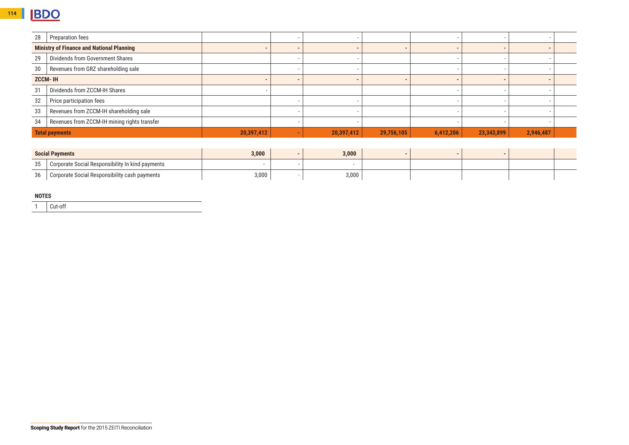| 28 | Preparation fees                                 |            |            |            |           |            |           |  |
|----|--------------------------------------------------|------------|------------|------------|-----------|------------|-----------|--|
|    | <b>Ministry of Finance and National Planning</b> |            |            |            |           |            |           |  |
| 29 | Dividends from Government Shares                 |            |            |            |           |            |           |  |
| 30 | Revenues from GRZ shareholding sale              |            |            |            |           |            |           |  |
|    | <b>ZCCM-IH</b>                                   |            |            |            |           |            |           |  |
| 31 | Dividends from ZCCM-IH Shares                    |            |            |            |           |            |           |  |
| 32 | Price participation fees                         |            |            |            |           |            |           |  |
| 33 | Revenues from ZCCM-IH shareholding sale          |            |            |            |           |            |           |  |
| 34 | Revenues from ZCCM-IH mining rights transfer     |            |            |            |           |            |           |  |
|    | <b>Total payments</b>                            | 20,397,412 | 20,397,412 | 29,756,105 | 6,412,206 | 23,343,899 | 2,946,487 |  |

| <b>Social Payments</b> |                                                  | 3.000 | 3,000 |  |  |  |
|------------------------|--------------------------------------------------|-------|-------|--|--|--|
| $35 \mid$              | Corporate Social Responsibility In kind payments |       |       |  |  |  |
| 36                     | Corporate Social Responsibility cash payments    | 3.000 | 3,000 |  |  |  |

Cut-off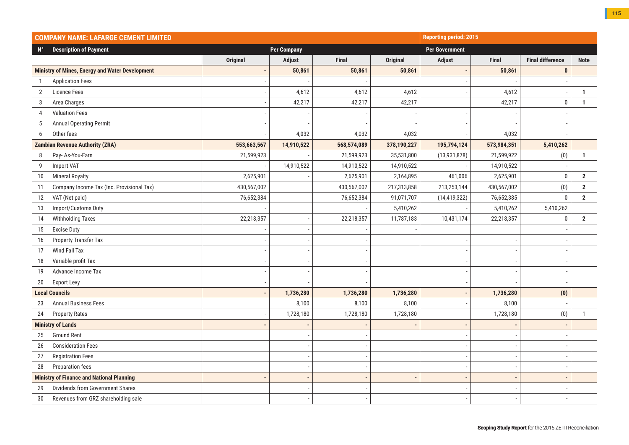|                | <b>COMPANY NAME: LAFARGE CEMENT LIMITED</b>            |                 |                    |              |                 | <b>Reporting period: 2015</b> |              |                         |                |
|----------------|--------------------------------------------------------|-----------------|--------------------|--------------|-----------------|-------------------------------|--------------|-------------------------|----------------|
| $N^{\circ}$    | <b>Description of Payment</b>                          |                 | <b>Per Company</b> |              |                 | <b>Per Government</b>         |              |                         |                |
|                |                                                        | <b>Original</b> | Adjust             | <b>Final</b> | <b>Original</b> | Adjust                        | <b>Final</b> | <b>Final difference</b> | <b>Note</b>    |
|                | <b>Ministry of Mines, Energy and Water Development</b> |                 | 50,861             | 50,861       | 50,861          |                               | 50,861       | $\bf{0}$                |                |
| 1              | <b>Application Fees</b>                                |                 |                    |              |                 |                               |              |                         |                |
| $\overline{2}$ | <b>Licence Fees</b>                                    |                 | 4,612              | 4,612        | 4,612           |                               | 4,612        |                         | $\mathbf{1}$   |
| 3              | Area Charges                                           |                 | 42,217             | 42,217       | 42,217          |                               | 42,217       | $\pmb{0}$               | $\mathbf{1}$   |
| 4              | <b>Valuation Fees</b>                                  |                 |                    |              |                 |                               |              |                         |                |
| 5              | <b>Annual Operating Permit</b>                         |                 |                    |              |                 |                               |              |                         |                |
| 6              | Other fees                                             |                 | 4,032              | 4,032        | 4,032           |                               | 4,032        |                         |                |
|                | <b>Zambian Revenue Authority (ZRA)</b>                 | 553,663,567     | 14,910,522         | 568,574,089  | 378,190,227     | 195,794,124                   | 573,984,351  | 5,410,262               |                |
| 8              | Pay-As-You-Earn                                        | 21,599,923      |                    | 21,599,923   | 35,531,800      | (13,931,878)                  | 21,599,922   | (0)                     | $\mathbf{1}$   |
| 9              | <b>Import VAT</b>                                      |                 | 14,910,522         | 14,910,522   | 14,910,522      |                               | 14,910,522   |                         |                |
| 10             | <b>Mineral Royalty</b>                                 | 2,625,901       |                    | 2,625,901    | 2,164,895       | 461,006                       | 2,625,901    | $\mathbf 0$             | $\mathbf{2}$   |
| 11             | Company Income Tax (Inc. Provisional Tax)              | 430,567,002     |                    | 430,567,002  | 217,313,858     | 213,253,144                   | 430,567,002  | (0)                     | $\mathbf{2}$   |
| 12             | VAT (Net paid)                                         | 76,652,384      |                    | 76,652,384   | 91,071,707      | (14, 419, 322)                | 76,652,385   | $\mathbf 0$             | $\overline{2}$ |
| 13             | Import/Customs Duty                                    |                 |                    |              | 5,410,262       |                               | 5,410,262    | 5,410,262               |                |
| 14             | <b>Withholding Taxes</b>                               | 22,218,357      |                    | 22,218,357   | 11,787,183      | 10,431,174                    | 22,218,357   | $\mathbf 0$             | $\mathbf{2}$   |
| 15             | <b>Excise Duty</b>                                     |                 |                    |              |                 |                               |              |                         |                |
| 16             | Property Transfer Tax                                  |                 |                    |              |                 |                               |              |                         |                |
| 17             | Wind Fall Tax                                          |                 |                    |              |                 |                               |              |                         |                |
| 18             | Variable profit Tax                                    |                 |                    |              |                 |                               |              |                         |                |
| 19             | Advance Income Tax                                     |                 |                    |              |                 |                               |              |                         |                |
| 20             | <b>Export Levy</b>                                     |                 |                    |              |                 |                               |              |                         |                |
|                | <b>Local Councils</b>                                  |                 | 1,736,280          | 1,736,280    | 1,736,280       |                               | 1,736,280    | (0)                     |                |
| 23             | <b>Annual Business Fees</b>                            |                 | 8,100              | 8,100        | 8,100           |                               | 8,100        |                         |                |
| 24             | <b>Property Rates</b>                                  |                 | 1,728,180          | 1,728,180    | 1,728,180       |                               | 1,728,180    | (0)                     |                |
|                | <b>Ministry of Lands</b>                               |                 |                    |              |                 |                               |              |                         |                |
| 25             | <b>Ground Rent</b>                                     |                 |                    |              |                 |                               |              |                         |                |
| 26             | <b>Consideration Fees</b>                              |                 |                    |              |                 |                               |              |                         |                |
| 27             | <b>Registration Fees</b>                               |                 |                    |              |                 |                               |              |                         |                |
| 28             | Preparation fees                                       |                 |                    |              |                 |                               |              |                         |                |
|                | <b>Ministry of Finance and National Planning</b>       |                 |                    |              |                 |                               |              |                         |                |
| 29             | <b>Dividends from Government Shares</b>                |                 |                    |              |                 |                               |              |                         |                |
| 30             | Revenues from GRZ shareholding sale                    |                 |                    |              |                 |                               |              |                         |                |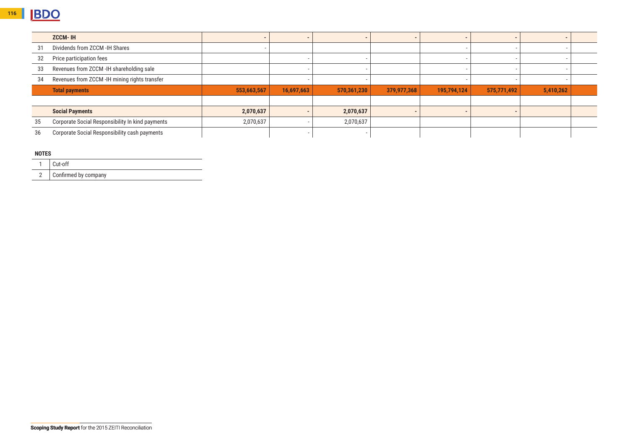|     | <b>ZCCM-IH</b>                                   |             |            |             |             |             |             |           |  |
|-----|--------------------------------------------------|-------------|------------|-------------|-------------|-------------|-------------|-----------|--|
| 31  | Dividends from ZCCM -IH Shares                   |             |            |             |             |             |             |           |  |
| -32 | Price participation fees                         |             |            |             |             |             |             |           |  |
| 33  | Revenues from ZCCM -IH shareholding sale         |             |            |             |             |             |             |           |  |
| 34  | Revenues from ZCCM -IH mining rights transfer    |             |            |             |             |             |             |           |  |
|     |                                                  |             |            |             |             |             |             |           |  |
|     | <b>Total payments</b>                            | 553,663,567 | 16,697,663 | 570,361,230 | 379,977,368 | 195,794,124 | 575,771,492 | 5,410,262 |  |
|     |                                                  |             |            |             |             |             |             |           |  |
|     | <b>Social Payments</b>                           | 2,070,637   |            | 2,070,637   |             |             |             |           |  |
| 35  | Corporate Social Responsibility In kind payments | 2,070,637   |            | 2,070,637   |             |             |             |           |  |

### **NOTES**

| Cut-off              |
|----------------------|
| Confirmed by company |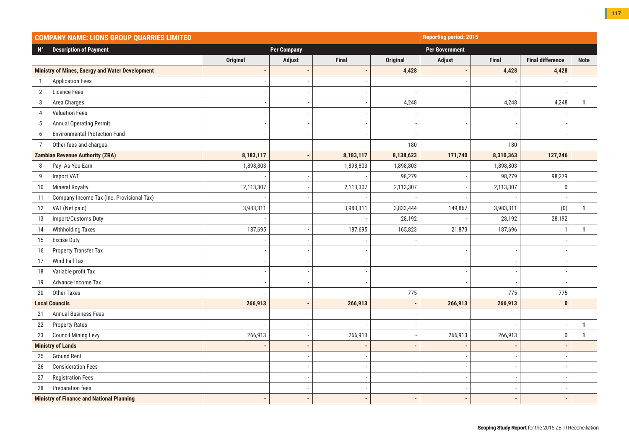|                | <b>COMPANY NAME: LIONS GROUP QUARRIES LIMITED</b>      |                 | <b>Reporting period: 2015</b> |              |                 |                       |              |                          |              |
|----------------|--------------------------------------------------------|-----------------|-------------------------------|--------------|-----------------|-----------------------|--------------|--------------------------|--------------|
| $N^{\circ}$    | <b>Description of Payment</b>                          |                 | <b>Per Company</b>            |              |                 | <b>Per Government</b> |              |                          |              |
|                |                                                        | <b>Original</b> | <b>Adjust</b>                 | <b>Final</b> | <b>Original</b> | Adjust                | <b>Final</b> | <b>Final difference</b>  | <b>Note</b>  |
|                | <b>Ministry of Mines, Energy and Water Development</b> |                 |                               |              | 4,428           |                       | 4,428        | 4,428                    |              |
| 1              | <b>Application Fees</b>                                |                 |                               |              |                 |                       |              |                          |              |
| $\overline{2}$ | <b>Licence Fees</b>                                    |                 |                               |              |                 |                       |              |                          |              |
| 3              | Area Charges                                           |                 | $\overline{\phantom{a}}$      |              | 4,248           |                       | 4,248        | 4,248                    | $\mathbf{1}$ |
| 4              | <b>Valuation Fees</b>                                  |                 |                               |              |                 |                       |              |                          |              |
| 5              | <b>Annual Operating Permit</b>                         |                 |                               |              |                 |                       |              |                          |              |
| 6              | <b>Environmental Protection Fund</b>                   |                 |                               |              |                 |                       |              |                          |              |
| 7              | Other fees and charges                                 |                 |                               |              | 180             |                       | 180          |                          |              |
|                | <b>Zambian Revenue Authority (ZRA)</b>                 | 8,183,117       | $\blacksquare$                | 8,183,117    | 8,138,623       | 171,740               | 8,310,363    | 127,246                  |              |
| 8              | Pay- As-You-Earn                                       | 1,898,803       |                               | 1,898,803    | 1,898,803       |                       | 1,898,803    |                          |              |
| 9              | <b>Import VAT</b>                                      |                 |                               |              | 98,279          |                       | 98,279       | 98,279                   |              |
| 10             | <b>Mineral Royalty</b>                                 | 2,113,307       |                               | 2,113,307    | 2,113,307       |                       | 2,113,307    | 0                        |              |
| 11             | Company Income Tax (Inc. Provisional Tax)              |                 |                               |              |                 |                       |              |                          |              |
| 12             | VAT (Net paid)                                         | 3,983,311       |                               | 3,983,311    | 3,833,444       | 149,867               | 3,983,311    | (0)                      | $\mathbf{1}$ |
| 13             | Import/Customs Duty                                    |                 |                               |              | 28,192          |                       | 28,192       | 28,192                   |              |
| 14             | <b>Withholding Taxes</b>                               | 187,695         |                               | 187,695      | 165,823         | 21,873                | 187,696      | $\mathbf{1}$             | $\mathbf{1}$ |
| 15             | <b>Excise Duty</b>                                     |                 |                               |              |                 |                       |              |                          |              |
| 16             | Property Transfer Tax                                  |                 |                               |              |                 |                       |              |                          |              |
| 17             | Wind Fall Tax                                          |                 |                               |              |                 |                       |              |                          |              |
| 18             | Variable profit Tax                                    |                 | $\overline{\phantom{a}}$      |              |                 |                       |              | $\overline{\phantom{a}}$ |              |
| 19             | Advance Income Tax                                     |                 | $\overline{\phantom{a}}$      |              |                 |                       |              |                          |              |
| 20             | <b>Other Taxes</b>                                     |                 |                               |              | 775             |                       | 775          | 775                      |              |
|                | <b>Local Councils</b>                                  | 266,913         | $\overline{\phantom{a}}$      | 266,913      |                 | 266,913               | 266,913      | $\mathbf{0}$             |              |
| 21             | <b>Annual Business Fees</b>                            |                 | $\overline{\phantom{a}}$      |              |                 |                       |              |                          |              |
| 22             | <b>Property Rates</b>                                  |                 |                               |              |                 |                       |              | $\overline{\phantom{a}}$ | $\mathbf{1}$ |
| 23             | <b>Council Mining Levy</b>                             | 266,913         |                               | 266,913      |                 | 266,913               | 266,913      | $\bf{0}$                 | $\mathbf{1}$ |
|                | <b>Ministry of Lands</b>                               |                 | $\overline{\phantom{a}}$      |              |                 |                       |              |                          |              |
| 25             | <b>Ground Rent</b>                                     |                 | $\overline{\phantom{a}}$      |              |                 |                       |              |                          |              |
| 26             | <b>Consideration Fees</b>                              |                 |                               |              |                 |                       |              |                          |              |
| 27             | <b>Registration Fees</b>                               |                 |                               |              |                 |                       |              |                          |              |
| 28             | Preparation fees                                       |                 |                               |              |                 |                       |              |                          |              |
|                | <b>Ministry of Finance and National Planning</b>       |                 | $\blacksquare$                |              |                 |                       |              | $\blacksquare$           |              |

I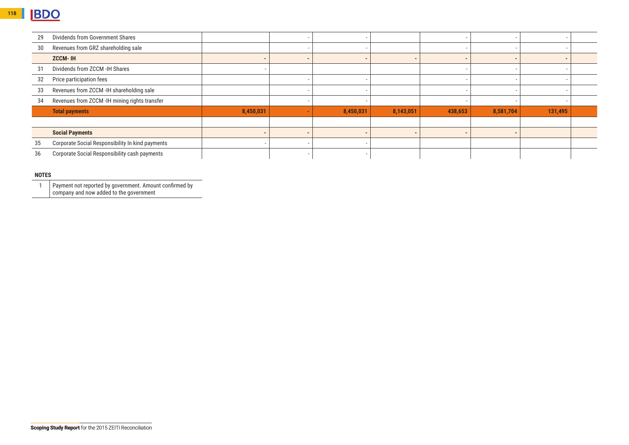| 29 | Dividends from Government Shares                 |           |           |           |                          | $\overline{\phantom{a}}$ |         |  |
|----|--------------------------------------------------|-----------|-----------|-----------|--------------------------|--------------------------|---------|--|
| 30 | Revenues from GRZ shareholding sale              |           |           |           | $\overline{\phantom{a}}$ | $\overline{\phantom{a}}$ |         |  |
|    | <b>ZCCM-IH</b>                                   |           |           |           |                          | $\overline{a}$           |         |  |
| 31 | Dividends from ZCCM -IH Shares                   |           |           |           |                          | $\overline{\phantom{a}}$ |         |  |
| 32 | Price participation fees                         |           |           |           | $\overline{\phantom{0}}$ | $\overline{\phantom{a}}$ |         |  |
| 33 | Revenues from ZCCM -IH shareholding sale         |           |           |           |                          | $\overline{\phantom{a}}$ |         |  |
| 34 | Revenues from ZCCM -IH mining rights transfer    |           |           |           |                          | $\overline{\phantom{a}}$ |         |  |
|    | <b>Total payments</b>                            | 8,450,031 | 8,450,031 | 8,143,051 | 438,653                  | 8,581,704                | 131,495 |  |
|    |                                                  |           |           |           |                          |                          |         |  |
|    | <b>Social Payments</b>                           |           |           |           |                          |                          |         |  |
| 35 | Corporate Social Responsibility In kind payments |           |           |           |                          |                          |         |  |
| 36 | Corporate Social Responsibility cash payments    |           |           |           |                          |                          |         |  |

 Payment not reported by government. Amount confirmed by company and now added to the government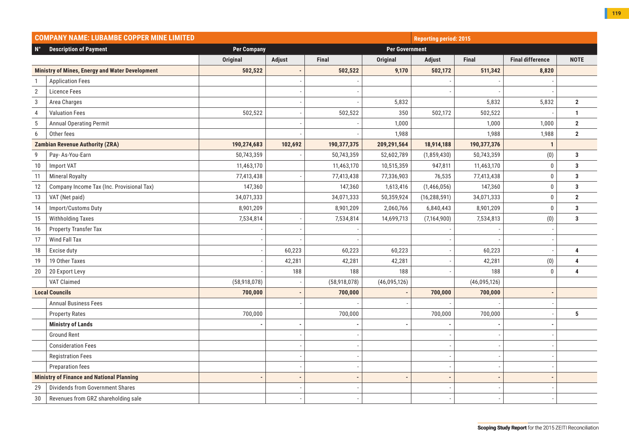|                | <b>COMPANY NAME: LUBAMBE COPPER MINE LIMITED</b>       |                    | <b>Reporting period: 2015</b> |              |                       |                |              |                         |                         |
|----------------|--------------------------------------------------------|--------------------|-------------------------------|--------------|-----------------------|----------------|--------------|-------------------------|-------------------------|
| $N^{\circ}$    | <b>Description of Payment</b>                          | <b>Per Company</b> |                               |              | <b>Per Government</b> |                |              |                         |                         |
|                |                                                        | <b>Original</b>    | Adjust                        | <b>Final</b> | <b>Original</b>       | Adjust         | Final        | <b>Final difference</b> | <b>NOTE</b>             |
|                | <b>Ministry of Mines, Energy and Water Development</b> | 502,522            |                               | 502,522      | 9,170                 | 502,172        | 511,342      | 8,820                   |                         |
| -1             | <b>Application Fees</b>                                |                    |                               |              |                       |                |              |                         |                         |
| $\overline{2}$ | <b>Licence Fees</b>                                    |                    |                               |              |                       |                |              |                         |                         |
| 3              | Area Charges                                           |                    |                               |              | 5,832                 |                | 5,832        | 5,832                   | $\mathbf 2$             |
| $\overline{4}$ | <b>Valuation Fees</b>                                  | 502,522            |                               | 502,522      | 350                   | 502,172        | 502,522      |                         | $\mathbf{1}$            |
| 5              | <b>Annual Operating Permit</b>                         |                    |                               |              | 1,000                 |                | 1,000        | 1,000                   | $\mathbf 2$             |
| 6              | Other fees                                             |                    |                               |              | 1,988                 |                | 1,988        | 1,988                   | $\mathbf 2$             |
|                | <b>Zambian Revenue Authority (ZRA)</b>                 | 190,274,683        | 102,692                       | 190,377,375  | 209,291,564           | 18,914,188     | 190,377,376  | $\mathbf{1}$            |                         |
| 9              | Pay-As-You-Earn                                        | 50,743,359         |                               | 50,743,359   | 52,602,789            | (1,859,430)    | 50,743,359   | (0)                     | 3                       |
| 10             | <b>Import VAT</b>                                      | 11,463,170         |                               | 11,463,170   | 10,515,359            | 947,811        | 11,463,170   | $\mathbf 0$             | 3                       |
| 11             | <b>Mineral Royalty</b>                                 | 77,413,438         |                               | 77,413,438   | 77,336,903            | 76,535         | 77,413,438   | $\mathbf 0$             | 3                       |
| 12             | Company Income Tax (Inc. Provisional Tax)              | 147,360            |                               | 147,360      | 1,613,416             | (1,466,056)    | 147,360      | $\mathbf 0$             | 3                       |
| 13             | VAT (Net paid)                                         | 34,071,333         |                               | 34,071,333   | 50,359,924            | (16, 288, 591) | 34,071,333   | $\mathbf 0$             | $\mathbf 2$             |
| 14             | Import/Customs Duty                                    | 8,901,209          |                               | 8,901,209    | 2,060,766             | 6,840,443      | 8,901,209    | $\mathbf{0}$            | 3                       |
| 15             | <b>Withholding Taxes</b>                               | 7,534,814          |                               | 7,534,814    | 14,699,713            | (7, 164, 900)  | 7,534,813    | (0)                     | $\overline{\mathbf{3}}$ |
| 16             | Property Transfer Tax                                  |                    |                               |              |                       |                |              |                         |                         |
| 17             | Wind Fall Tax                                          |                    |                               |              |                       |                |              |                         |                         |
| 18             | Excise duty                                            |                    | 60,223                        | 60,223       | 60,223                |                | 60,223       |                         | 4                       |
| 19             | 19 Other Taxes                                         |                    | 42,281                        | 42,281       | 42,281                |                | 42,281       | (0)                     | 4                       |
| 20             | 20 Export Levy                                         |                    | 188                           | 188          | 188                   |                | 188          | 0                       | 4                       |
|                | <b>VAT Claimed</b>                                     | (58,918,078)       |                               | (58,918,078) | (46,095,126)          |                | (46,095,126) |                         |                         |
|                | <b>Local Councils</b>                                  | 700,000            |                               | 700,000      |                       | 700,000        | 700,000      |                         |                         |
|                | <b>Annual Business Fees</b>                            |                    |                               |              |                       |                |              |                         |                         |
|                | <b>Property Rates</b>                                  | 700,000            |                               | 700,000      |                       | 700,000        | 700,000      |                         | 5                       |
|                | <b>Ministry of Lands</b>                               |                    |                               |              |                       |                |              |                         |                         |
|                | <b>Ground Rent</b>                                     |                    |                               |              |                       |                |              |                         |                         |
|                | <b>Consideration Fees</b>                              |                    |                               |              |                       |                |              |                         |                         |
|                | <b>Registration Fees</b>                               |                    |                               |              |                       |                |              |                         |                         |
|                | <b>Preparation fees</b>                                |                    |                               |              |                       |                |              |                         |                         |
|                | <b>Ministry of Finance and National Planning</b>       |                    |                               |              |                       |                |              |                         |                         |
| 29             | Dividends from Government Shares                       |                    |                               |              |                       |                |              |                         |                         |
| 30             | Revenues from GRZ shareholding sale                    |                    |                               |              |                       |                |              |                         |                         |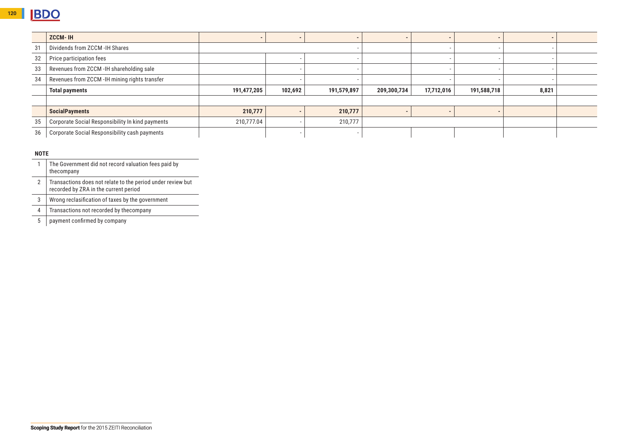#### **IBDO 120**

|    | <b>ZCCM-IH</b>                                   |             |         |             |             |            |             |       |  |
|----|--------------------------------------------------|-------------|---------|-------------|-------------|------------|-------------|-------|--|
| 31 | Dividends from ZCCM -IH Shares                   |             |         |             |             |            |             |       |  |
| 32 | Price participation fees                         |             |         |             |             |            |             |       |  |
| 33 | Revenues from ZCCM -IH shareholding sale         |             |         |             |             |            |             |       |  |
| 34 | Revenues from ZCCM -IH mining rights transfer    |             |         |             |             |            |             |       |  |
|    |                                                  |             |         |             |             |            |             |       |  |
|    | <b>Total payments</b>                            | 191,477,205 | 102,692 | 191,579,897 | 209,300,734 | 17,712,016 | 191,588,718 | 8,821 |  |
|    |                                                  |             |         |             |             |            |             |       |  |
|    | <b>SocialPayments</b>                            | 210,777     |         | 210,777     |             |            |             |       |  |
| 35 | Corporate Social Responsibility In kind payments | 210,777.04  |         | 210,777     |             |            |             |       |  |

### **NOTE**

| 1   The Government did not record valuation fees paid by |
|----------------------------------------------------------|
| thecompany                                               |

- 2 Transactions does not relate to the period under review but recorded by ZRA in the current period
- 3 Wrong reclasification of taxes by the government
- 4 Transactions not recorded by thecompany
- 5 payment confirmed by company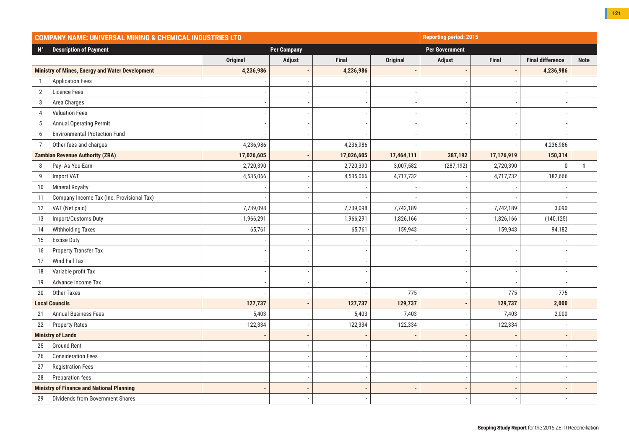|                |                                                        | <b>COMPANY NAME: UNIVERSAL MINING &amp; CHEMICAL INDUSTRIES LTD</b> |                    |              |                 |                       |              |                         |              |
|----------------|--------------------------------------------------------|---------------------------------------------------------------------|--------------------|--------------|-----------------|-----------------------|--------------|-------------------------|--------------|
| $N^{\circ}$    | <b>Description of Payment</b>                          |                                                                     | <b>Per Company</b> |              |                 | <b>Per Government</b> |              |                         |              |
|                |                                                        | <b>Original</b>                                                     | Adjust             | <b>Final</b> | <b>Original</b> | Adjust                | <b>Final</b> | <b>Final difference</b> | <b>Note</b>  |
|                | <b>Ministry of Mines, Energy and Water Development</b> | 4,236,986                                                           |                    | 4,236,986    |                 |                       |              | 4,236,986               |              |
| 1              | <b>Application Fees</b>                                |                                                                     |                    |              |                 |                       |              |                         |              |
| $\overline{2}$ | Licence Fees                                           |                                                                     |                    |              |                 |                       |              |                         |              |
| 3              | Area Charges                                           |                                                                     |                    |              |                 |                       |              |                         |              |
| 4              | <b>Valuation Fees</b>                                  |                                                                     |                    |              |                 |                       |              |                         |              |
| 5              | <b>Annual Operating Permit</b>                         |                                                                     |                    |              |                 |                       |              |                         |              |
| 6              | <b>Environmental Protection Fund</b>                   |                                                                     |                    |              |                 |                       |              |                         |              |
| 7              | Other fees and charges                                 | 4,236,986                                                           |                    | 4,236,986    |                 |                       |              | 4,236,986               |              |
|                | <b>Zambian Revenue Authority (ZRA)</b>                 | 17,026,605                                                          |                    | 17,026,605   | 17,464,111      | 287,192               | 17,176,919   | 150,314                 |              |
| 8              | Pay-As-You-Earn                                        | 2,720,390                                                           |                    | 2,720,390    | 3,007,582       | (287, 192)            | 2,720,390    | $\mathbf 0$             | $\mathbf{1}$ |
| 9              | <b>Import VAT</b>                                      | 4,535,066                                                           |                    | 4,535,066    | 4,717,732       |                       | 4,717,732    | 182,666                 |              |
| 10             | <b>Mineral Royalty</b>                                 |                                                                     |                    |              |                 |                       |              |                         |              |
| 11             | Company Income Tax (Inc. Provisional Tax)              |                                                                     |                    |              |                 |                       |              |                         |              |
| 12             | VAT (Net paid)                                         | 7,739,098                                                           |                    | 7,739,098    | 7,742,189       |                       | 7,742,189    | 3,090                   |              |
| 13             | Import/Customs Duty                                    | 1,966,291                                                           |                    | 1,966,291    | 1,826,166       |                       | 1,826,166    | (140, 125)              |              |
| 14             | <b>Withholding Taxes</b>                               | 65,761                                                              |                    | 65,761       | 159,943         |                       | 159,943      | 94,182                  |              |
| 15             | <b>Excise Duty</b>                                     |                                                                     |                    |              |                 |                       |              |                         |              |
| 16             | Property Transfer Tax                                  |                                                                     |                    |              |                 |                       |              |                         |              |
| 17             | Wind Fall Tax                                          |                                                                     |                    |              |                 |                       |              |                         |              |
| 18             | Variable profit Tax                                    |                                                                     |                    |              |                 |                       |              |                         |              |
| 19             | Advance Income Tax                                     |                                                                     |                    |              |                 |                       |              |                         |              |
| 20             | <b>Other Taxes</b>                                     |                                                                     |                    |              | 775             |                       | 775          | 775                     |              |
|                | <b>Local Councils</b>                                  | 127,737                                                             |                    | 127,737      | 129,737         |                       | 129,737      | 2,000                   |              |
| 21             | <b>Annual Business Fees</b>                            | 5,403                                                               |                    | 5,403        | 7,403           |                       | 7,403        | 2,000                   |              |
| 22             | <b>Property Rates</b>                                  | 122,334                                                             |                    | 122,334      | 122,334         |                       | 122,334      |                         |              |
|                | <b>Ministry of Lands</b>                               |                                                                     |                    |              |                 |                       |              |                         |              |
| 25             | <b>Ground Rent</b>                                     |                                                                     |                    |              |                 |                       |              |                         |              |
| 26             | <b>Consideration Fees</b>                              |                                                                     |                    |              |                 |                       |              |                         |              |
| 27             | <b>Registration Fees</b>                               |                                                                     |                    |              |                 |                       |              |                         |              |
| 28             | Preparation fees                                       |                                                                     |                    |              |                 |                       |              |                         |              |
|                | <b>Ministry of Finance and National Planning</b>       |                                                                     |                    |              |                 |                       |              |                         |              |
| 29             | Dividends from Government Shares                       |                                                                     |                    |              |                 |                       |              |                         |              |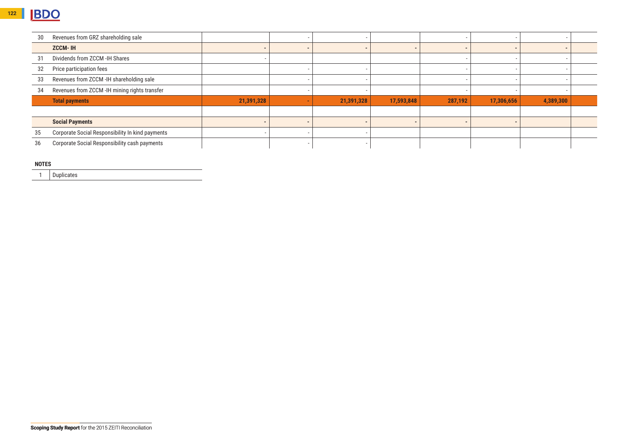| 30 | Revenues from GRZ shareholding sale              |            |            |            | $\overline{\phantom{0}}$ |            |           |  |
|----|--------------------------------------------------|------------|------------|------------|--------------------------|------------|-----------|--|
|    | <b>ZCCM-IH</b>                                   |            |            |            |                          |            |           |  |
| 31 | Dividends from ZCCM -IH Shares                   |            |            |            |                          |            |           |  |
| 32 | Price participation fees                         |            |            |            | $\overline{\phantom{0}}$ |            |           |  |
| 33 | Revenues from ZCCM -IH shareholding sale         |            |            |            |                          |            |           |  |
| 34 | Revenues from ZCCM -IH mining rights transfer    |            |            |            |                          |            |           |  |
|    | <b>Total payments</b>                            | 21,391,328 | 21,391,328 | 17,593,848 | 287,192                  | 17,306,656 | 4,389,300 |  |
|    |                                                  |            |            |            |                          |            |           |  |
|    | <b>Social Payments</b>                           |            |            |            |                          |            |           |  |
| 35 | Corporate Social Responsibility In kind payments |            |            |            |                          |            |           |  |
| 36 | Corporate Social Responsibility cash payments    |            |            |            |                          |            |           |  |

### **NOTES**

1 Duplicates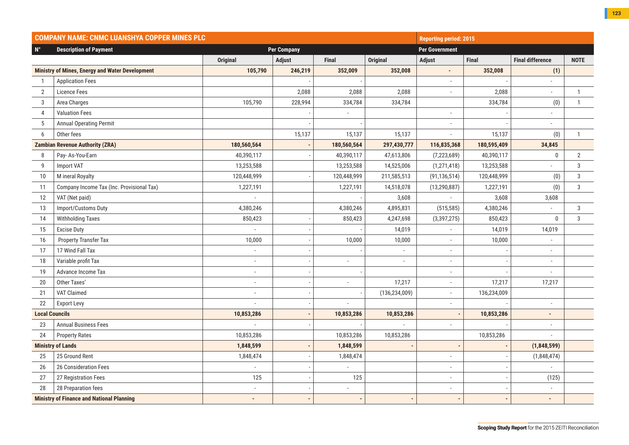|                       | <b>COMPANY NAME: CNMC LUANSHYA COPPER MINES PLC</b>    |                          | <b>Reporting period: 2015</b> |                          |                          |                          |              |                          |                |
|-----------------------|--------------------------------------------------------|--------------------------|-------------------------------|--------------------------|--------------------------|--------------------------|--------------|--------------------------|----------------|
| $N^{\circ}$           | <b>Description of Payment</b>                          |                          | <b>Per Company</b>            |                          |                          | <b>Per Government</b>    |              |                          |                |
|                       |                                                        | <b>Original</b>          | <b>Adjust</b>                 | <b>Final</b>             | <b>Original</b>          | Adjust                   | <b>Final</b> | <b>Final difference</b>  | <b>NOTE</b>    |
|                       | <b>Ministry of Mines, Energy and Water Development</b> | 105,790                  | 246,219                       | 352,009                  | 352,008                  |                          | 352,008      | (1)                      |                |
| $\mathbf{1}$          | <b>Application Fees</b>                                |                          |                               |                          |                          |                          |              |                          |                |
| $\overline{2}$        | <b>Licence Fees</b>                                    |                          | 2,088                         | 2,088                    | 2,088                    | $\overline{\phantom{a}}$ | 2,088        |                          | $\overline{1}$ |
| $\mathbf{3}$          | Area Charges                                           | 105,790                  | 228,994                       | 334,784                  | 334,784                  |                          | 334,784      | (0)                      | $\overline{1}$ |
| $\overline{4}$        | <b>Valuation Fees</b>                                  |                          |                               | $\sim$                   |                          | $\sim$                   |              |                          |                |
| 5                     | <b>Annual Operating Permit</b>                         |                          |                               |                          |                          |                          |              |                          |                |
| 6                     | Other fees                                             |                          | 15,137                        | 15,137                   | 15,137                   |                          | 15,137       | (0)                      | $\overline{1}$ |
|                       | <b>Zambian Revenue Authority (ZRA)</b>                 | 180,560,564              |                               | 180,560,564              | 297,430,777              | 116,835,368              | 180,595,409  | 34,845                   |                |
| 8                     | Pay-As-You-Earn                                        | 40,390,117               |                               | 40,390,117               | 47,613,806               | (7, 223, 689)            | 40,390,117   | 0                        | 2              |
| 9                     | <b>Import VAT</b>                                      | 13,253,588               |                               | 13,253,588               | 14,525,006               | (1, 271, 418)            | 13,253,588   |                          | $\mathbf{3}$   |
| 10                    | M ineral Royalty                                       | 120,448,999              |                               | 120,448,999              | 211,585,513              | (91, 136, 514)           | 120,448,999  | (0)                      | 3              |
| 11                    | Company Income Tax (Inc. Provisional Tax)              | 1,227,191                |                               | 1,227,191                | 14,518,078               | (13, 290, 887)           | 1,227,191    | (0)                      | 3              |
| 12                    | VAT (Net paid)                                         |                          |                               |                          | 3,608                    |                          | 3,608        | 3,608                    |                |
| 13                    | Import/Customs Duty                                    | 4,380,246                |                               | 4,380,246                | 4,895,831                | (515, 585)               | 4,380,246    |                          | $\mathbf{3}$   |
| 14                    | <b>Withholding Taxes</b>                               | 850,423                  |                               | 850,423                  | 4,247,698                | (3,397,275)              | 850,423      | $\mathbf 0$              | 3              |
| 15                    | <b>Excise Duty</b>                                     | $\sim$                   |                               |                          | 14,019                   | $\overline{\phantom{a}}$ | 14,019       | 14,019                   |                |
| 16                    | <b>Property Transfer Tax</b>                           | 10,000                   |                               | 10,000                   | 10,000                   |                          | 10,000       |                          |                |
| 17                    | 17 Wind Fall Tax                                       |                          |                               |                          | $\overline{a}$           |                          |              |                          |                |
| 18                    | Variable profit Tax                                    |                          |                               |                          | $\overline{\phantom{a}}$ | $\sim$                   |              |                          |                |
| 19                    | Advance Income Tax                                     |                          |                               |                          |                          | $\overline{\phantom{a}}$ |              | $\overline{\phantom{a}}$ |                |
| 20                    | Other Taxes'                                           | $\overline{\phantom{a}}$ |                               | $\overline{\phantom{a}}$ | 17,217                   | $\overline{\phantom{a}}$ | 17,217       | 17,217                   |                |
| 21                    | <b>VAT Claimed</b>                                     |                          |                               |                          | (136, 234, 009)          | $\overline{\phantom{a}}$ | 136,234,009  |                          |                |
| 22                    | <b>Export Levy</b>                                     |                          |                               |                          |                          | $\overline{\phantom{a}}$ |              |                          |                |
| <b>Local Councils</b> |                                                        | 10,853,286               |                               | 10,853,286               | 10,853,286               |                          | 10,853,286   | ۰                        |                |
| 23                    | <b>Annual Business Fees</b>                            |                          |                               |                          |                          | $\blacksquare$           |              |                          |                |
| 24                    | <b>Property Rates</b>                                  | 10,853,286               |                               | 10,853,286               | 10,853,286               |                          | 10,853,286   |                          |                |
|                       | <b>Ministry of Lands</b>                               | 1,848,599                |                               | 1,848,599                |                          |                          |              | (1,848,599)              |                |
| 25                    | 25 Ground Rent                                         | 1,848,474                |                               | 1,848,474                |                          | $\overline{\phantom{a}}$ |              | (1,848,474)              |                |
| 26                    | 26 Consideration Fees                                  |                          |                               |                          |                          | $\overline{\phantom{a}}$ |              |                          |                |
| 27                    | 27 Registration Fees                                   | 125                      |                               | 125                      |                          | $\overline{a}$           |              | (125)                    |                |
| 28                    | 28 Preparation fees                                    |                          |                               |                          |                          |                          |              |                          |                |
|                       | <b>Ministry of Finance and National Planning</b>       | $\sim$                   |                               |                          |                          |                          |              | ٠                        |                |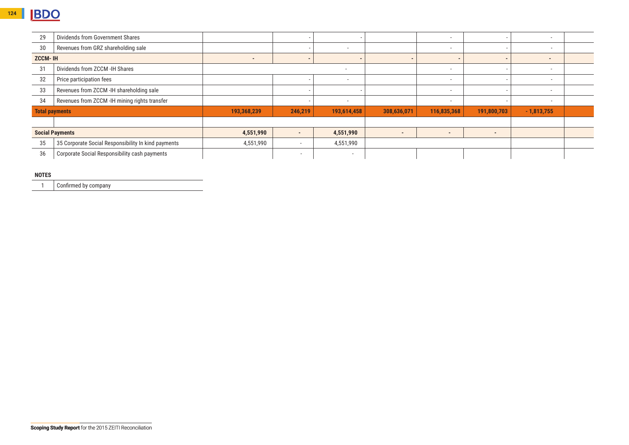| 29                    | Dividends from Government Shares                    |                |                |                          |             | $\overline{\phantom{a}}$ |             | $\overline{\phantom{a}}$ |  |
|-----------------------|-----------------------------------------------------|----------------|----------------|--------------------------|-------------|--------------------------|-------------|--------------------------|--|
| 30                    | Revenues from GRZ shareholding sale                 |                |                | $\overline{\phantom{a}}$ |             | $\overline{\phantom{a}}$ |             | $\overline{\phantom{a}}$ |  |
| <b>ZCCM-IH</b>        |                                                     | $\blacksquare$ |                |                          |             |                          |             | $\sim$                   |  |
| -31                   | Dividends from ZCCM -IH Shares                      |                |                | $\overline{\phantom{0}}$ |             | $\overline{\phantom{a}}$ |             | $\overline{\phantom{a}}$ |  |
| 32                    | Price participation fees                            |                |                | $\overline{\phantom{a}}$ |             | $\overline{\phantom{a}}$ |             | $\overline{\phantom{0}}$ |  |
| 33                    | Revenues from ZCCM -IH shareholding sale            |                |                |                          |             | $\overline{\phantom{a}}$ |             | $\overline{\phantom{a}}$ |  |
| 34                    | Revenues from ZCCM -IH mining rights transfer       |                |                | $\overline{\phantom{a}}$ |             | $\overline{\phantom{a}}$ |             | $\overline{\phantom{0}}$ |  |
| <b>Total payments</b> |                                                     | 193,368,239    | 246,219        | 193,614,458              | 308,636,071 | 116,835,368              | 191,800,703 | $-1,813,755$             |  |
|                       |                                                     |                |                |                          |             |                          |             |                          |  |
|                       | <b>Social Payments</b>                              | 4,551,990      | $\overline{a}$ | 4,551,990                |             | $\,$ $\,$                |             |                          |  |
| 35                    | 35 Corporate Social Responsibility In kind payments | 4,551,990      |                | 4,551,990                |             |                          |             |                          |  |
| 36                    | Corporate Social Responsibility cash payments       |                |                | $\overline{\phantom{a}}$ |             |                          |             |                          |  |

1 Confirmed by company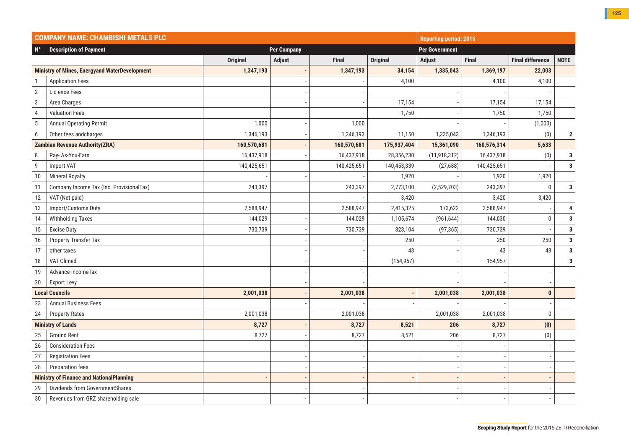|                | <b>COMPANY NAME: CHAMBISHI METALS PLC</b>            |                 |                    |             |                 | <b>Reporting period: 2015</b> |             |                         |                           |  |
|----------------|------------------------------------------------------|-----------------|--------------------|-------------|-----------------|-------------------------------|-------------|-------------------------|---------------------------|--|
| $N^{\circ}$    | <b>Description of Payment</b>                        |                 | <b>Per Company</b> |             |                 | <b>Per Government</b>         |             |                         |                           |  |
|                |                                                      | <b>Original</b> | <b>Adjust</b>      | Final       | <b>Original</b> | <b>Adjust</b>                 | Final       | <b>Final difference</b> | <b>NOTE</b>               |  |
|                | <b>Ministry of Mines, Energyand WaterDevelopment</b> | 1,347,193       |                    | 1,347,193   | 34,154          | 1,335,043                     | 1,369,197   | 22,003                  |                           |  |
| -1             | <b>Application Fees</b>                              |                 |                    |             | 4,100           |                               | 4,100       | 4,100                   |                           |  |
| $\overline{2}$ | Lic ence Fees                                        |                 |                    |             |                 |                               |             |                         |                           |  |
| 3              | Area Charges                                         |                 |                    |             | 17,154          |                               | 17,154      | 17,154                  |                           |  |
| $\overline{4}$ | <b>Valuation Fees</b>                                |                 |                    |             | 1,750           |                               | 1,750       | 1,750                   |                           |  |
| 5              | <b>Annual Operating Permit</b>                       | 1,000           |                    | 1,000       |                 |                               |             | (1,000)                 |                           |  |
| 6              | Other fees andcharges                                | 1,346,193       |                    | 1,346,193   | 11,150          | 1,335,043                     | 1,346,193   | (0)                     | $\mathbf{2}$              |  |
|                | <b>Zambian Revenue Authority (ZRA)</b>               | 160,570,681     |                    | 160,570,681 | 175,937,404     | 15,361,090                    | 160,576,314 | 5,633                   |                           |  |
| 8              | Pay- As-You-Earn                                     | 16,437,918      |                    | 16,437,918  | 28,356,230      | (11, 918, 312)                | 16,437,918  | (0)                     | $\ensuremath{\mathsf{3}}$ |  |
| 9              | <b>Import VAT</b>                                    | 140,425,651     |                    | 140,425,651 | 140,453,339     | (27, 688)                     | 140,425,651 |                         | $\mathbf 3$               |  |
| 10             | <b>Mineral Royalty</b>                               |                 |                    |             | 1,920           |                               | 1,920       | 1,920                   |                           |  |
| 11             | Company Income Tax (Inc. ProvisionalTax)             | 243,397         |                    | 243,397     | 2,773,100       | (2,529,703)                   | 243,397     | $\mathbf 0$             | $\mathbf 3$               |  |
| 12             | VAT (Net paid)                                       |                 |                    |             | 3,420           |                               | 3,420       | 3,420                   |                           |  |
| 13             | Import/Customs Duty                                  | 2,588,947       |                    | 2,588,947   | 2,415,325       | 173,622                       | 2,588,947   |                         | 4                         |  |
| 14             | <b>Withholding Taxes</b>                             | 144,029         |                    | 144,029     | 1,105,674       | (961, 644)                    | 144,030     | $\mathbf{0}$            | $\mathbf{3}$              |  |
| 15             | <b>Excise Duty</b>                                   | 730,739         |                    | 730,739     | 828,104         | (97, 365)                     | 730,739     |                         | $\mathbf{3}$              |  |
| 16             | Property Transfer Tax                                |                 |                    |             | 250             |                               | 250         | 250                     | $\mathbf 3$               |  |
| 17             | other taxes                                          |                 |                    |             | 43              |                               | 43          | 43                      | $\mathbf 3$               |  |
| 18             | <b>VAT Climed</b>                                    |                 |                    |             | (154, 957)      |                               | 154,957     |                         | $\mathbf 3$               |  |
| 19             | Advance IncomeTax                                    |                 |                    |             |                 |                               |             |                         |                           |  |
| 20             | <b>Export Levy</b>                                   |                 |                    |             |                 |                               |             |                         |                           |  |
|                | <b>Local Councils</b>                                | 2,001,038       |                    | 2,001,038   | ×,              | 2,001,038                     | 2,001,038   | $\mathbf{0}$            |                           |  |
| 23             | <b>Annual Business Fees</b>                          |                 |                    |             |                 |                               |             |                         |                           |  |
| 24             | <b>Property Rates</b>                                | 2,001,038       |                    | 2,001,038   |                 | 2,001,038                     | 2,001,038   | $\mathbf{0}$            |                           |  |
|                | <b>Ministry of Lands</b>                             | 8,727           |                    | 8,727       | 8,521           | 206                           | 8,727       | (0)                     |                           |  |
| 25             | <b>Ground Rent</b>                                   | 8,727           |                    | 8,727       | 8,521           | 206                           | 8,727       | (0)                     |                           |  |
| 26             | <b>Consideration Fees</b>                            |                 |                    |             |                 |                               |             |                         |                           |  |
| 27             | <b>Registration Fees</b>                             |                 |                    |             |                 |                               |             |                         |                           |  |
| 28             | <b>Preparation fees</b>                              |                 |                    |             |                 |                               |             |                         |                           |  |
|                | <b>Ministry of Finance and NationalPlanning</b>      |                 |                    |             |                 |                               |             |                         |                           |  |
| 29             | Dividends from GovernmentShares                      |                 |                    |             |                 |                               |             |                         |                           |  |
| $30\,$         | Revenues from GRZ shareholding sale                  |                 |                    |             |                 |                               |             |                         |                           |  |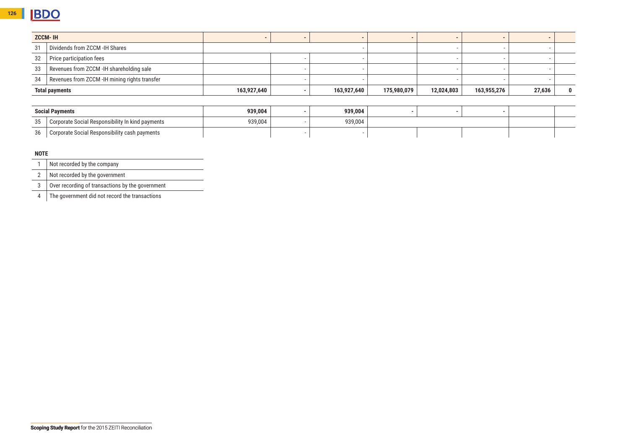

|    | <b>ZCCM-IH</b>                                |             |             |             |            |             |        |  |
|----|-----------------------------------------------|-------------|-------------|-------------|------------|-------------|--------|--|
| 31 | Dividends from ZCCM -IH Shares                |             |             |             |            |             |        |  |
| 32 | Price participation fees                      |             |             |             |            |             |        |  |
| 33 | Revenues from ZCCM -IH shareholding sale      |             |             |             |            |             |        |  |
| 34 | Revenues from ZCCM -IH mining rights transfer |             |             |             |            |             |        |  |
|    | <b>Total payments</b>                         | 163,927,640 | 163,927,640 | 175,980,079 | 12,024,803 | 163,955,276 | 27,636 |  |

|    | <b>Social Payments</b>                           | 939.004 | 939.004 |  |  |  |
|----|--------------------------------------------------|---------|---------|--|--|--|
| 35 | Corporate Social Responsibility In kind payments | 939.004 | 939,004 |  |  |  |
| 36 | Corporate Social Responsibility cash payments    |         |         |  |  |  |

### **NOTE**

Not recorded by the company

Not recorded by the government

 $\,$  | Over recording of transactions by the government

4 The government did not record the transactions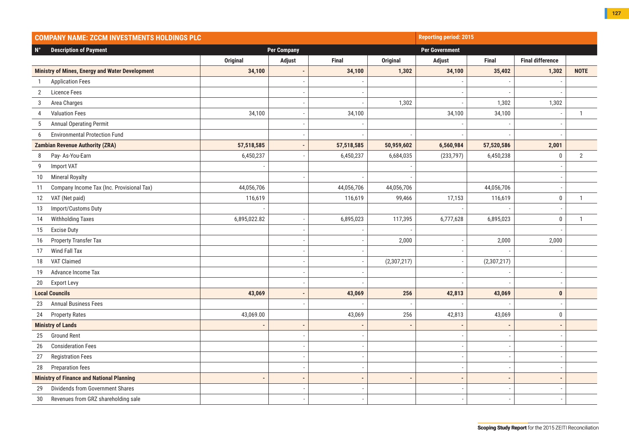| <b>COMPANY NAME: ZCCM INVESTMENTS HOLDINGS PLC</b>     |                 |                    |            |                 | <b>Reporting period: 2015</b> |              |                         |                |
|--------------------------------------------------------|-----------------|--------------------|------------|-----------------|-------------------------------|--------------|-------------------------|----------------|
| <b>Description of Payment</b><br>$N^{\circ}$           |                 | <b>Per Company</b> |            |                 | <b>Per Government</b>         |              |                         |                |
|                                                        | <b>Original</b> | <b>Adjust</b>      | Final      | <b>Original</b> | <b>Adjust</b>                 | <b>Final</b> | <b>Final difference</b> |                |
| <b>Ministry of Mines, Energy and Water Development</b> | 34,100          |                    | 34,100     | 1,302           | 34,100                        | 35,402       | 1,302                   | <b>NOTE</b>    |
| <b>Application Fees</b><br>$\mathbf{1}$                |                 |                    |            |                 |                               |              |                         |                |
| Licence Fees<br>$\overline{2}$                         |                 |                    |            |                 |                               |              |                         |                |
| Area Charges<br>3                                      |                 |                    |            | 1,302           |                               | 1,302        | 1,302                   |                |
| <b>Valuation Fees</b><br>$\overline{4}$                | 34,100          |                    | 34,100     |                 | 34,100                        | 34,100       |                         | $\mathbf{1}$   |
| 5<br><b>Annual Operating Permit</b>                    |                 |                    |            |                 |                               |              |                         |                |
| <b>Environmental Protection Fund</b><br>6              |                 |                    |            |                 |                               |              |                         |                |
| <b>Zambian Revenue Authority (ZRA)</b>                 | 57,518,585      |                    | 57,518,585 | 50,959,602      | 6,560,984                     | 57,520,586   | 2,001                   |                |
| Pay- As-You-Earn<br>8                                  | 6,450,237       |                    | 6,450,237  | 6,684,035       | (233, 797)                    | 6,450,238    | 0                       | $\overline{2}$ |
| <b>Import VAT</b><br>9                                 |                 |                    |            |                 |                               |              |                         |                |
| 10<br><b>Mineral Royalty</b>                           |                 |                    |            |                 |                               |              |                         |                |
| Company Income Tax (Inc. Provisional Tax)<br>11        | 44,056,706      |                    | 44,056,706 | 44,056,706      |                               | 44,056,706   |                         |                |
| VAT (Net paid)<br>12                                   | 116,619         |                    | 116,619    | 99,466          | 17,153                        | 116,619      | $\mathbf 0$             | $\mathbf{1}$   |
| Import/Customs Duty<br>13                              |                 |                    |            |                 |                               |              |                         |                |
| <b>Withholding Taxes</b><br>14                         | 6,895,022.82    |                    | 6,895,023  | 117,395         | 6,777,628                     | 6,895,023    | $\mathbf 0$             | $\mathbf{1}$   |
| <b>Excise Duty</b><br>15                               |                 |                    |            |                 |                               |              |                         |                |
| <b>Property Transfer Tax</b><br>16                     |                 |                    |            | 2,000           |                               | 2,000        | 2,000                   |                |
| Wind Fall Tax<br>17                                    |                 |                    |            |                 |                               |              |                         |                |
| <b>VAT Claimed</b><br>18                               |                 |                    |            | (2,307,217)     |                               | (2,307,217)  |                         |                |
| 19<br>Advance Income Tax                               |                 |                    |            |                 |                               |              |                         |                |
| <b>Export Levy</b><br>20                               |                 |                    |            |                 |                               |              |                         |                |
| <b>Local Councils</b>                                  | 43,069          |                    | 43,069     | 256             | 42,813                        | 43,069       | $\mathbf{0}$            |                |
| <b>Annual Business Fees</b><br>23                      |                 |                    |            |                 |                               |              |                         |                |
| <b>Property Rates</b><br>24                            | 43,069.00       |                    | 43,069     | 256             | 42,813                        | 43,069       | $\mathbf{0}$            |                |
| <b>Ministry of Lands</b>                               |                 |                    |            |                 |                               |              |                         |                |
| <b>Ground Rent</b><br>25                               |                 |                    |            |                 |                               |              |                         |                |
| <b>Consideration Fees</b><br>26                        |                 |                    |            |                 |                               |              |                         |                |
| <b>Registration Fees</b><br>27                         |                 |                    |            |                 |                               |              |                         |                |
| 28<br>Preparation fees                                 |                 |                    |            |                 |                               |              |                         |                |
| <b>Ministry of Finance and National Planning</b>       |                 | $\blacksquare$     | ٠          |                 |                               |              | ٠                       |                |
| Dividends from Government Shares<br>29                 |                 |                    |            |                 |                               |              |                         |                |
| Revenues from GRZ shareholding sale<br>30              |                 |                    |            |                 |                               |              |                         |                |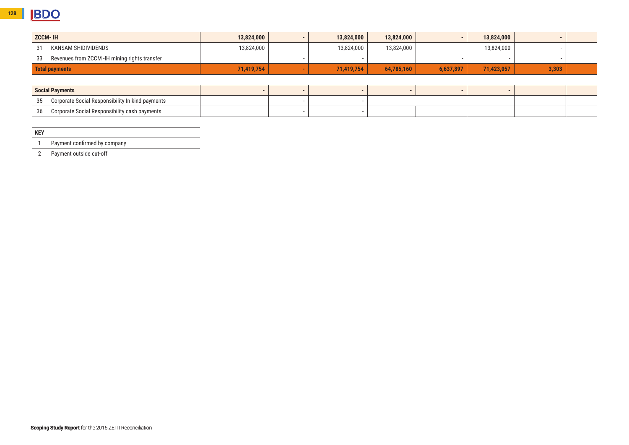| <b>ZCCM-IH</b>                                      | 13,824,000 | 13,824,000 | 13,824,000 |           | 13,824,000 |       |  |
|-----------------------------------------------------|------------|------------|------------|-----------|------------|-------|--|
| KANSAM SHIDIVIDENDS<br>21                           | 13,824,000 | 13.824.000 | 13,824,000 |           | 13,824,000 |       |  |
| Revenues from ZCCM -IH mining rights transfer<br>33 |            |            |            |           |            |       |  |
| <b>Total payments</b>                               | 71,419,754 | 71.419.754 | 64,785,160 | 6,637,897 | 71,423,057 | 3,303 |  |

| <b>Social Payments</b> |                                                     |  |  |  |  |  |  |
|------------------------|-----------------------------------------------------|--|--|--|--|--|--|
|                        | 35 Corporate Social Responsibility In kind payments |  |  |  |  |  |  |
|                        | 36 Corporate Social Responsibility cash payments    |  |  |  |  |  |  |

### **KEY**

1 Payment confirmed by company

2 Payment outside cut-off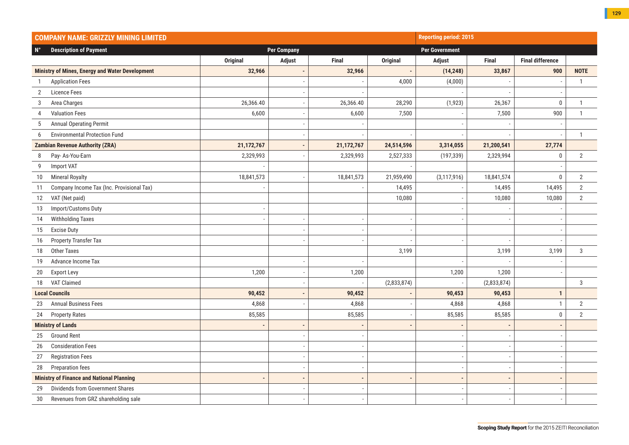|                | <b>COMPANY NAME: GRIZZLY MINING LIMITED</b>            |                 |                          |            |                 | <b>Reporting period: 2015</b> |              |                         |                |
|----------------|--------------------------------------------------------|-----------------|--------------------------|------------|-----------------|-------------------------------|--------------|-------------------------|----------------|
| $N^{\circ}$    | <b>Description of Payment</b>                          |                 | <b>Per Company</b>       |            |                 | <b>Per Government</b>         |              |                         |                |
|                |                                                        | <b>Original</b> | Adjust                   | Final      | <b>Original</b> | <b>Adjust</b>                 | <b>Final</b> | <b>Final difference</b> |                |
|                | <b>Ministry of Mines, Energy and Water Development</b> | 32,966          |                          | 32,966     |                 | (14, 248)                     | 33,867       | 900                     | <b>NOTE</b>    |
| $\mathbf{1}$   | <b>Application Fees</b>                                |                 |                          |            | 4,000           | (4,000)                       |              |                         | $\mathbf{1}$   |
| $\overline{2}$ | Licence Fees                                           |                 |                          |            |                 |                               |              |                         |                |
| 3              | Area Charges                                           | 26,366.40       |                          | 26,366.40  | 28,290          | (1, 923)                      | 26,367       | $\mathbf 0$             | $\mathbf{1}$   |
| 4              | <b>Valuation Fees</b>                                  | 6,600           |                          | 6,600      | 7,500           |                               | 7,500        | 900                     | $\mathbf{1}$   |
| 5              | <b>Annual Operating Permit</b>                         |                 |                          |            |                 |                               |              |                         |                |
| 6              | <b>Environmental Protection Fund</b>                   |                 |                          |            |                 |                               |              |                         | $\mathbf{1}$   |
|                | <b>Zambian Revenue Authority (ZRA)</b>                 | 21,172,767      |                          | 21,172,767 | 24,514,596      | 3,314,055                     | 21,200,541   | 27,774                  |                |
| 8              | Pay- As-You-Earn                                       | 2,329,993       |                          | 2,329,993  | 2,527,333       | (197, 339)                    | 2,329,994    | $\mathbf 0$             | $\overline{2}$ |
| 9              | <b>Import VAT</b>                                      |                 |                          |            |                 |                               |              |                         |                |
| 10             | <b>Mineral Royalty</b>                                 | 18,841,573      |                          | 18,841,573 | 21,959,490      | (3, 117, 916)                 | 18,841,574   | $\mathbf 0$             | $\overline{2}$ |
| 11             | Company Income Tax (Inc. Provisional Tax)              |                 |                          |            | 14,495          |                               | 14,495       | 14,495                  | $\overline{2}$ |
| 12             | VAT (Net paid)                                         |                 |                          |            | 10,080          | $\overline{a}$                | 10,080       | 10,080                  | $\overline{2}$ |
| 13             | Import/Customs Duty                                    |                 |                          |            |                 |                               |              |                         |                |
| 14             | <b>Withholding Taxes</b>                               |                 |                          |            |                 |                               |              |                         |                |
| 15             | <b>Excise Duty</b>                                     |                 |                          |            |                 |                               |              |                         |                |
| 16             | <b>Property Transfer Tax</b>                           |                 |                          |            |                 |                               |              |                         |                |
| 18             | <b>Other Taxes</b>                                     |                 |                          |            | 3,199           |                               | 3,199        | 3,199                   | 3              |
| 19             | Advance Income Tax                                     |                 |                          |            |                 |                               |              |                         |                |
| 20             | <b>Export Levy</b>                                     | 1,200           | $\overline{\phantom{a}}$ | 1,200      |                 | 1,200                         | 1,200        |                         |                |
| 18             | <b>VAT Claimed</b>                                     |                 |                          |            | (2,833,874)     |                               | (2,833,874)  |                         | $\mathbf{3}$   |
|                | <b>Local Councils</b>                                  | 90,452          |                          | 90,452     |                 | 90,453                        | 90,453       | $\mathbf{1}$            |                |
| 23             | <b>Annual Business Fees</b>                            | 4,868           |                          | 4,868      |                 | 4,868                         | 4,868        | $\mathbf{1}$            | $\overline{2}$ |
| 24             | <b>Property Rates</b>                                  | 85,585          |                          | 85,585     |                 | 85,585                        | 85,585       | $\mathbf 0$             | $\overline{2}$ |
|                | <b>Ministry of Lands</b>                               |                 |                          |            |                 |                               |              |                         |                |
| 25             | <b>Ground Rent</b>                                     |                 |                          |            |                 |                               |              |                         |                |
| 26             | <b>Consideration Fees</b>                              |                 |                          |            |                 |                               |              |                         |                |
| 27             | <b>Registration Fees</b>                               |                 |                          |            |                 |                               |              |                         |                |
| 28             | Preparation fees                                       |                 |                          |            |                 |                               |              |                         |                |
|                | <b>Ministry of Finance and National Planning</b>       |                 | $\overline{\phantom{a}}$ |            |                 |                               |              | ٠                       |                |
| 29             | Dividends from Government Shares                       |                 |                          |            |                 |                               |              |                         |                |
| 30             | Revenues from GRZ shareholding sale                    |                 |                          |            |                 |                               |              |                         |                |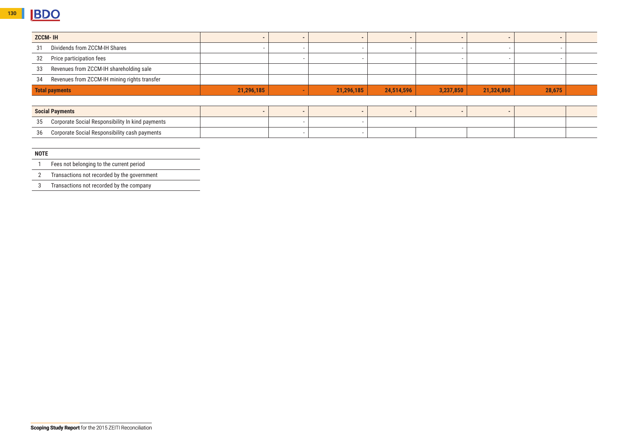|    | <b>ZCCM-IH</b>                               |            |            |            |           |            |        |  |
|----|----------------------------------------------|------------|------------|------------|-----------|------------|--------|--|
| 31 | Dividends from ZCCM-IH Shares                |            |            |            |           |            |        |  |
| 32 | Price participation fees                     |            |            |            |           |            |        |  |
| 33 | Revenues from ZCCM-IH shareholding sale      |            |            |            |           |            |        |  |
| 34 | Revenues from ZCCM-IH mining rights transfer |            |            |            |           |            |        |  |
|    | <b>Total payments</b>                        | 21,296,185 | 21,296,185 | 24,514,596 | 3,237,850 | 21,324,860 | 28,675 |  |

| <b>Social Payments</b> |                                                  |  |  |  |  |  |  |  |
|------------------------|--------------------------------------------------|--|--|--|--|--|--|--|
| 35                     | Corporate Social Responsibility In kind payments |  |  |  |  |  |  |  |
| 36                     | Corporate Social Responsibility cash payments    |  |  |  |  |  |  |  |

#### **NOTE**

Fees not belonging to the current period

Transactions not recorded by the government

Transactions not recorded by the company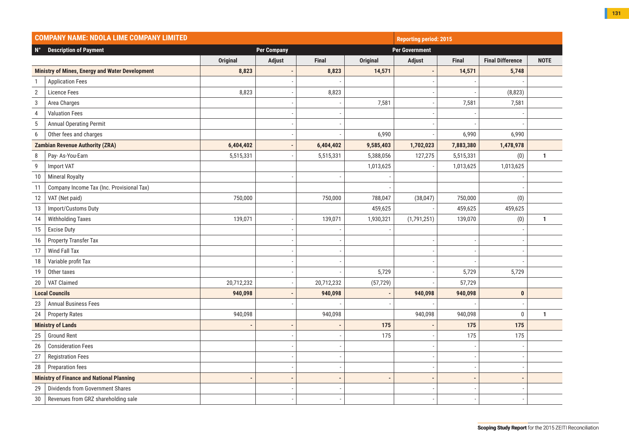|                | <b>COMPANY NAME: NDOLA LIME COMPANY LIMITED</b>        |                 |                    |              |                 | <b>Reporting period: 2015</b> |              |                         |              |
|----------------|--------------------------------------------------------|-----------------|--------------------|--------------|-----------------|-------------------------------|--------------|-------------------------|--------------|
| $N^{\circ}$    | <b>Description of Payment</b>                          |                 | <b>Per Company</b> |              |                 | <b>Per Government</b>         |              |                         |              |
|                |                                                        | <b>Original</b> | Adjust             | <b>Final</b> | <b>Original</b> | Adjust                        | <b>Final</b> | <b>Final Difference</b> | <b>NOTE</b>  |
|                | <b>Ministry of Mines, Energy and Water Development</b> | 8,823           |                    | 8,823        | 14,571          |                               | 14,571       | 5,748                   |              |
| $\mathbf{1}$   | <b>Application Fees</b>                                |                 |                    |              |                 |                               |              |                         |              |
| $\overline{2}$ | <b>Licence Fees</b>                                    | 8,823           |                    | 8,823        |                 |                               |              | (8,823)                 |              |
| $\mathbf{3}$   | Area Charges                                           |                 |                    |              | 7,581           | $\overline{\phantom{a}}$      | 7,581        | 7,581                   |              |
| $\overline{4}$ | <b>Valuation Fees</b>                                  |                 |                    |              |                 |                               |              |                         |              |
| $\overline{5}$ | <b>Annual Operating Permit</b>                         |                 |                    |              |                 |                               |              |                         |              |
| 6              | Other fees and charges                                 |                 |                    |              | 6,990           |                               | 6,990        | 6,990                   |              |
|                | <b>Zambian Revenue Authority (ZRA)</b>                 | 6,404,402       |                    | 6,404,402    | 9,585,403       | 1,702,023                     | 7,883,380    | 1,478,978               |              |
| 8              | Pay- As-You-Earn                                       | 5,515,331       |                    | 5,515,331    | 5,388,056       | 127,275                       | 5,515,331    | (0)                     | 1            |
| 9              | <b>Import VAT</b>                                      |                 |                    |              | 1,013,625       |                               | 1,013,625    | 1,013,625               |              |
| 10             | <b>Mineral Royalty</b>                                 |                 |                    |              |                 |                               |              |                         |              |
| 11             | Company Income Tax (Inc. Provisional Tax)              |                 |                    |              |                 |                               |              |                         |              |
| 12             | VAT (Net paid)                                         | 750,000         |                    | 750,000      | 788,047         | (38, 047)                     | 750,000      | (0)                     |              |
| 13             | Import/Customs Duty                                    |                 |                    |              | 459,625         |                               | 459,625      | 459,625                 |              |
| 14             | <b>Withholding Taxes</b>                               | 139,071         |                    | 139,071      | 1,930,321       | (1,791,251)                   | 139,070      | (0)                     | $\mathbf{1}$ |
| 15             | <b>Excise Duty</b>                                     |                 |                    |              |                 |                               |              |                         |              |
| 16             | Property Transfer Tax                                  |                 |                    |              |                 |                               |              |                         |              |
| 17             | Wind Fall Tax                                          |                 |                    |              |                 |                               |              |                         |              |
| 18             | Variable profit Tax                                    |                 |                    |              |                 |                               |              |                         |              |
| 19             | Other taxes                                            |                 |                    |              | 5,729           |                               | 5,729        | 5,729                   |              |
| $20\,$         | <b>VAT Claimed</b>                                     | 20,712,232      |                    | 20,712,232   | (57, 729)       |                               | 57,729       |                         |              |
|                | <b>Local Councils</b>                                  | 940,098         |                    | 940,098      |                 | 940,098                       | 940,098      | $\mathbf 0$             |              |
| 23             | <b>Annual Business Fees</b>                            |                 |                    |              |                 |                               |              |                         |              |
| 24             | <b>Property Rates</b>                                  | 940,098         |                    | 940,098      |                 | 940,098                       | 940,098      | $\pmb{0}$               | $\mathbf{1}$ |
|                | <b>Ministry of Lands</b>                               |                 |                    |              | 175             |                               | 175          | 175                     |              |
| 25             | <b>Ground Rent</b>                                     |                 |                    |              | 175             |                               | 175          | 175                     |              |
| 26             | <b>Consideration Fees</b>                              |                 |                    |              |                 |                               |              |                         |              |
| 27             | <b>Registration Fees</b>                               |                 |                    |              |                 |                               |              |                         |              |
| $28\,$         | Preparation fees                                       |                 |                    |              |                 |                               | ÷,           |                         |              |
|                | <b>Ministry of Finance and National Planning</b>       |                 |                    |              | ٠               | $\blacksquare$                | ٠            |                         |              |
| 29             | Dividends from Government Shares                       |                 |                    |              |                 |                               |              |                         |              |
| $30\,$         | Revenues from GRZ shareholding sale                    |                 |                    |              |                 |                               |              |                         |              |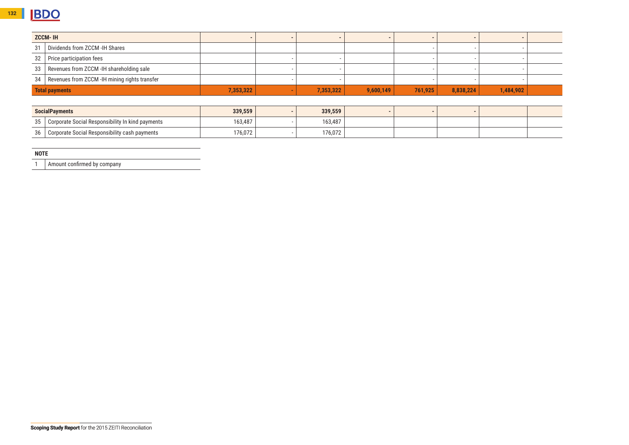

|                 | <b>ZCCM-IH</b>                                |           |           |           |         |           |           |  |
|-----------------|-----------------------------------------------|-----------|-----------|-----------|---------|-----------|-----------|--|
| $31 \mid$       | Dividends from ZCCM -IH Shares                |           |           |           |         |           |           |  |
| 32              | Price participation fees                      |           |           |           |         |           |           |  |
| 33 <sup>1</sup> | Revenues from ZCCM -IH shareholding sale      |           |           |           |         |           |           |  |
| 34              | Revenues from ZCCM -IH mining rights transfer |           |           |           |         |           |           |  |
|                 | <b>Total payments</b>                         | 7,353,322 | 7,353,322 | 9,600,149 | 761,925 | 8,838,224 | 1,484,902 |  |

| <b>SocialPayments</b> |                                                  | 339.559 | 339,559 |  |  |  |
|-----------------------|--------------------------------------------------|---------|---------|--|--|--|
| 35                    | Corporate Social Responsibility In kind payments | 163.487 | 163.487 |  |  |  |
| 36                    | Corporate Social Responsibility cash payments    | 176,072 | 176,072 |  |  |  |

#### **NOTE**

1 Amount confirmed by company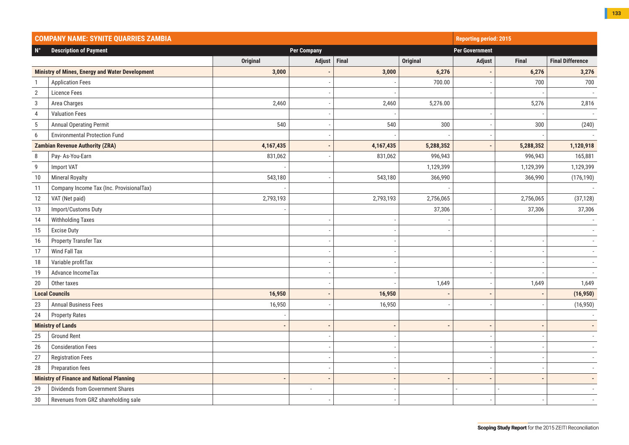|                | <b>COMPANY NAME: SYNITE QUARRIES ZAMBIA</b>            |                 |                          |                          |           | <b>Reporting period: 2015</b> |                |                          |
|----------------|--------------------------------------------------------|-----------------|--------------------------|--------------------------|-----------|-------------------------------|----------------|--------------------------|
| $N^{\circ}$    | <b>Description of Payment</b>                          |                 | <b>Per Company</b>       |                          |           | <b>Per Government</b>         |                |                          |
|                |                                                        | <b>Original</b> | Adjust Final             |                          | Original  | <b>Adjust</b>                 | <b>Final</b>   | <b>Final Difference</b>  |
|                | <b>Ministry of Mines, Energy and Water Development</b> | 3,000           |                          | 3,000                    | 6,276     |                               | 6,276          | 3,276                    |
| $\overline{1}$ | <b>Application Fees</b>                                |                 |                          |                          | 700.00    |                               | 700            | 700                      |
| $\overline{2}$ | Licence Fees                                           |                 |                          |                          |           |                               |                |                          |
| 3              | Area Charges                                           | 2,460           |                          | 2,460                    | 5,276.00  |                               | 5,276          | 2,816                    |
| $\overline{4}$ | <b>Valuation Fees</b>                                  |                 |                          |                          |           |                               |                |                          |
| $\sqrt{5}$     | <b>Annual Operating Permit</b>                         | 540             |                          | 540                      | 300       |                               | 300            | (240)                    |
| 6              | <b>Environmental Protection Fund</b>                   |                 |                          |                          |           |                               |                |                          |
|                | <b>Zambian Revenue Authority (ZRA)</b>                 | 4,167,435       |                          | 4,167,435                | 5,288,352 |                               | 5,288,352      | 1,120,918                |
| 8              | Pay- As-You-Earn                                       | 831,062         |                          | 831,062                  | 996,943   |                               | 996,943        | 165,881                  |
| 9              | <b>Import VAT</b>                                      |                 |                          |                          | 1,129,399 |                               | 1,129,399      | 1,129,399                |
| 10             | <b>Mineral Royalty</b>                                 | 543,180         |                          | 543,180                  | 366,990   |                               | 366,990        | (176, 190)               |
| 11             | Company Income Tax (Inc. ProvisionalTax)               |                 |                          |                          |           |                               |                |                          |
| 12             | VAT (Net paid)                                         | 2,793,193       |                          | 2,793,193                | 2,756,065 |                               | 2,756,065      | (37, 128)                |
| 13             | Import/Customs Duty                                    |                 |                          |                          | 37,306    |                               | 37,306         | 37,306                   |
| 14             | <b>Withholding Taxes</b>                               |                 |                          |                          |           |                               |                |                          |
| 15             | <b>Excise Duty</b>                                     |                 |                          |                          |           |                               |                |                          |
| 16             | Property Transfer Tax                                  |                 |                          |                          |           |                               |                |                          |
| 17             | Wind Fall Tax                                          |                 |                          |                          |           |                               |                |                          |
| 18             | Variable profitTax                                     |                 |                          |                          |           |                               |                |                          |
| 19             | Advance IncomeTax                                      |                 |                          |                          |           |                               |                |                          |
| $20\,$         | Other taxes                                            |                 |                          |                          | 1,649     |                               | 1,649          | 1,649                    |
|                | <b>Local Councils</b>                                  | 16,950          |                          | 16,950                   |           |                               |                | (16, 950)                |
| 23             | <b>Annual Business Fees</b>                            | 16,950          |                          | 16,950                   |           |                               |                | (16,950)                 |
| 24             | <b>Property Rates</b>                                  |                 |                          |                          |           |                               |                |                          |
|                | <b>Ministry of Lands</b>                               |                 |                          |                          |           |                               |                |                          |
| 25             | <b>Ground Rent</b>                                     |                 |                          |                          |           |                               |                |                          |
| $26\,$         | <b>Consideration Fees</b>                              |                 |                          |                          |           |                               |                |                          |
| 27             | <b>Registration Fees</b>                               |                 |                          |                          |           |                               |                |                          |
| 28             | Preparation fees                                       |                 |                          |                          |           |                               |                | $\overline{\phantom{a}}$ |
|                | <b>Ministry of Finance and National Planning</b>       | ٠               |                          | $\overline{\phantom{a}}$ |           |                               | $\blacksquare$ | $\sim$                   |
| 29             | Dividends from Government Shares                       |                 | $\overline{\phantom{a}}$ |                          |           |                               |                | $\overline{\phantom{a}}$ |
| 30             | Revenues from GRZ shareholding sale                    |                 |                          |                          |           |                               |                |                          |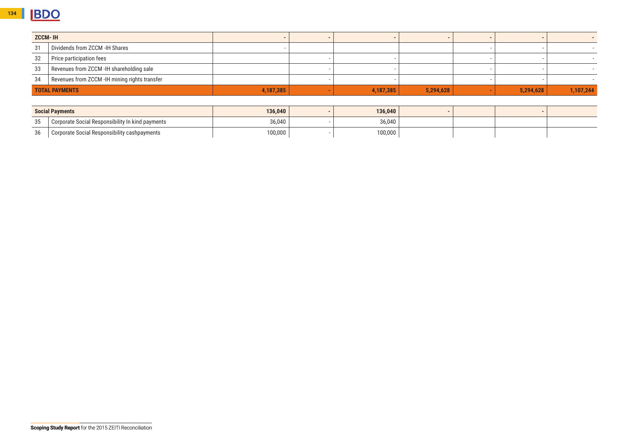

| <b>ZCCM-IH</b> |                                               |           |           |           |           |           |
|----------------|-----------------------------------------------|-----------|-----------|-----------|-----------|-----------|
| 31             | Dividends from ZCCM -IH Shares                |           |           |           |           |           |
| 32             | Price participation fees                      |           |           |           |           |           |
| 33             | Revenues from ZCCM -IH shareholding sale      |           |           |           |           |           |
| 34             | Revenues from ZCCM -IH mining rights transfer |           |           |           |           |           |
|                | <b>TOTAL PAYMENTS</b>                         | 4,187,385 | 4,187,385 | 5,294,628 | 5,294,628 | 1,107,244 |

| <b>Social Payments</b> |                                                  | 136,040 | 136,040 |  |  |
|------------------------|--------------------------------------------------|---------|---------|--|--|
| 35                     | Corporate Social Responsibility In kind payments | 36,040  | 36,040  |  |  |
| 36                     | Corporate Social Responsibility cashpayments     | 100,000 | 100,000 |  |  |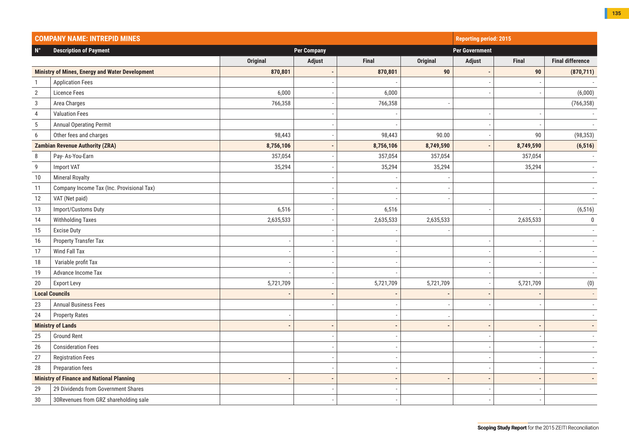|                 | <b>COMPANY NAME: INTREPID MINES</b>                    |           |                          |           |                 | <b>Reporting period: 2015</b> |           |                          |
|-----------------|--------------------------------------------------------|-----------|--------------------------|-----------|-----------------|-------------------------------|-----------|--------------------------|
| $N^{\circ}$     | <b>Description of Payment</b>                          |           | <b>Per Company</b>       |           |                 | <b>Per Government</b>         |           |                          |
|                 |                                                        | Original  | Adjust                   | Final     | <b>Original</b> | Adjust                        | Final     | <b>Final difference</b>  |
|                 | <b>Ministry of Mines, Energy and Water Development</b> | 870,801   |                          | 870,801   | 90              |                               | 90        | (870, 711)               |
| $\overline{1}$  | <b>Application Fees</b>                                |           |                          |           |                 |                               |           |                          |
| $\overline{2}$  | <b>Licence Fees</b>                                    | 6,000     |                          | 6,000     |                 |                               |           | (6,000)                  |
| $3\,$           | Area Charges                                           | 766,358   |                          | 766,358   |                 |                               |           | (766, 358)               |
| $\overline{4}$  | <b>Valuation Fees</b>                                  |           |                          |           |                 |                               |           |                          |
| $5\phantom{.0}$ | <b>Annual Operating Permit</b>                         |           |                          |           |                 |                               |           |                          |
| 6               | Other fees and charges                                 | 98,443    |                          | 98,443    | 90.00           |                               | $90\,$    | (98, 353)                |
|                 | <b>Zambian Revenue Authority (ZRA)</b>                 | 8,756,106 |                          | 8,756,106 | 8,749,590       |                               | 8,749,590 | (6, 516)                 |
| 8               | Pay- As-You-Earn                                       | 357,054   |                          | 357,054   | 357,054         |                               | 357,054   |                          |
| 9               | <b>Import VAT</b>                                      | 35,294    |                          | 35,294    | 35,294          |                               | 35,294    |                          |
| 10              | <b>Mineral Royalty</b>                                 |           |                          |           |                 |                               |           |                          |
| 11              | Company Income Tax (Inc. Provisional Tax)              |           |                          |           |                 |                               |           |                          |
| 12              | VAT (Net paid)                                         |           |                          |           |                 |                               |           |                          |
| 13              | Import/Customs Duty                                    | 6,516     |                          | 6,516     |                 |                               |           | (6, 516)                 |
| 14              | <b>Withholding Taxes</b>                               | 2,635,533 |                          | 2,635,533 | 2,635,533       |                               | 2,635,533 | $\pmb{0}$                |
| 15              | <b>Excise Duty</b>                                     |           |                          |           |                 |                               |           | $\overline{\phantom{a}}$ |
| 16              | <b>Property Transfer Tax</b>                           |           |                          |           |                 |                               |           |                          |
| 17              | Wind Fall Tax                                          |           |                          |           |                 |                               |           |                          |
| 18              | Variable profit Tax                                    |           |                          |           |                 |                               |           |                          |
| 19              | Advance Income Tax                                     |           |                          |           |                 |                               |           |                          |
| 20              | <b>Export Levy</b>                                     | 5,721,709 |                          | 5,721,709 | 5,721,709       | $\overline{\phantom{a}}$      | 5,721,709 | (0)                      |
|                 | <b>Local Councils</b>                                  |           |                          |           |                 |                               |           |                          |
| 23              | <b>Annual Business Fees</b>                            |           |                          |           |                 |                               |           |                          |
| 24              | <b>Property Rates</b>                                  |           |                          |           |                 |                               |           |                          |
|                 | <b>Ministry of Lands</b>                               |           |                          |           |                 |                               |           |                          |
| 25              | <b>Ground Rent</b>                                     |           |                          |           |                 |                               |           |                          |
| 26              | <b>Consideration Fees</b>                              |           |                          |           |                 |                               |           |                          |
| 27              | <b>Registration Fees</b>                               |           |                          |           |                 |                               |           |                          |
| 28              | Preparation fees                                       |           |                          |           |                 |                               |           |                          |
|                 | <b>Ministry of Finance and National Planning</b>       |           | $\overline{\phantom{a}}$ |           |                 | $\overline{\phantom{a}}$      |           | $\sim$                   |
| 29              | 29 Dividends from Government Shares                    |           |                          |           |                 |                               |           |                          |
| 30              | 30 Revenues from GRZ shareholding sale                 |           |                          |           |                 |                               |           |                          |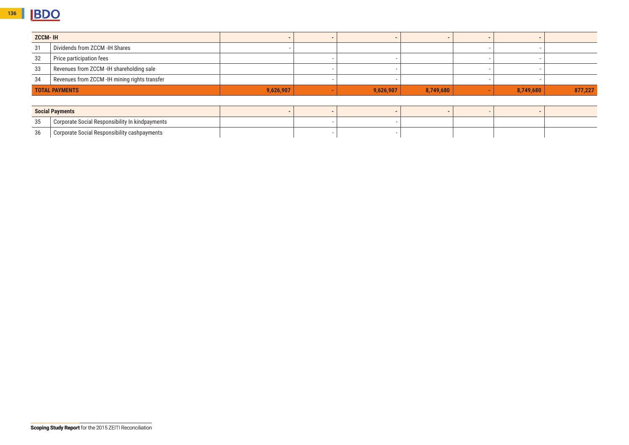| <b>ZCCM-IH</b> |                                               |           |           |           |           |         |
|----------------|-----------------------------------------------|-----------|-----------|-----------|-----------|---------|
| 31             | Dividends from ZCCM -IH Shares                |           |           |           |           |         |
| 32             | Price participation fees                      |           |           |           |           |         |
| 33             | Revenues from ZCCM -IH shareholding sale      |           |           |           |           |         |
| 34             | Revenues from ZCCM -IH mining rights transfer |           |           |           |           |         |
|                | <b>TOTAL PAYMENTS</b>                         | 9,626,907 | 9,626,907 | 8,749,680 | 8,749,680 | 877,227 |

| <b>Social Payments</b> |                                                 |  |  |  |  |
|------------------------|-------------------------------------------------|--|--|--|--|
| 35                     | Corporate Social Responsibility In kindpayments |  |  |  |  |
| 36                     | Corporate Social Responsibility cashpayments    |  |  |  |  |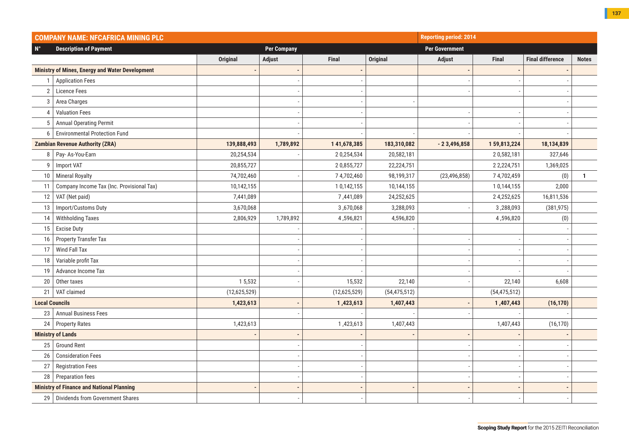|                       | <b>COMPANY NAME: NFCAFRICA MINING PLC</b>              |                 |                    |              |                 | <b>Reporting period: 2014</b> |                |                         |              |  |
|-----------------------|--------------------------------------------------------|-----------------|--------------------|--------------|-----------------|-------------------------------|----------------|-------------------------|--------------|--|
| $N^{\circ}$           | <b>Description of Payment</b>                          |                 | <b>Per Company</b> |              |                 | <b>Per Government</b>         |                |                         |              |  |
|                       |                                                        | <b>Original</b> | Adjust             | Final        | <b>Original</b> | Adjust                        | Final          | <b>Final difference</b> | <b>Notes</b> |  |
|                       | <b>Ministry of Mines, Energy and Water Development</b> |                 |                    |              |                 |                               |                |                         |              |  |
| 1                     | <b>Application Fees</b>                                |                 |                    |              |                 |                               |                |                         |              |  |
| $\overline{2}$        | Licence Fees                                           |                 |                    |              |                 |                               |                |                         |              |  |
| 3                     | Area Charges                                           |                 |                    |              |                 |                               |                |                         |              |  |
| $\overline{4}$        | <b>Valuation Fees</b>                                  |                 |                    |              |                 |                               |                |                         |              |  |
| 5                     | <b>Annual Operating Permit</b>                         |                 |                    |              |                 |                               |                |                         |              |  |
| 6                     | <b>Environmental Protection Fund</b>                   |                 |                    |              |                 |                               |                |                         |              |  |
|                       | <b>Zambian Revenue Authority (ZRA)</b>                 | 139,888,493     | 1,789,892          | 141,678,385  | 183,310,082     | $-23,496,858$                 | 159,813,224    | 18,134,839              |              |  |
|                       | 8   Pay- As-You-Earn                                   | 20,254,534      |                    | 20,254,534   | 20,582,181      |                               | 20,582,181     | 327,646                 |              |  |
| 9 <sup>1</sup>        | <b>Import VAT</b>                                      | 20,855,727      |                    | 20,855,727   | 22,224,751      |                               | 2 2,224,751    | 1,369,025               |              |  |
| 10 <sup>1</sup>       | <b>Mineral Royalty</b>                                 | 74,702,460      |                    | 7 4,702,460  | 98,199,317      | (23, 496, 858)                | 74,702,459     | (0)                     | $\mathbf{1}$ |  |
| 11                    | Company Income Tax (Inc. Provisional Tax)              | 10,142,155      |                    | 1 0,142,155  | 10,144,155      |                               | 1 0,144,155    | 2,000                   |              |  |
| 12                    | VAT (Net paid)                                         | 7,441,089       |                    | 7,441,089    | 24,252,625      |                               | 24,252,625     | 16,811,536              |              |  |
| 13 <sup>1</sup>       | Import/Customs Duty                                    | 3,670,068       |                    | 3,670,068    | 3,288,093       |                               | 3,288,093      | (381, 975)              |              |  |
| 14                    | <b>Withholding Taxes</b>                               | 2,806,929       | 1,789,892          | 4,596,821    | 4,596,820       |                               | 4,596,820      | (0)                     |              |  |
|                       | 15 Excise Duty                                         |                 |                    |              |                 |                               |                |                         |              |  |
| 16                    | Property Transfer Tax                                  |                 |                    |              |                 |                               |                |                         |              |  |
| 17                    | Wind Fall Tax                                          |                 |                    |              |                 |                               |                |                         |              |  |
| 18                    | Variable profit Tax                                    |                 |                    |              |                 |                               |                |                         |              |  |
| 19                    | Advance Income Tax                                     |                 |                    |              |                 |                               |                |                         |              |  |
| 20                    | Other taxes                                            | 15,532          |                    | 15,532       | 22,140          |                               | 22,140         | 6,608                   |              |  |
| 21                    | VAT claimed                                            | (12,625,529)    |                    | (12,625,529) | (54, 475, 512)  |                               | (54, 475, 512) |                         |              |  |
| <b>Local Councils</b> |                                                        | 1,423,613       |                    | 1,423,613    | 1,407,443       |                               | 1,407,443      | (16, 170)               |              |  |
| 23                    | <b>Annual Business Fees</b>                            |                 |                    |              |                 |                               |                |                         |              |  |
| 24                    | <b>Property Rates</b>                                  | 1,423,613       |                    | 1,423,613    | 1,407,443       |                               | 1,407,443      | (16, 170)               |              |  |
|                       | <b>Ministry of Lands</b>                               |                 |                    |              |                 |                               |                |                         |              |  |
| 25                    | <b>Ground Rent</b>                                     |                 |                    |              |                 |                               |                |                         |              |  |
| 26                    | <b>Consideration Fees</b>                              |                 |                    |              |                 |                               |                |                         |              |  |
| 27                    | <b>Registration Fees</b>                               |                 |                    |              |                 |                               |                |                         |              |  |
| 28                    | Preparation fees                                       |                 |                    |              |                 |                               |                |                         |              |  |
|                       | <b>Ministry of Finance and National Planning</b>       |                 |                    |              |                 |                               |                |                         |              |  |
| 29                    | Dividends from Government Shares                       |                 |                    |              |                 |                               |                |                         |              |  |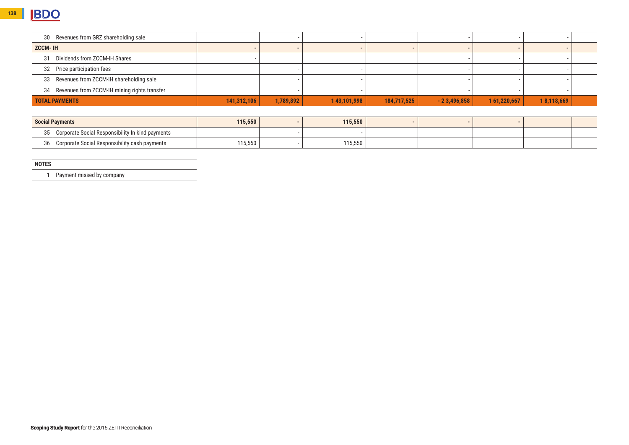|                | 30   Revenues from GRZ shareholding sale          |             |           |             |             |               |             |            |  |
|----------------|---------------------------------------------------|-------------|-----------|-------------|-------------|---------------|-------------|------------|--|
| <b>ZCCM-IH</b> |                                                   |             |           |             |             |               |             |            |  |
|                | 31   Dividends from ZCCM-IH Shares                |             |           |             |             |               |             |            |  |
|                | 32   Price participation fees                     |             |           |             |             |               |             |            |  |
|                | 33   Revenues from ZCCM-IH shareholding sale      |             |           |             |             |               |             |            |  |
|                | 34   Revenues from ZCCM-IH mining rights transfer |             |           |             |             |               |             |            |  |
|                | <b>TOTAL PAYMENTS</b>                             | 141,312,106 | 1,789,892 | 143,101,998 | 184,717,525 | $-23,496,858$ | 161,220,667 | 18,118,669 |  |

| <b>Social Payments</b> |                                                  | 115,550 | 115.550 |  |  |  |
|------------------------|--------------------------------------------------|---------|---------|--|--|--|
| ∩г                     | Corporate Social Responsibility In kind payments |         |         |  |  |  |
|                        | Corporate Social Responsibility cash payments    | 15,550  | 15,550  |  |  |  |

### **NOTES**

1 Payment missed by company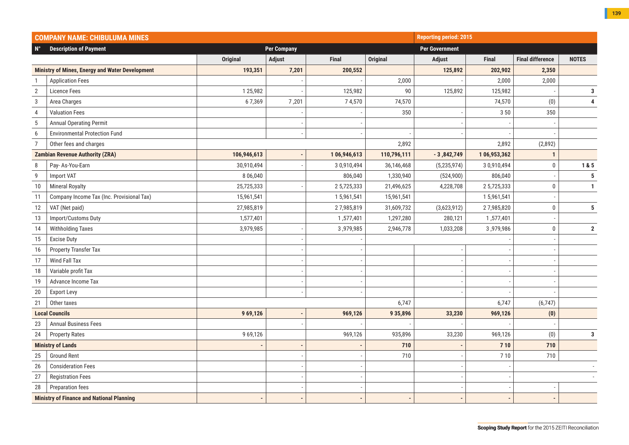|                | <b>COMPANY NAME: CHIBULUMA MINES</b>                   |                 |                    |             |                 | <b>Reporting period: 2015</b> |              |                         |                         |
|----------------|--------------------------------------------------------|-----------------|--------------------|-------------|-----------------|-------------------------------|--------------|-------------------------|-------------------------|
| $N^{\circ}$    | <b>Description of Payment</b>                          |                 | <b>Per Company</b> |             |                 | <b>Per Government</b>         |              |                         |                         |
|                |                                                        | <b>Original</b> | Adjust             | Final       | <b>Original</b> | Adjust                        | <b>Final</b> | <b>Final difference</b> | <b>NOTES</b>            |
|                | <b>Ministry of Mines, Energy and Water Development</b> | 193,351         | 7,201              | 200,552     |                 | 125,892                       | 202,902      | 2,350                   |                         |
| -1             | <b>Application Fees</b>                                |                 |                    |             | 2,000           |                               | 2,000        | 2,000                   |                         |
| $\overline{2}$ | <b>Licence Fees</b>                                    | 1 25,982        |                    | 125,982     | 90              | 125,892                       | 125,982      |                         | 3                       |
| $\mathbf{3}$   | Area Charges                                           | 67,369          | 7,201              | 74,570      | 74,570          |                               | 74,570       | (0)                     | $\overline{\mathbf{4}}$ |
| $\overline{4}$ | <b>Valuation Fees</b>                                  |                 |                    |             | 350             |                               | 3 5 0        | 350                     |                         |
| 5              | <b>Annual Operating Permit</b>                         |                 |                    |             |                 |                               |              |                         |                         |
| 6              | <b>Environmental Protection Fund</b>                   |                 |                    |             |                 |                               |              |                         |                         |
| $\overline{7}$ | Other fees and charges                                 |                 |                    |             | 2,892           |                               | 2,892        | (2,892)                 |                         |
|                | <b>Zambian Revenue Authority (ZRA)</b>                 | 106,946,613     |                    | 106,946,613 | 110,796,111     | $-3,842,749$                  | 1 06,953,362 | $\mathbf{1}$            |                         |
| 8              | Pay- As-You-Earn                                       | 30,910,494      |                    | 3 0,910,494 | 36,146,468      | (5,235,974)                   | 30,910,494   | $\pmb{0}$               | 1 & 5                   |
| 9              | <b>Import VAT</b>                                      | 8 06,040        |                    | 806,040     | 1,330,940       | (524, 900)                    | 806,040      |                         | ${\bf 5}$               |
| 10             | <b>Mineral Royalty</b>                                 | 25,725,333      |                    | 2 5,725,333 | 21,496,625      | 4,228,708                     | 25,725,333   | $\mathbf 0$             | $\mathbf{1}$            |
| 11             | Company Income Tax (Inc. Provisional Tax)              | 15,961,541      |                    | 15,961,541  | 15,961,541      |                               | 15,961,541   |                         |                         |
| 12             | VAT (Net paid)                                         | 27,985,819      |                    | 27,985,819  | 31,609,732      | (3,623,912)                   | 27,985,820   | $\mathbf 0$             | 5 <sup>5</sup>          |
| 13             | Import/Customs Duty                                    | 1,577,401       |                    | 1,577,401   | 1,297,280       | 280,121                       | 1,577,401    |                         |                         |
| 14             | <b>Withholding Taxes</b>                               | 3,979,985       |                    | 3,979,985   | 2,946,778       | 1,033,208                     | 3,979,986    | $\pmb{0}$               | $\mathbf{2}$            |
| 15             | <b>Excise Duty</b>                                     |                 |                    |             |                 |                               |              |                         |                         |
| 16             | Property Transfer Tax                                  |                 |                    |             |                 |                               |              |                         |                         |
| 17             | Wind Fall Tax                                          |                 |                    |             |                 |                               |              |                         |                         |
| 18             | Variable profit Tax                                    |                 |                    |             |                 |                               |              |                         |                         |
| 19             | Advance Income Tax                                     |                 |                    |             |                 |                               |              |                         |                         |
| 20             | <b>Export Levy</b>                                     |                 |                    |             |                 |                               |              |                         |                         |
| 21             | Other taxes                                            |                 |                    |             | 6,747           |                               | 6,747        | (6,747)                 |                         |
|                | <b>Local Councils</b>                                  | 969,126         |                    | 969,126     | 9 35,896        | 33,230                        | 969,126      | (0)                     |                         |
| 23             | <b>Annual Business Fees</b>                            |                 |                    |             |                 |                               |              |                         |                         |
| 24             | <b>Property Rates</b>                                  | 9 69,126        |                    | 969,126     | 935,896         | 33,230                        | 969,126      | (0)                     | 3                       |
|                | <b>Ministry of Lands</b>                               |                 |                    |             | 710             |                               | 7 10         | 710                     |                         |
| 25             | <b>Ground Rent</b>                                     |                 |                    |             | 710             |                               | 7 10         | 710                     |                         |
| 26             | <b>Consideration Fees</b>                              |                 |                    |             |                 |                               |              |                         |                         |
| 27             | <b>Registration Fees</b>                               |                 |                    |             |                 |                               |              |                         |                         |
| 28             | Preparation fees                                       |                 |                    |             |                 |                               |              |                         |                         |
|                | <b>Ministry of Finance and National Planning</b>       |                 |                    |             |                 |                               |              |                         |                         |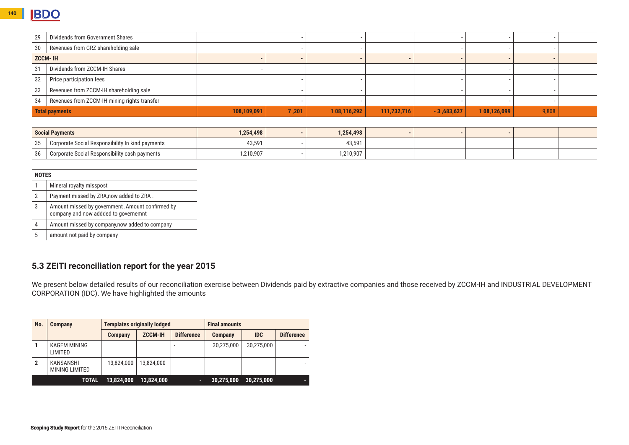| 29             | Dividends from Government Shares             |             |       |              |             |              |              |       |  |
|----------------|----------------------------------------------|-------------|-------|--------------|-------------|--------------|--------------|-------|--|
| 30             | Revenues from GRZ shareholding sale          |             |       |              |             |              |              |       |  |
| <b>ZCCM-IH</b> |                                              |             |       |              |             |              |              |       |  |
| 31             | Dividends from ZCCM-IH Shares                |             |       |              |             |              |              |       |  |
| 32             | Price participation fees                     |             |       |              |             |              |              |       |  |
| 33             | Revenues from ZCCM-IH shareholding sale      |             |       |              |             |              |              |       |  |
| 34             | Revenues from ZCCM-IH mining rights transfer |             |       |              |             |              |              |       |  |
|                | <b>Total payments</b>                        | 108,109,091 | 7,201 | 1 08,116,292 | 111,732,716 | $-3,683,627$ | 1 08,126,099 | 9,808 |  |

| <b>Social Payments</b> |                                                  | 1,254,498 | 1,254,498 |  |  |  |
|------------------------|--------------------------------------------------|-----------|-----------|--|--|--|
| 35                     | Corporate Social Responsibility In kind payments | 43.591    | 43,591    |  |  |  |
| 36                     | Corporate Social Responsibility cash payments    | ,210,907  | 1,210,907 |  |  |  |

- 
- 1 Mineral royalty misspost<br>2 Payment missed by ZRA,<br>3 Amount missed by govern Payment missed by ZRA,now added to ZRA.
- 3 Amount missed by government .Amount confirmed by company and now addded to governemnt
- 4 Amount missed by company,now added to company

5 amount not paid by company

### **5.3 ZEITI reconciliation report for the year 2015**

We present below detailed results of our reconciliation exercise between Dividends paid by extractive companies and those received by ZCCM-IH and INDUSTRIAL DEVELOPMENT CORPORATION (IDC). We have highlighted the amounts

| No.            | <b>Company</b>              | <b>Templates originally lodged</b> |                |                          | <b>Final amounts</b> |            |                   |
|----------------|-----------------------------|------------------------------------|----------------|--------------------------|----------------------|------------|-------------------|
|                |                             | <b>Company</b>                     | <b>ZCCM-IH</b> | <b>Difference</b>        | <b>Company</b>       | <b>IDC</b> | <b>Difference</b> |
|                | KAGEM MINING<br>LIMITED     |                                    |                | $\overline{\phantom{a}}$ | 30,275,000           | 30,275,000 |                   |
| $\overline{2}$ | KANSANSHI<br>MINING LIMITED | 13,824,000                         | 13.824.000     |                          |                      |            |                   |
|                | <b>TOTAL</b>                | 13,824,000                         | 13,824,000     | н                        | 30,275,000           | 30,275,000 |                   |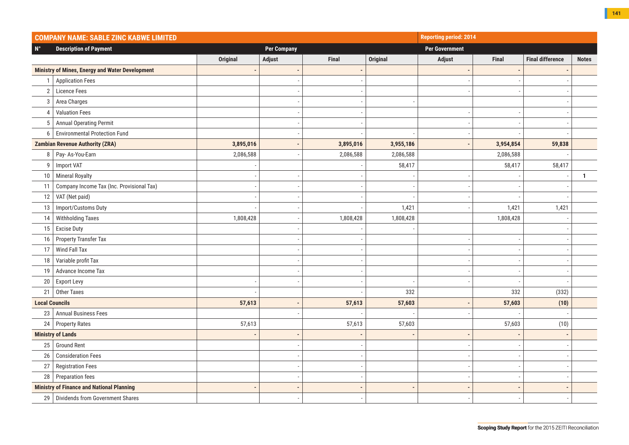| <b>COMPANY NAME: SABLE ZINC KABWE LIMITED</b> |                                                        |                    |               |           | <b>Reporting period: 2014</b> |        |           |                         |              |
|-----------------------------------------------|--------------------------------------------------------|--------------------|---------------|-----------|-------------------------------|--------|-----------|-------------------------|--------------|
| $N^{\circ}$                                   | <b>Description of Payment</b>                          | <b>Per Company</b> |               |           | <b>Per Government</b>         |        |           |                         |              |
|                                               |                                                        | <b>Original</b>    | <b>Adjust</b> | Final     | <b>Original</b>               | Adjust | Final     | <b>Final difference</b> | <b>Notes</b> |
|                                               | <b>Ministry of Mines, Energy and Water Development</b> |                    |               |           |                               |        |           |                         |              |
|                                               | 1 Application Fees                                     |                    |               |           |                               |        |           |                         |              |
| $\overline{2}$                                | Licence Fees                                           |                    |               |           |                               |        |           |                         |              |
| $\mathbf{3}$                                  | Area Charges                                           |                    |               |           |                               |        |           |                         |              |
| $\overline{4}$                                | <b>Valuation Fees</b>                                  |                    |               |           |                               |        |           |                         |              |
| 5                                             | Annual Operating Permit                                |                    |               |           |                               |        |           |                         |              |
| 6                                             | <b>Environmental Protection Fund</b>                   |                    |               |           |                               |        |           |                         |              |
|                                               | <b>Zambian Revenue Authority (ZRA)</b>                 | 3,895,016          |               | 3,895,016 | 3,955,186                     |        | 3,954,854 | 59,838                  |              |
|                                               | 8   Pay- As-You-Earn                                   | 2,086,588          |               | 2,086,588 | 2,086,588                     |        | 2,086,588 |                         |              |
| 9 <sup>1</sup>                                | Import VAT                                             |                    |               |           | 58,417                        |        | 58,417    | 58,417                  |              |
|                                               | 10   Mineral Royalty                                   |                    |               |           |                               |        |           |                         | $\mathbf{1}$ |
| 11 <sup>1</sup>                               | Company Income Tax (Inc. Provisional Tax)              |                    |               |           |                               |        |           |                         |              |
| 12                                            | VAT (Net paid)                                         |                    |               |           |                               |        |           |                         |              |
| 13                                            | Import/Customs Duty                                    |                    |               |           | 1,421                         |        | 1,421     | 1,421                   |              |
| 14                                            | <b>Withholding Taxes</b>                               | 1,808,428          |               | 1,808,428 | 1,808,428                     |        | 1,808,428 |                         |              |
|                                               | 15   Excise Duty                                       |                    |               |           |                               |        |           |                         |              |
|                                               | 16 Property Transfer Tax                               |                    |               |           |                               |        |           |                         |              |
| 17 <sup>1</sup>                               | Wind Fall Tax                                          |                    |               |           |                               |        |           |                         |              |
| 18                                            | Variable profit Tax                                    |                    |               |           |                               |        |           |                         |              |
| 19                                            | Advance Income Tax                                     |                    |               |           |                               |        |           |                         |              |
| 20                                            | <b>Export Levy</b>                                     |                    |               |           |                               |        |           |                         |              |
| 21                                            | <b>Other Taxes</b>                                     |                    |               |           | 332                           |        | 332       | (332)                   |              |
| <b>Local Councils</b>                         |                                                        | 57,613             |               | 57,613    | 57,603                        |        | 57,603    | (10)                    |              |
| 23                                            | <b>Annual Business Fees</b>                            |                    |               |           |                               |        |           |                         |              |
|                                               | 24   Property Rates                                    | 57,613             |               | 57,613    | 57,603                        |        | 57,603    | (10)                    |              |
|                                               | <b>Ministry of Lands</b>                               |                    |               |           |                               |        |           |                         |              |
| 25                                            | <b>Ground Rent</b>                                     |                    |               |           |                               |        |           |                         |              |
| 26                                            | <b>Consideration Fees</b>                              |                    |               |           |                               |        |           |                         |              |
| 27                                            | <b>Registration Fees</b>                               |                    |               |           |                               |        |           |                         |              |
|                                               | 28 Preparation fees                                    |                    |               |           |                               |        |           |                         |              |
|                                               | <b>Ministry of Finance and National Planning</b>       |                    |               |           |                               |        |           |                         |              |
|                                               | 29   Dividends from Government Shares                  |                    |               |           |                               |        |           |                         |              |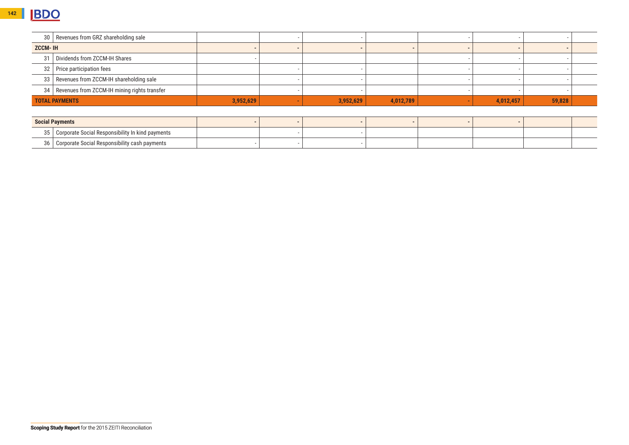|                       | 30   Revenues from GRZ shareholding sale          |           |           |           |           |        |  |
|-----------------------|---------------------------------------------------|-----------|-----------|-----------|-----------|--------|--|
| <b>ZCCM-IH</b>        |                                                   |           |           |           |           |        |  |
|                       | 31   Dividends from ZCCM-IH Shares                |           |           |           |           |        |  |
|                       | 32   Price participation fees                     |           |           |           |           |        |  |
|                       | 33   Revenues from ZCCM-IH shareholding sale      |           |           |           |           |        |  |
|                       | 34   Revenues from ZCCM-IH mining rights transfer |           |           |           |           |        |  |
| <b>TOTAL PAYMENTS</b> |                                                   | 3,952,629 | 3,952,629 | 4,012,789 | 4,012,457 | 59,828 |  |

| <b>Social Payments</b> |                                                  |  |  |  |  |
|------------------------|--------------------------------------------------|--|--|--|--|
|                        | Corporate Social Responsibility In kind payments |  |  |  |  |
|                        | Corporate Social Responsibility cash payments    |  |  |  |  |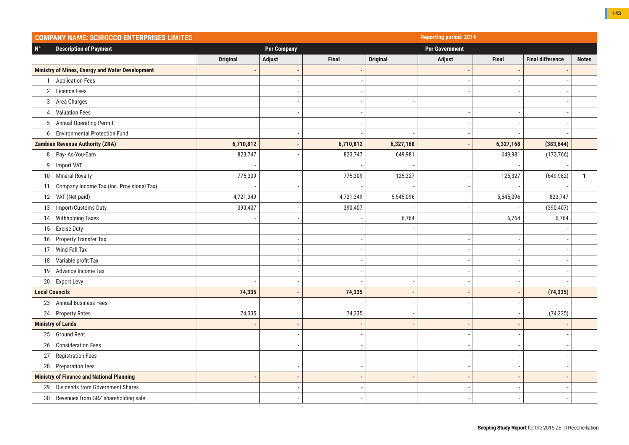|                       | <b>Reporting period: 2014</b><br><b>COMPANY NAME: SCIROCCO ENTERPRISES LIMITED</b> |                                             |        |           |                 |        |                |                         |              |
|-----------------------|------------------------------------------------------------------------------------|---------------------------------------------|--------|-----------|-----------------|--------|----------------|-------------------------|--------------|
| $\mathsf{N}^\circ$    | <b>Description of Payment</b>                                                      | <b>Per Government</b><br><b>Per Company</b> |        |           |                 |        |                |                         |              |
|                       |                                                                                    | <b>Original</b>                             | Adjust | Final     | <b>Original</b> | Adjust | Final          | <b>Final difference</b> | <b>Notes</b> |
|                       | <b>Ministry of Mines, Energy and Water Development</b>                             |                                             |        |           |                 |        |                |                         |              |
|                       | 1 Application Fees                                                                 |                                             |        |           |                 |        |                |                         |              |
| $\overline{2}$        | Licence Fees                                                                       |                                             |        |           |                 |        |                |                         |              |
| 3                     | Area Charges                                                                       |                                             |        |           |                 |        |                |                         |              |
| 4                     | <b>Valuation Fees</b>                                                              |                                             |        |           |                 |        |                |                         |              |
|                       | 5   Annual Operating Permit                                                        |                                             |        |           |                 |        |                |                         |              |
| 6                     | <b>Environmental Protection Fund</b>                                               |                                             |        |           |                 |        |                |                         |              |
|                       | <b>Zambian Revenue Authority (ZRA)</b>                                             | 6,710,812                                   |        | 6,710,812 | 6,327,168       |        | 6,327,168      | (383, 644)              |              |
|                       | 8   Pay- As-You-Earn                                                               | 823,747                                     |        | 823,747   | 649,981         |        | 649,981        | (173, 766)              |              |
|                       | 9   Import VAT                                                                     |                                             |        |           |                 |        |                |                         |              |
|                       | 10   Mineral Royalty                                                               | 775,309                                     |        | 775,309   | 125,327         |        | 125,327        | (649, 982)              | $\mathbf{1}$ |
| 11                    | Company Income Tax (Inc. Provisional Tax)                                          |                                             |        |           |                 |        |                |                         |              |
| 12                    | VAT (Net paid)                                                                     | 4,721,349                                   |        | 4,721,349 | 5,545,096       |        | 5,545,096      | 823,747                 |              |
| 13                    | Import/Customs Duty                                                                | 390,407                                     |        | 390,407   |                 |        |                | (390, 407)              |              |
| 14                    | <b>Withholding Taxes</b>                                                           |                                             |        |           | 6,764           |        | 6,764          | 6,764                   |              |
|                       | 15   Excise Duty                                                                   |                                             |        |           |                 |        |                |                         |              |
|                       | 16   Property Transfer Tax                                                         |                                             |        |           |                 |        |                |                         |              |
| 17                    | Wind Fall Tax                                                                      |                                             |        |           |                 |        |                |                         |              |
| 18                    | Variable profit Tax                                                                |                                             |        |           |                 |        |                |                         |              |
| 19                    | Advance Income Tax                                                                 |                                             |        |           |                 |        |                |                         |              |
|                       | 20   Export Levy                                                                   |                                             |        |           |                 |        |                |                         |              |
| <b>Local Councils</b> |                                                                                    | 74,335                                      |        | 74,335    | $\blacksquare$  |        | $\blacksquare$ | (74, 335)               |              |
| 23                    | <b>Annual Business Fees</b>                                                        |                                             |        |           |                 |        |                |                         |              |
|                       | 24   Property Rates                                                                | 74,335                                      |        | 74,335    |                 |        |                | (74, 335)               |              |
|                       | <b>Ministry of Lands</b>                                                           |                                             |        |           |                 |        |                |                         |              |
|                       | 25 Ground Rent                                                                     |                                             |        |           |                 |        |                |                         |              |
| 26                    | <b>Consideration Fees</b>                                                          |                                             |        |           |                 |        |                |                         |              |
| 27                    | <b>Registration Fees</b>                                                           |                                             |        |           |                 |        |                |                         |              |
|                       | 28 Preparation fees                                                                |                                             |        |           |                 |        |                |                         |              |
|                       | <b>Ministry of Finance and National Planning</b>                                   |                                             |        |           | $\blacksquare$  |        | ٠              |                         |              |
| 29                    | Dividends from Government Shares                                                   |                                             |        |           |                 |        |                |                         |              |
|                       | 30   Revenues from GRZ shareholding sale                                           |                                             |        |           |                 |        |                |                         |              |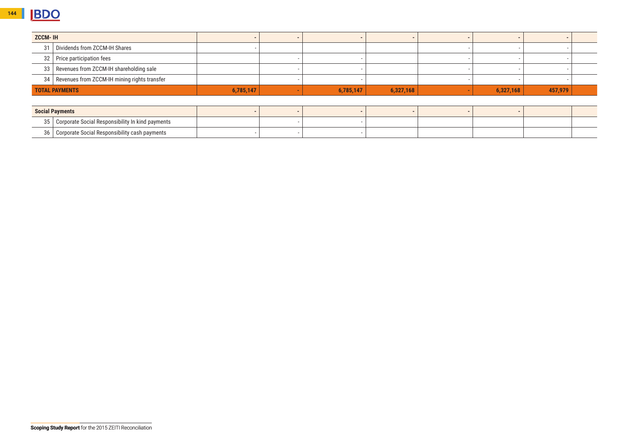

| <b>ZCCM-IH</b>        |                                                   |           |           |           |           |         |  |
|-----------------------|---------------------------------------------------|-----------|-----------|-----------|-----------|---------|--|
|                       | 31   Dividends from ZCCM-IH Shares                |           |           |           |           |         |  |
|                       | 32   Price participation fees                     |           |           |           |           |         |  |
|                       | 33   Revenues from ZCCM-IH shareholding sale      |           |           |           |           |         |  |
|                       | 34   Revenues from ZCCM-IH mining rights transfer |           |           |           |           |         |  |
| <b>TOTAL PAYMENTS</b> |                                                   | 6,785,147 | 6,785,147 | 6,327,168 | 6,327,168 | 457,979 |  |

| <b>Social Payments</b> |                                                  |  |  |  |  |
|------------------------|--------------------------------------------------|--|--|--|--|
|                        | Corporate Social Responsibility In kind payments |  |  |  |  |
| 36 <sub>1</sub>        | Corporate Social Responsibility cash payments    |  |  |  |  |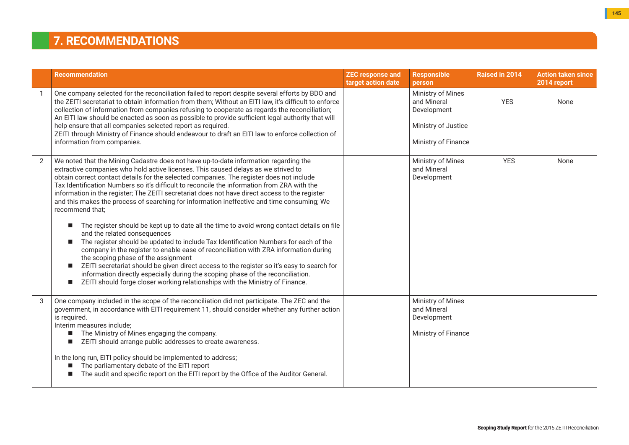## **7. RECOMMENDATIONS**

|                | <b>Recommendation</b>                                                                                                                                                                                                                                                                                                                                                                                                                                                                                                                                                                                                                                                                                                                                                                                                                                                                                                                                                                                                                                                                                                                                                                                                                                                                   | <b>ZEC response and</b><br>target action date | <b>Responsible</b><br>person                                                                  | Raised in 2014 | <b>Action taken since</b><br>2014 report |
|----------------|-----------------------------------------------------------------------------------------------------------------------------------------------------------------------------------------------------------------------------------------------------------------------------------------------------------------------------------------------------------------------------------------------------------------------------------------------------------------------------------------------------------------------------------------------------------------------------------------------------------------------------------------------------------------------------------------------------------------------------------------------------------------------------------------------------------------------------------------------------------------------------------------------------------------------------------------------------------------------------------------------------------------------------------------------------------------------------------------------------------------------------------------------------------------------------------------------------------------------------------------------------------------------------------------|-----------------------------------------------|-----------------------------------------------------------------------------------------------|----------------|------------------------------------------|
|                | One company selected for the reconciliation failed to report despite several efforts by BDO and<br>the ZEITI secretariat to obtain information from them; Without an EITI law, it's difficult to enforce<br>collection of information from companies refusing to cooperate as regards the reconciliation;<br>An EITI law should be enacted as soon as possible to provide sufficient legal authority that will<br>help ensure that all companies selected report as required.<br>ZEITI through Ministry of Finance should endeavour to draft an EITI law to enforce collection of<br>information from companies.                                                                                                                                                                                                                                                                                                                                                                                                                                                                                                                                                                                                                                                                        |                                               | Ministry of Mines<br>and Mineral<br>Development<br>Ministry of Justice<br>Ministry of Finance | <b>YES</b>     | None                                     |
| $\overline{2}$ | We noted that the Mining Cadastre does not have up-to-date information regarding the<br>extractive companies who hold active licenses. This caused delays as we strived to<br>obtain correct contact details for the selected companies. The register does not include<br>Tax Identification Numbers so it's difficult to reconcile the information from ZRA with the<br>information in the register; The ZEITI secretariat does not have direct access to the register<br>and this makes the process of searching for information ineffective and time consuming; We<br>recommend that;<br>The register should be kept up to date all the time to avoid wrong contact details on file<br>$\mathcal{L}_{\mathcal{A}}$<br>and the related consequences<br>The register should be updated to include Tax Identification Numbers for each of the<br>п<br>company in the register to enable ease of reconciliation with ZRA information during<br>the scoping phase of the assignment<br>ZEITI secretariat should be given direct access to the register so it's easy to search for<br>$\blacksquare$<br>information directly especially during the scoping phase of the reconciliation.<br>ZEITI should forge closer working relationships with the Ministry of Finance.<br>$\blacksquare$ |                                               | Ministry of Mines<br>and Mineral<br>Development                                               | <b>YES</b>     | None                                     |
| 3              | One company included in the scope of the reconciliation did not participate. The ZEC and the<br>government, in accordance with EITI requirement 11, should consider whether any further action<br>is required.<br>Interim measures include;<br>The Ministry of Mines engaging the company.<br>$\blacksquare$<br>ZEITI should arrange public addresses to create awareness.<br>$\blacksquare$<br>In the long run, EITI policy should be implemented to address;<br>The parliamentary debate of the EITI report<br>$\mathcal{L}_{\mathcal{A}}$<br>The audit and specific report on the EITI report by the Office of the Auditor General.<br>п                                                                                                                                                                                                                                                                                                                                                                                                                                                                                                                                                                                                                                             |                                               | Ministry of Mines<br>and Mineral<br>Development<br>Ministry of Finance                        |                |                                          |